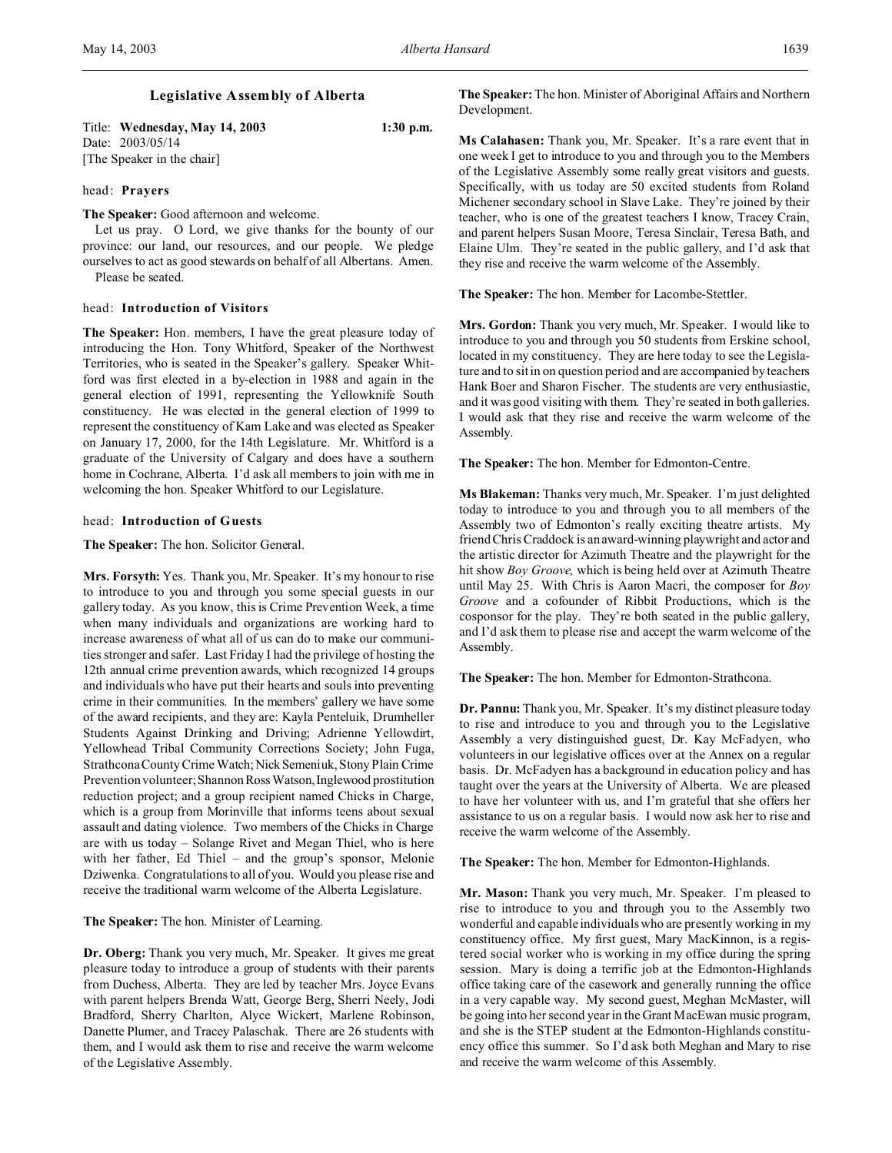# **Legislative Assembly of Alberta**

Title: **Wednesday, May 14, 2003 1:30 p.m.** Date: 2003/05/14 [The Speaker in the chair]

### head: **Prayers**

**The Speaker:** Good afternoon and welcome.

Let us pray. O Lord, we give thanks for the bounty of our province: our land, our resources, and our people. We pledge ourselves to act as good stewards on behalf of all Albertans. Amen. Please be seated.

#### head: **Introduction of Visitors**

**The Speaker:** Hon. members, I have the great pleasure today of introducing the Hon. Tony Whitford, Speaker of the Northwest Territories, who is seated in the Speaker's gallery. Speaker Whitford was first elected in a by-election in 1988 and again in the general election of 1991, representing the Yellowknife South constituency. He was elected in the general election of 1999 to represent the constituency of Kam Lake and was elected as Speaker on January 17, 2000, for the 14th Legislature. Mr. Whitford is a graduate of the University of Calgary and does have a southern home in Cochrane, Alberta. I'd ask all members to join with me in welcoming the hon. Speaker Whitford to our Legislature.

#### head: **Introduction of Guests**

### **The Speaker:** The hon. Solicitor General.

**Mrs. Forsyth:** Yes. Thank you, Mr. Speaker. It's my honour to rise to introduce to you and through you some special guests in our gallery today. As you know, this is Crime Prevention Week, a time when many individuals and organizations are working hard to increase awareness of what all of us can do to make our communities stronger and safer. Last Friday I had the privilege of hosting the 12th annual crime prevention awards, which recognized 14 groups and individuals who have put their hearts and souls into preventing crime in their communities. In the members' gallery we have some of the award recipients, and they are: Kayla Penteluik, Drumheller Students Against Drinking and Driving; Adrienne Yellowdirt, Yellowhead Tribal Community Corrections Society; John Fuga, Strathcona County Crime Watch; Nick Semeniuk, Stony Plain Crime Prevention volunteer; Shannon Ross Watson, Inglewood prostitution reduction project; and a group recipient named Chicks in Charge, which is a group from Morinville that informs teens about sexual assault and dating violence. Two members of the Chicks in Charge are with us today – Solange Rivet and Megan Thiel, who is here with her father, Ed Thiel – and the group's sponsor, Melonie Dziwenka. Congratulations to all of you. Would you please rise and receive the traditional warm welcome of the Alberta Legislature.

## **The Speaker:** The hon. Minister of Learning.

**Dr. Oberg:** Thank you very much, Mr. Speaker. It gives me great pleasure today to introduce a group of students with their parents from Duchess, Alberta. They are led by teacher Mrs. Joyce Evans with parent helpers Brenda Watt, George Berg, Sherri Neely, Jodi Bradford, Sherry Charlton, Alyce Wickert, Marlene Robinson, Danette Plumer, and Tracey Palaschak. There are 26 students with them, and I would ask them to rise and receive the warm welcome of the Legislative Assembly.

**The Speaker:** The hon. Minister of Aboriginal Affairs and Northern Development.

**Ms Calahasen:** Thank you, Mr. Speaker. It's a rare event that in one week I get to introduce to you and through you to the Members of the Legislative Assembly some really great visitors and guests. Specifically, with us today are 50 excited students from Roland Michener secondary school in Slave Lake. They're joined by their teacher, who is one of the greatest teachers I know, Tracey Crain, and parent helpers Susan Moore, Teresa Sinclair, Teresa Bath, and Elaine Ulm. They're seated in the public gallery, and I'd ask that they rise and receive the warm welcome of the Assembly.

**The Speaker:** The hon. Member for Lacombe-Stettler.

**Mrs. Gordon:** Thank you very much, Mr. Speaker. I would like to introduce to you and through you 50 students from Erskine school, located in my constituency. They are here today to see the Legislature and to sit in on question period and are accompanied by teachers Hank Boer and Sharon Fischer. The students are very enthusiastic, and it was good visiting with them. They're seated in both galleries. I would ask that they rise and receive the warm welcome of the Assembly.

**The Speaker:** The hon. Member for Edmonton-Centre.

**Ms Blakeman:** Thanks very much, Mr. Speaker. I'm just delighted today to introduce to you and through you to all members of the Assembly two of Edmonton's really exciting theatre artists. My friend Chris Craddock is an award-winning playwright and actor and the artistic director for Azimuth Theatre and the playwright for the hit show *Boy Groove,* which is being held over at Azimuth Theatre until May 25. With Chris is Aaron Macri, the composer for *Boy Groove* and a cofounder of Ribbit Productions, which is the cosponsor for the play. They're both seated in the public gallery, and I'd ask them to please rise and accept the warm welcome of the Assembly.

**The Speaker:** The hon. Member for Edmonton-Strathcona.

**Dr. Pannu:** Thank you, Mr. Speaker. It's my distinct pleasure today to rise and introduce to you and through you to the Legislative Assembly a very distinguished guest, Dr. Kay McFadyen, who volunteers in our legislative offices over at the Annex on a regular basis. Dr. McFadyen has a background in education policy and has taught over the years at the University of Alberta. We are pleased to have her volunteer with us, and I'm grateful that she offers her assistance to us on a regular basis. I would now ask her to rise and receive the warm welcome of the Assembly.

**The Speaker:** The hon. Member for Edmonton-Highlands.

**Mr. Mason:** Thank you very much, Mr. Speaker. I'm pleased to rise to introduce to you and through you to the Assembly two wonderful and capable individuals who are presently working in my constituency office. My first guest, Mary MacKinnon, is a registered social worker who is working in my office during the spring session. Mary is doing a terrific job at the Edmonton-Highlands office taking care of the casework and generally running the office in a very capable way. My second guest, Meghan McMaster, will be going into her second year in the Grant MacEwan music program, and she is the STEP student at the Edmonton-Highlands constituency office this summer. So I'd ask both Meghan and Mary to rise and receive the warm welcome of this Assembly.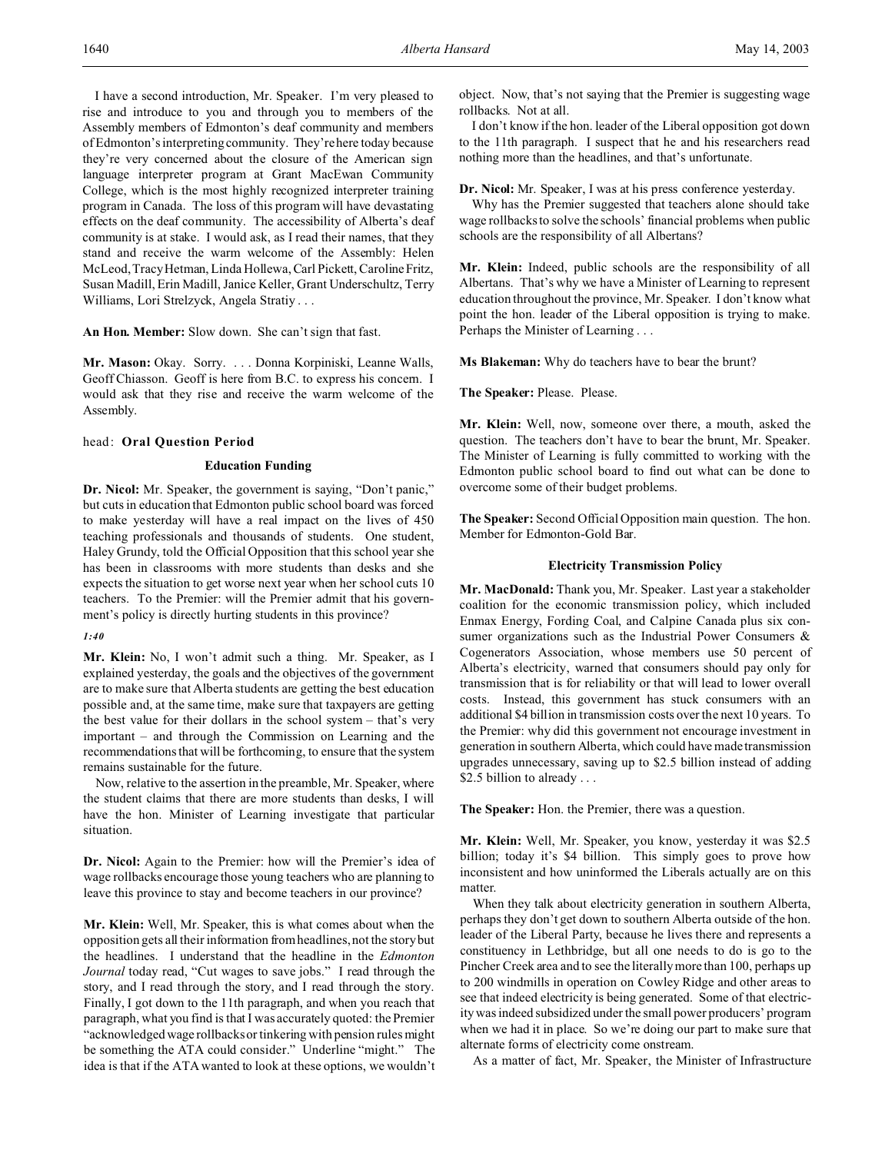I have a second introduction, Mr. Speaker. I'm very pleased to rise and introduce to you and through you to members of the Assembly members of Edmonton's deaf community and members of Edmonton's interpreting community. They're here today because they're very concerned about the closure of the American sign language interpreter program at Grant MacEwan Community College, which is the most highly recognized interpreter training program in Canada. The loss of this program will have devastating effects on the deaf community. The accessibility of Alberta's deaf community is at stake. I would ask, as I read their names, that they stand and receive the warm welcome of the Assembly: Helen McLeod, Tracy Hetman, Linda Hollewa, Carl Pickett, CarolineFritz, Susan Madill, Erin Madill, Janice Keller, Grant Underschultz, Terry Williams, Lori Strelzyck, Angela Stratiy . . .

**An Hon. Member:** Slow down. She can't sign that fast.

**Mr. Mason:** Okay. Sorry. . . . Donna Korpiniski, Leanne Walls, Geoff Chiasson. Geoff is here from B.C. to express his concern. I would ask that they rise and receive the warm welcome of the Assembly.

#### head: **Oral Question Period**

### **Education Funding**

**Dr. Nicol:** Mr. Speaker, the government is saying, "Don't panic," but cuts in education that Edmonton public school board was forced to make yesterday will have a real impact on the lives of 450 teaching professionals and thousands of students. One student, Haley Grundy, told the Official Opposition that this school year she has been in classrooms with more students than desks and she expects the situation to get worse next year when her school cuts 10 teachers. To the Premier: will the Premier admit that his government's policy is directly hurting students in this province?

#### *1:40*

**Mr. Klein:** No, I won't admit such a thing. Mr. Speaker, as I explained yesterday, the goals and the objectives of the government are to make sure that Alberta students are getting the best education possible and, at the same time, make sure that taxpayers are getting the best value for their dollars in the school system – that's very important – and through the Commission on Learning and the recommendations that will be forthcoming, to ensure that the system remains sustainable for the future.

Now, relative to the assertion in the preamble, Mr. Speaker, where the student claims that there are more students than desks, I will have the hon. Minister of Learning investigate that particular situation.

**Dr. Nicol:** Again to the Premier: how will the Premier's idea of wage rollbacks encourage those young teachers who are planning to leave this province to stay and become teachers in our province?

**Mr. Klein:** Well, Mr. Speaker, this is what comes about when the opposition gets all their information from headlines, not the story but the headlines. I understand that the headline in the *Edmonton Journal* today read, "Cut wages to save jobs." I read through the story, and I read through the story, and I read through the story. Finally, I got down to the 11th paragraph, and when you reach that paragraph, what you find is that I was accurately quoted: the Premier "acknowledged wage rollbacks or tinkering with pension rules might be something the ATA could consider." Underline "might." The idea is that if the ATA wanted to look at these options, we wouldn't object. Now, that's not saying that the Premier is suggesting wage rollbacks. Not at all.

I don't know if the hon. leader of the Liberal opposition got down to the 11th paragraph. I suspect that he and his researchers read nothing more than the headlines, and that's unfortunate.

**Dr. Nicol:** Mr. Speaker, I was at his press conference yesterday.

Why has the Premier suggested that teachers alone should take wage rollbacks to solve the schools' financial problems when public schools are the responsibility of all Albertans?

**Mr. Klein:** Indeed, public schools are the responsibility of all Albertans. That's why we have a Minister of Learning to represent education throughout the province, Mr. Speaker. I don't know what point the hon. leader of the Liberal opposition is trying to make. Perhaps the Minister of Learning . . .

**Ms Blakeman:** Why do teachers have to bear the brunt?

**The Speaker:** Please. Please.

**Mr. Klein:** Well, now, someone over there, a mouth, asked the question. The teachers don't have to bear the brunt, Mr. Speaker. The Minister of Learning is fully committed to working with the Edmonton public school board to find out what can be done to overcome some of their budget problems.

**The Speaker:** Second Official Opposition main question. The hon. Member for Edmonton-Gold Bar.

## **Electricity Transmission Policy**

**Mr. MacDonald:** Thank you, Mr. Speaker. Last year a stakeholder coalition for the economic transmission policy, which included Enmax Energy, Fording Coal, and Calpine Canada plus six consumer organizations such as the Industrial Power Consumers & Cogenerators Association, whose members use 50 percent of Alberta's electricity, warned that consumers should pay only for transmission that is for reliability or that will lead to lower overall costs. Instead, this government has stuck consumers with an additional \$4 billion in transmission costs over the next 10 years. To the Premier: why did this government not encourage investment in generation in southern Alberta, which could have made transmission upgrades unnecessary, saving up to \$2.5 billion instead of adding \$2.5 billion to already . . .

**The Speaker:** Hon. the Premier, there was a question.

**Mr. Klein:** Well, Mr. Speaker, you know, yesterday it was \$2.5 billion; today it's \$4 billion. This simply goes to prove how inconsistent and how uninformed the Liberals actually are on this matter.

When they talk about electricity generation in southern Alberta, perhaps they don't get down to southern Alberta outside of the hon. leader of the Liberal Party, because he lives there and represents a constituency in Lethbridge, but all one needs to do is go to the Pincher Creek area and to see the literally more than 100, perhaps up to 200 windmills in operation on Cowley Ridge and other areas to see that indeed electricity is being generated. Some of that electricity was indeed subsidized under the small power producers' program when we had it in place. So we're doing our part to make sure that alternate forms of electricity come onstream.

As a matter of fact, Mr. Speaker, the Minister of Infrastructure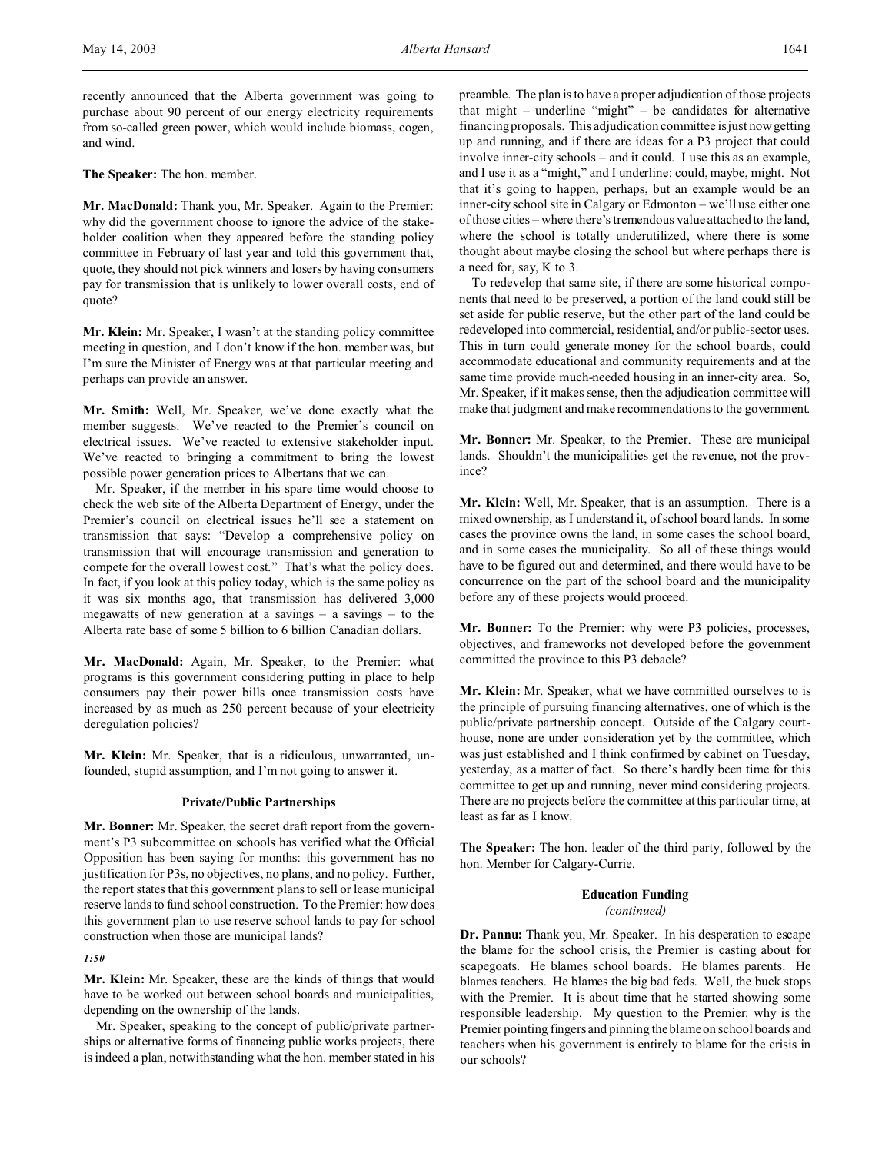recently announced that the Alberta government was going to purchase about 90 percent of our energy electricity requirements from so-called green power, which would include biomass, cogen, and wind.

**The Speaker:** The hon. member.

**Mr. MacDonald:** Thank you, Mr. Speaker. Again to the Premier: why did the government choose to ignore the advice of the stakeholder coalition when they appeared before the standing policy committee in February of last year and told this government that, quote, they should not pick winners and losers by having consumers pay for transmission that is unlikely to lower overall costs, end of quote?

**Mr. Klein:** Mr. Speaker, I wasn't at the standing policy committee meeting in question, and I don't know if the hon. member was, but I'm sure the Minister of Energy was at that particular meeting and perhaps can provide an answer.

**Mr. Smith:** Well, Mr. Speaker, we've done exactly what the member suggests. We've reacted to the Premier's council on electrical issues. We've reacted to extensive stakeholder input. We've reacted to bringing a commitment to bring the lowest possible power generation prices to Albertans that we can.

Mr. Speaker, if the member in his spare time would choose to check the web site of the Alberta Department of Energy, under the Premier's council on electrical issues he'll see a statement on transmission that says: "Develop a comprehensive policy on transmission that will encourage transmission and generation to compete for the overall lowest cost." That's what the policy does. In fact, if you look at this policy today, which is the same policy as it was six months ago, that transmission has delivered 3,000 megawatts of new generation at a savings  $-$  a savings  $-$  to the Alberta rate base of some 5 billion to 6 billion Canadian dollars.

**Mr. MacDonald:** Again, Mr. Speaker, to the Premier: what programs is this government considering putting in place to help consumers pay their power bills once transmission costs have increased by as much as 250 percent because of your electricity deregulation policies?

**Mr. Klein:** Mr. Speaker, that is a ridiculous, unwarranted, unfounded, stupid assumption, and I'm not going to answer it.

#### **Private/Public Partnerships**

**Mr. Bonner:** Mr. Speaker, the secret draft report from the government's P3 subcommittee on schools has verified what the Official Opposition has been saying for months: this government has no justification for P3s, no objectives, no plans, and no policy. Further, the report states that this government plans to sell or lease municipal reserve lands to fund school construction. To the Premier: how does this government plan to use reserve school lands to pay for school construction when those are municipal lands?

## *1:50*

**Mr. Klein:** Mr. Speaker, these are the kinds of things that would have to be worked out between school boards and municipalities, depending on the ownership of the lands.

Mr. Speaker, speaking to the concept of public/private partnerships or alternative forms of financing public works projects, there is indeed a plan, notwithstanding what the hon. member stated in his

preamble. The plan is to have a proper adjudication of those projects that might – underline "might" – be candidates for alternative financing proposals. This adjudication committee is just now getting up and running, and if there are ideas for a P3 project that could involve inner-city schools – and it could. I use this as an example, and I use it as a "might," and I underline: could, maybe, might. Not that it's going to happen, perhaps, but an example would be an inner-city school site in Calgary or Edmonton – we'll use either one of those cities – where there's tremendous value attached to the land, where the school is totally underutilized, where there is some thought about maybe closing the school but where perhaps there is a need for, say, K to 3.

To redevelop that same site, if there are some historical components that need to be preserved, a portion of the land could still be set aside for public reserve, but the other part of the land could be redeveloped into commercial, residential, and/or public-sector uses. This in turn could generate money for the school boards, could accommodate educational and community requirements and at the same time provide much-needed housing in an inner-city area. So, Mr. Speaker, if it makes sense, then the adjudication committee will make that judgment and make recommendations to the government.

**Mr. Bonner:** Mr. Speaker, to the Premier. These are municipal lands. Shouldn't the municipalities get the revenue, not the province?

**Mr. Klein:** Well, Mr. Speaker, that is an assumption. There is a mixed ownership, as I understand it, of school board lands. In some cases the province owns the land, in some cases the school board, and in some cases the municipality. So all of these things would have to be figured out and determined, and there would have to be concurrence on the part of the school board and the municipality before any of these projects would proceed.

**Mr. Bonner:** To the Premier: why were P3 policies, processes, objectives, and frameworks not developed before the government committed the province to this P3 debacle?

**Mr. Klein:** Mr. Speaker, what we have committed ourselves to is the principle of pursuing financing alternatives, one of which is the public/private partnership concept. Outside of the Calgary courthouse, none are under consideration yet by the committee, which was just established and I think confirmed by cabinet on Tuesday, yesterday, as a matter of fact. So there's hardly been time for this committee to get up and running, never mind considering projects. There are no projects before the committee at this particular time, at least as far as I know.

**The Speaker:** The hon. leader of the third party, followed by the hon. Member for Calgary-Currie.

## **Education Funding**

## *(continued)*

**Dr. Pannu:** Thank you, Mr. Speaker. In his desperation to escape the blame for the school crisis, the Premier is casting about for scapegoats. He blames school boards. He blames parents. He blames teachers. He blames the big bad feds. Well, the buck stops with the Premier. It is about time that he started showing some responsible leadership. My question to the Premier: why is the Premier pointing fingers and pinning the blame on school boards and teachers when his government is entirely to blame for the crisis in our schools?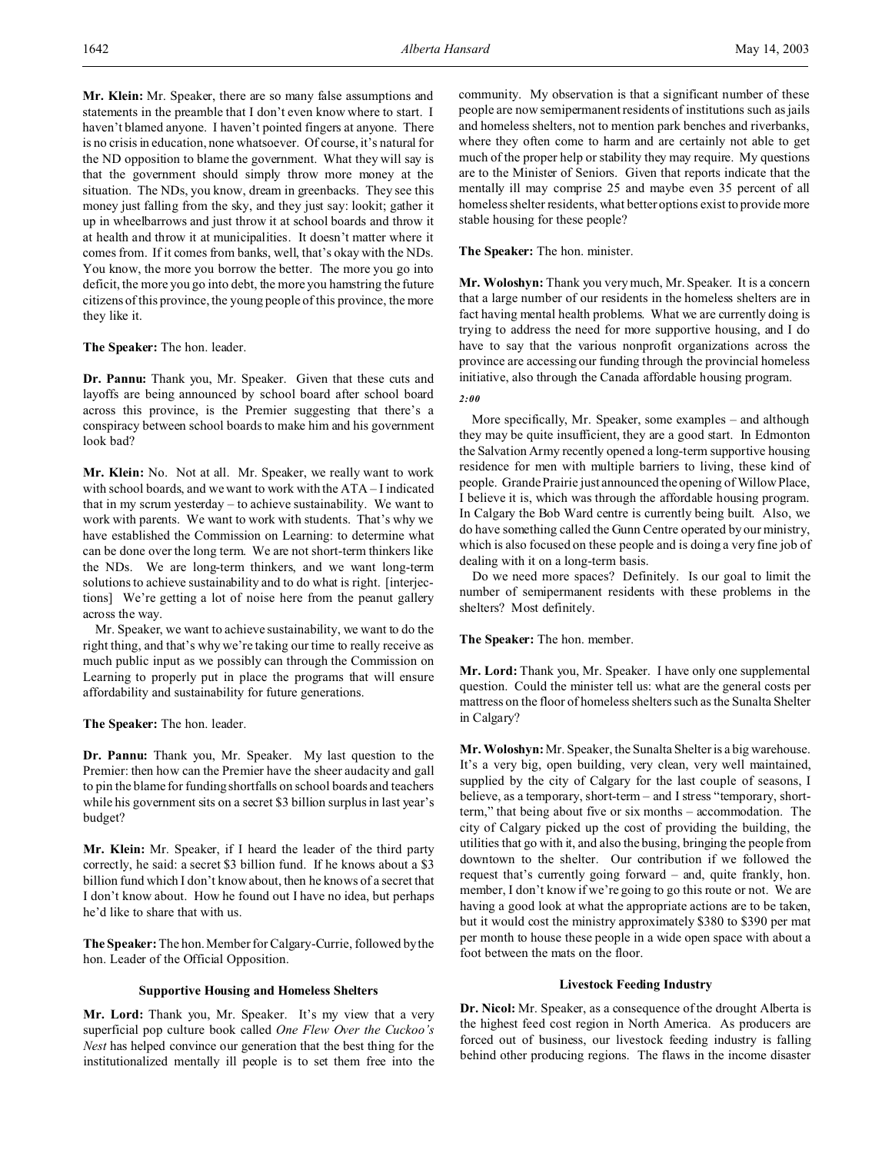**Mr. Klein:** Mr. Speaker, there are so many false assumptions and statements in the preamble that I don't even know where to start. I haven't blamed anyone. I haven't pointed fingers at anyone. There is no crisis in education, none whatsoever. Of course, it's natural for the ND opposition to blame the government. What they will say is that the government should simply throw more money at the situation. The NDs, you know, dream in greenbacks. They see this money just falling from the sky, and they just say: lookit; gather it up in wheelbarrows and just throw it at school boards and throw it at health and throw it at municipalities. It doesn't matter where it comes from. If it comes from banks, well, that's okay with the NDs. You know, the more you borrow the better. The more you go into deficit, the more you go into debt, the more you hamstring the future citizens of this province, the young people of this province, the more they like it.

**The Speaker:** The hon. leader.

**Dr. Pannu:** Thank you, Mr. Speaker. Given that these cuts and layoffs are being announced by school board after school board across this province, is the Premier suggesting that there's a conspiracy between school boards to make him and his government look bad?

**Mr. Klein:** No. Not at all. Mr. Speaker, we really want to work with school boards, and we want to work with the ATA – I indicated that in my scrum yesterday – to achieve sustainability. We want to work with parents. We want to work with students. That's why we have established the Commission on Learning: to determine what can be done over the long term. We are not short-term thinkers like the NDs. We are long-term thinkers, and we want long-term solutions to achieve sustainability and to do what is right. [interjections] We're getting a lot of noise here from the peanut gallery across the way.

Mr. Speaker, we want to achieve sustainability, we want to do the right thing, and that's why we're taking our time to really receive as much public input as we possibly can through the Commission on Learning to properly put in place the programs that will ensure affordability and sustainability for future generations.

**The Speaker:** The hon. leader.

**Dr. Pannu:** Thank you, Mr. Speaker. My last question to the Premier: then how can the Premier have the sheer audacity and gall to pin the blame for funding shortfalls on school boards and teachers while his government sits on a secret \$3 billion surplus in last year's budget?

**Mr. Klein:** Mr. Speaker, if I heard the leader of the third party correctly, he said: a secret \$3 billion fund. If he knows about a \$3 billion fund which I don't know about, then he knows of a secret that I don't know about. How he found out I have no idea, but perhaps he'd like to share that with us.

**The Speaker:** The hon. Member for Calgary-Currie, followed by the hon. Leader of the Official Opposition.

### **Supportive Housing and Homeless Shelters**

**Mr. Lord:** Thank you, Mr. Speaker. It's my view that a very superficial pop culture book called *One Flew Over the Cuckoo's Nest* has helped convince our generation that the best thing for the institutionalized mentally ill people is to set them free into the

community. My observation is that a significant number of these people are now semipermanent residents of institutions such as jails and homeless shelters, not to mention park benches and riverbanks, where they often come to harm and are certainly not able to get much of the proper help or stability they may require. My questions are to the Minister of Seniors. Given that reports indicate that the mentally ill may comprise 25 and maybe even 35 percent of all homeless shelter residents, what better options exist to provide more stable housing for these people?

**The Speaker:** The hon. minister.

**Mr. Woloshyn:** Thank you very much, Mr. Speaker. It is a concern that a large number of our residents in the homeless shelters are in fact having mental health problems. What we are currently doing is trying to address the need for more supportive housing, and I do have to say that the various nonprofit organizations across the province are accessing our funding through the provincial homeless initiative, also through the Canada affordable housing program.

#### *2:00*

More specifically, Mr. Speaker, some examples – and although they may be quite insufficient, they are a good start. In Edmonton the Salvation Army recently opened a long-term supportive housing residence for men with multiple barriers to living, these kind of people. Grande Prairie just announced the opening of Willow Place, I believe it is, which was through the affordable housing program. In Calgary the Bob Ward centre is currently being built. Also, we do have something called the Gunn Centre operated by our ministry, which is also focused on these people and is doing a very fine job of dealing with it on a long-term basis.

Do we need more spaces? Definitely. Is our goal to limit the number of semipermanent residents with these problems in the shelters? Most definitely.

**The Speaker:** The hon. member.

**Mr. Lord:** Thank you, Mr. Speaker. I have only one supplemental question. Could the minister tell us: what are the general costs per mattress on the floor of homeless shelters such as the Sunalta Shelter in Calgary?

**Mr. Woloshyn:** Mr. Speaker, the Sunalta Shelter is a big warehouse. It's a very big, open building, very clean, very well maintained, supplied by the city of Calgary for the last couple of seasons, I believe, as a temporary, short-term – and I stress "temporary, shortterm," that being about five or six months – accommodation. The city of Calgary picked up the cost of providing the building, the utilities that go with it, and also the busing, bringing the people from downtown to the shelter. Our contribution if we followed the request that's currently going forward – and, quite frankly, hon. member, I don't know if we're going to go this route or not. We are having a good look at what the appropriate actions are to be taken, but it would cost the ministry approximately \$380 to \$390 per mat per month to house these people in a wide open space with about a foot between the mats on the floor.

## **Livestock Feeding Industry**

**Dr. Nicol:** Mr. Speaker, as a consequence of the drought Alberta is the highest feed cost region in North America. As producers are forced out of business, our livestock feeding industry is falling behind other producing regions. The flaws in the income disaster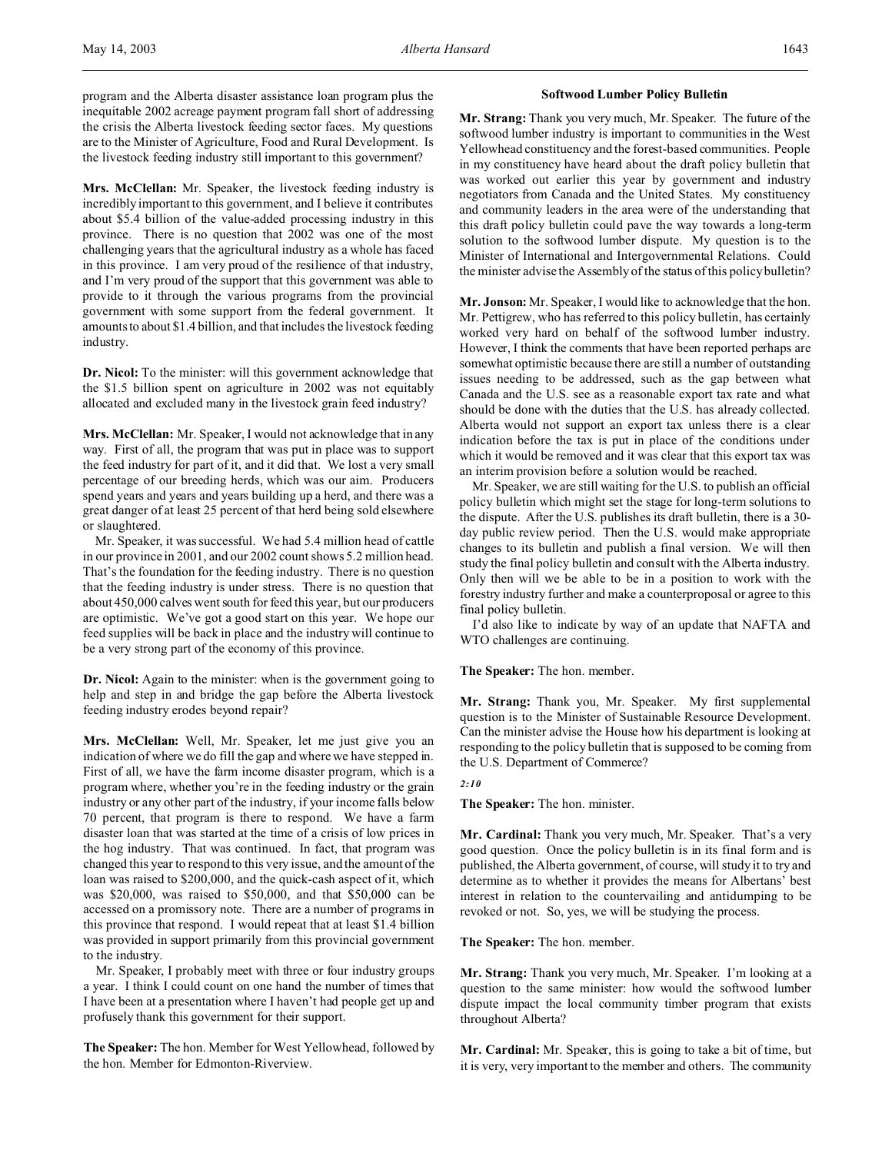program and the Alberta disaster assistance loan program plus the inequitable 2002 acreage payment program fall short of addressing the crisis the Alberta livestock feeding sector faces. My questions are to the Minister of Agriculture, Food and Rural Development. Is the livestock feeding industry still important to this government?

**Mrs. McClellan:** Mr. Speaker, the livestock feeding industry is incredibly important to this government, and I believe it contributes about \$5.4 billion of the value-added processing industry in this province. There is no question that 2002 was one of the most challenging years that the agricultural industry as a whole has faced in this province. I am very proud of the resilience of that industry, and I'm very proud of the support that this government was able to provide to it through the various programs from the provincial government with some support from the federal government. It amounts to about \$1.4 billion, and that includes the livestock feeding industry.

**Dr. Nicol:** To the minister: will this government acknowledge that the \$1.5 billion spent on agriculture in 2002 was not equitably allocated and excluded many in the livestock grain feed industry?

**Mrs. McClellan:** Mr. Speaker, I would not acknowledge that in any way. First of all, the program that was put in place was to support the feed industry for part of it, and it did that. We lost a very small percentage of our breeding herds, which was our aim. Producers spend years and years and years building up a herd, and there was a great danger of at least 25 percent of that herd being sold elsewhere or slaughtered.

Mr. Speaker, it was successful. We had 5.4 million head of cattle in our province in 2001, and our 2002 count shows 5.2 million head. That's the foundation for the feeding industry. There is no question that the feeding industry is under stress. There is no question that about 450,000 calves went south for feed this year, but our producers are optimistic. We've got a good start on this year. We hope our feed supplies will be back in place and the industry will continue to be a very strong part of the economy of this province.

**Dr. Nicol:** Again to the minister: when is the government going to help and step in and bridge the gap before the Alberta livestock feeding industry erodes beyond repair?

**Mrs. McClellan:** Well, Mr. Speaker, let me just give you an indication of where we do fill the gap and where we have stepped in. First of all, we have the farm income disaster program, which is a program where, whether you're in the feeding industry or the grain industry or any other part of the industry, if your income falls below 70 percent, that program is there to respond. We have a farm disaster loan that was started at the time of a crisis of low prices in the hog industry. That was continued. In fact, that program was changed this year to respond to this very issue, and the amount of the loan was raised to \$200,000, and the quick-cash aspect of it, which was \$20,000, was raised to \$50,000, and that \$50,000 can be accessed on a promissory note. There are a number of programs in this province that respond. I would repeat that at least \$1.4 billion was provided in support primarily from this provincial government to the industry.

Mr. Speaker, I probably meet with three or four industry groups a year. I think I could count on one hand the number of times that I have been at a presentation where I haven't had people get up and profusely thank this government for their support.

**The Speaker:** The hon. Member for West Yellowhead, followed by the hon. Member for Edmonton-Riverview.

#### **Softwood Lumber Policy Bulletin**

**Mr. Strang:** Thank you very much, Mr. Speaker. The future of the softwood lumber industry is important to communities in the West Yellowhead constituency and the forest-based communities. People in my constituency have heard about the draft policy bulletin that was worked out earlier this year by government and industry negotiators from Canada and the United States. My constituency and community leaders in the area were of the understanding that this draft policy bulletin could pave the way towards a long-term solution to the softwood lumber dispute. My question is to the Minister of International and Intergovernmental Relations. Could the minister advise the Assembly of the status of this policy bulletin?

**Mr. Jonson:** Mr. Speaker, I would like to acknowledge that the hon. Mr. Pettigrew, who has referred to this policy bulletin, has certainly worked very hard on behalf of the softwood lumber industry. However, I think the comments that have been reported perhaps are somewhat optimistic because there are still a number of outstanding issues needing to be addressed, such as the gap between what Canada and the U.S. see as a reasonable export tax rate and what should be done with the duties that the U.S. has already collected. Alberta would not support an export tax unless there is a clear indication before the tax is put in place of the conditions under which it would be removed and it was clear that this export tax was an interim provision before a solution would be reached.

Mr. Speaker, we are still waiting for the U.S. to publish an official policy bulletin which might set the stage for long-term solutions to the dispute. After the U.S. publishes its draft bulletin, there is a 30 day public review period. Then the U.S. would make appropriate changes to its bulletin and publish a final version. We will then study the final policy bulletin and consult with the Alberta industry. Only then will we be able to be in a position to work with the forestry industry further and make a counterproposal or agree to this final policy bulletin.

I'd also like to indicate by way of an update that NAFTA and WTO challenges are continuing.

**The Speaker:** The hon. member.

**Mr. Strang:** Thank you, Mr. Speaker. My first supplemental question is to the Minister of Sustainable Resource Development. Can the minister advise the House how his department is looking at responding to the policy bulletin that is supposed to be coming from the U.S. Department of Commerce?

#### *2:10*

**The Speaker:** The hon. minister.

**Mr. Cardinal:** Thank you very much, Mr. Speaker. That's a very good question. Once the policy bulletin is in its final form and is published, the Alberta government, of course, will study it to try and determine as to whether it provides the means for Albertans' best interest in relation to the countervailing and antidumping to be revoked or not. So, yes, we will be studying the process.

**The Speaker:** The hon. member.

**Mr. Strang:** Thank you very much, Mr. Speaker. I'm looking at a question to the same minister: how would the softwood lumber dispute impact the local community timber program that exists throughout Alberta?

**Mr. Cardinal:** Mr. Speaker, this is going to take a bit of time, but it is very, very important to the member and others. The community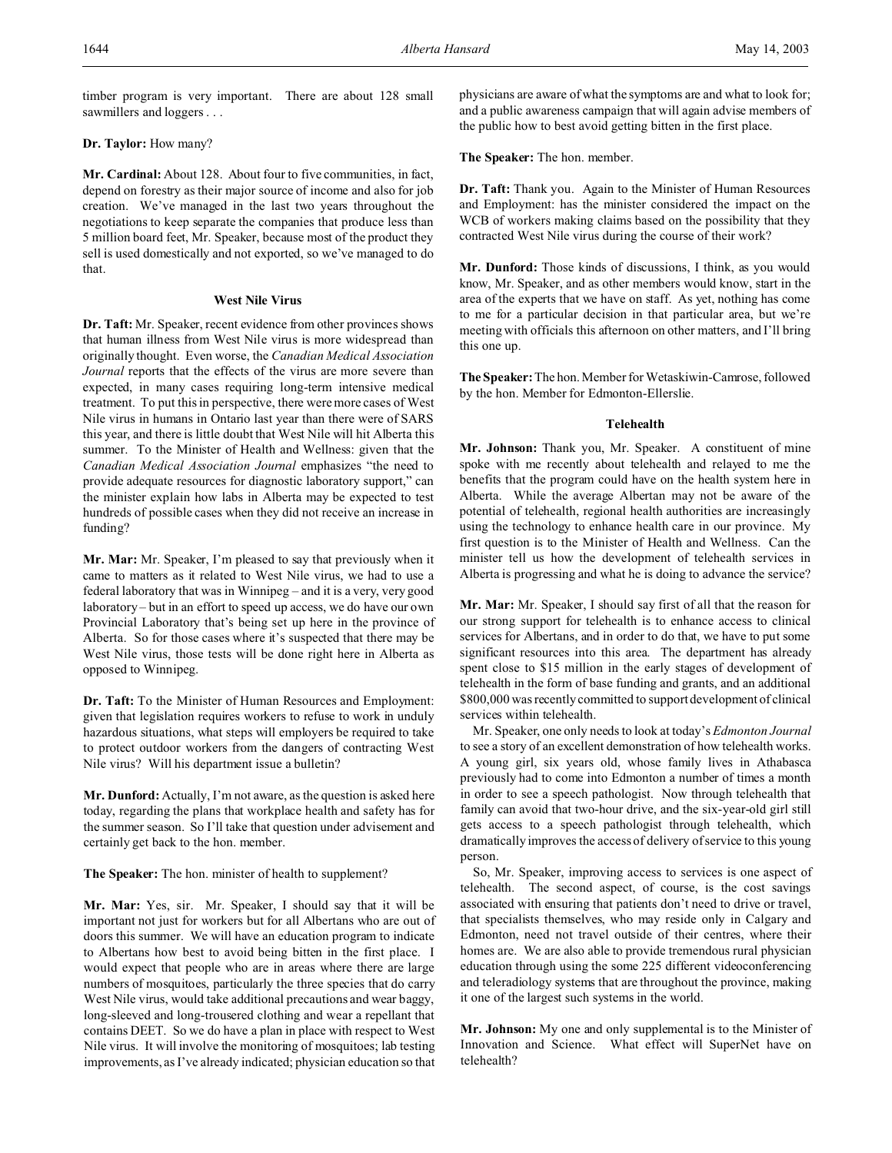timber program is very important. There are about 128 small sawmillers and loggers . . .

## **Dr. Taylor:** How many?

**Mr. Cardinal:** About 128. About four to five communities, in fact, depend on forestry as their major source of income and also for job creation. We've managed in the last two years throughout the negotiations to keep separate the companies that produce less than 5 million board feet, Mr. Speaker, because most of the product they sell is used domestically and not exported, so we've managed to do that.

#### **West Nile Virus**

**Dr. Taft:** Mr. Speaker, recent evidence from other provinces shows that human illness from West Nile virus is more widespread than originally thought. Even worse, the *Canadian Medical Association Journal* reports that the effects of the virus are more severe than expected, in many cases requiring long-term intensive medical treatment. To put this in perspective, there were more cases of West Nile virus in humans in Ontario last year than there were of SARS this year, and there is little doubt that West Nile will hit Alberta this summer. To the Minister of Health and Wellness: given that the *Canadian Medical Association Journal* emphasizes "the need to provide adequate resources for diagnostic laboratory support," can the minister explain how labs in Alberta may be expected to test hundreds of possible cases when they did not receive an increase in funding?

**Mr. Mar:** Mr. Speaker, I'm pleased to say that previously when it came to matters as it related to West Nile virus, we had to use a federal laboratory that was in Winnipeg – and it is a very, very good laboratory – but in an effort to speed up access, we do have our own Provincial Laboratory that's being set up here in the province of Alberta. So for those cases where it's suspected that there may be West Nile virus, those tests will be done right here in Alberta as opposed to Winnipeg.

**Dr. Taft:** To the Minister of Human Resources and Employment: given that legislation requires workers to refuse to work in unduly hazardous situations, what steps will employers be required to take to protect outdoor workers from the dangers of contracting West Nile virus? Will his department issue a bulletin?

**Mr. Dunford:** Actually, I'm not aware, as the question is asked here today, regarding the plans that workplace health and safety has for the summer season. So I'll take that question under advisement and certainly get back to the hon. member.

**The Speaker:** The hon. minister of health to supplement?

**Mr. Mar:** Yes, sir. Mr. Speaker, I should say that it will be important not just for workers but for all Albertans who are out of doors this summer. We will have an education program to indicate to Albertans how best to avoid being bitten in the first place. I would expect that people who are in areas where there are large numbers of mosquitoes, particularly the three species that do carry West Nile virus, would take additional precautions and wear baggy, long-sleeved and long-trousered clothing and wear a repellant that contains DEET. So we do have a plan in place with respect to West Nile virus. It will involve the monitoring of mosquitoes; lab testing improvements, as I've already indicated; physician education so that physicians are aware of what the symptoms are and what to look for; and a public awareness campaign that will again advise members of the public how to best avoid getting bitten in the first place.

**The Speaker:** The hon. member.

**Dr. Taft:** Thank you. Again to the Minister of Human Resources and Employment: has the minister considered the impact on the WCB of workers making claims based on the possibility that they contracted West Nile virus during the course of their work?

**Mr. Dunford:** Those kinds of discussions, I think, as you would know, Mr. Speaker, and as other members would know, start in the area of the experts that we have on staff. As yet, nothing has come to me for a particular decision in that particular area, but we're meeting with officials this afternoon on other matters, and I'll bring this one up.

**The Speaker:** The hon. Member for Wetaskiwin-Camrose, followed by the hon. Member for Edmonton-Ellerslie.

### **Telehealth**

**Mr. Johnson:** Thank you, Mr. Speaker. A constituent of mine spoke with me recently about telehealth and relayed to me the benefits that the program could have on the health system here in Alberta. While the average Albertan may not be aware of the potential of telehealth, regional health authorities are increasingly using the technology to enhance health care in our province. My first question is to the Minister of Health and Wellness. Can the minister tell us how the development of telehealth services in Alberta is progressing and what he is doing to advance the service?

**Mr. Mar:** Mr. Speaker, I should say first of all that the reason for our strong support for telehealth is to enhance access to clinical services for Albertans, and in order to do that, we have to put some significant resources into this area. The department has already spent close to \$15 million in the early stages of development of telehealth in the form of base funding and grants, and an additional \$800,000 was recently committed to support development of clinical services within telehealth.

Mr. Speaker, one only needs to look at today's *Edmonton Journal* to see a story of an excellent demonstration of how telehealth works. A young girl, six years old, whose family lives in Athabasca previously had to come into Edmonton a number of times a month in order to see a speech pathologist. Now through telehealth that family can avoid that two-hour drive, and the six-year-old girl still gets access to a speech pathologist through telehealth, which dramatically improves the access of delivery of service to this young person.

So, Mr. Speaker, improving access to services is one aspect of telehealth. The second aspect, of course, is the cost savings associated with ensuring that patients don't need to drive or travel, that specialists themselves, who may reside only in Calgary and Edmonton, need not travel outside of their centres, where their homes are. We are also able to provide tremendous rural physician education through using the some 225 different videoconferencing and teleradiology systems that are throughout the province, making it one of the largest such systems in the world.

**Mr. Johnson:** My one and only supplemental is to the Minister of Innovation and Science. What effect will SuperNet have on telehealth?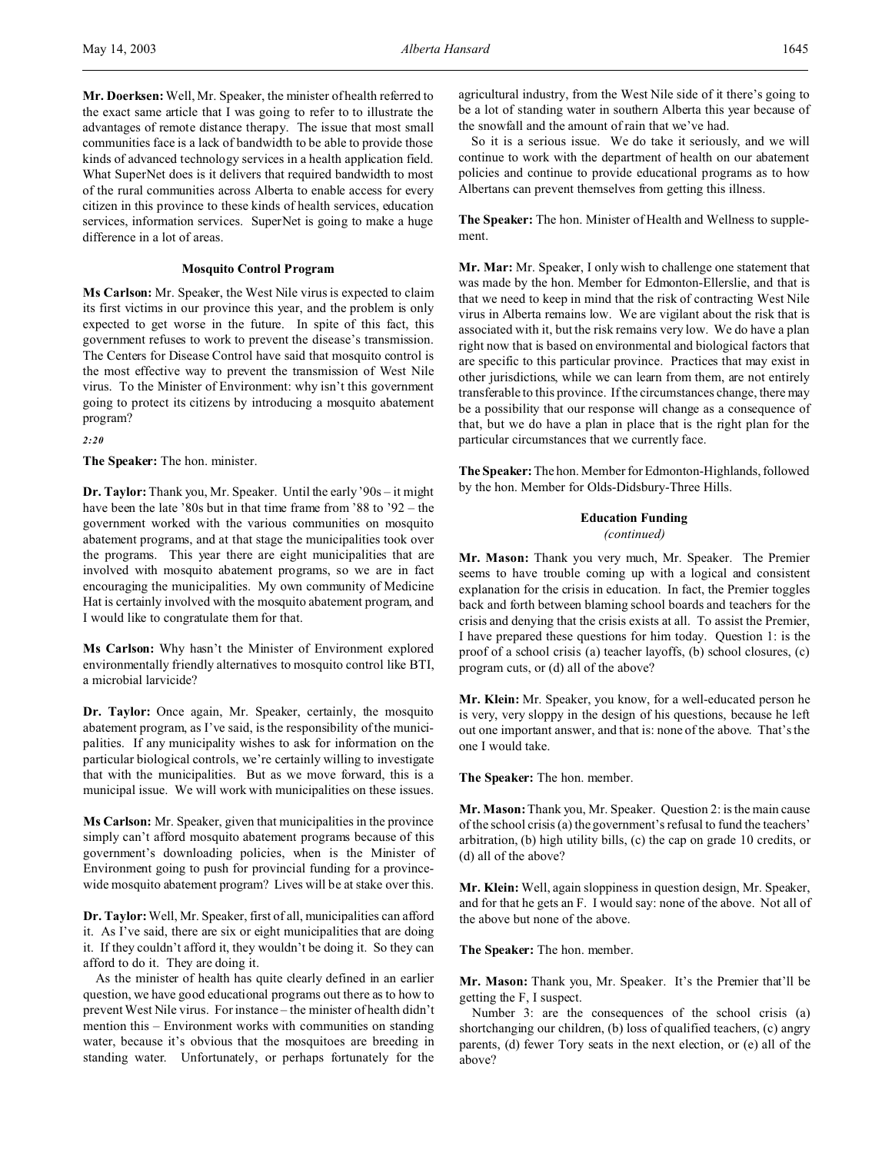**Mr. Doerksen:** Well, Mr. Speaker, the minister of health referred to the exact same article that I was going to refer to to illustrate the advantages of remote distance therapy. The issue that most small communities face is a lack of bandwidth to be able to provide those kinds of advanced technology services in a health application field. What SuperNet does is it delivers that required bandwidth to most of the rural communities across Alberta to enable access for every citizen in this province to these kinds of health services, education services, information services. SuperNet is going to make a huge difference in a lot of areas.

### **Mosquito Control Program**

**Ms Carlson:** Mr. Speaker, the West Nile virus is expected to claim its first victims in our province this year, and the problem is only expected to get worse in the future. In spite of this fact, this government refuses to work to prevent the disease's transmission. The Centers for Disease Control have said that mosquito control is the most effective way to prevent the transmission of West Nile virus. To the Minister of Environment: why isn't this government going to protect its citizens by introducing a mosquito abatement program?

*2:20*

**The Speaker:** The hon. minister.

**Dr. Taylor:**Thank you, Mr. Speaker. Until the early '90s – it might have been the late '80s but in that time frame from '88 to '92 – the government worked with the various communities on mosquito abatement programs, and at that stage the municipalities took over the programs. This year there are eight municipalities that are involved with mosquito abatement programs, so we are in fact encouraging the municipalities. My own community of Medicine Hat is certainly involved with the mosquito abatement program, and I would like to congratulate them for that.

**Ms Carlson:** Why hasn't the Minister of Environment explored environmentally friendly alternatives to mosquito control like BTI, a microbial larvicide?

**Dr. Taylor:** Once again, Mr. Speaker, certainly, the mosquito abatement program, as I've said, is the responsibility of the municipalities. If any municipality wishes to ask for information on the particular biological controls, we're certainly willing to investigate that with the municipalities. But as we move forward, this is a municipal issue. We will work with municipalities on these issues.

**Ms Carlson:** Mr. Speaker, given that municipalities in the province simply can't afford mosquito abatement programs because of this government's downloading policies, when is the Minister of Environment going to push for provincial funding for a provincewide mosquito abatement program? Lives will be at stake over this.

**Dr. Taylor:**Well, Mr. Speaker, first of all, municipalities can afford it. As I've said, there are six or eight municipalities that are doing it. If they couldn't afford it, they wouldn't be doing it. So they can afford to do it. They are doing it.

As the minister of health has quite clearly defined in an earlier question, we have good educational programs out there as to how to prevent West Nile virus. For instance – the minister of health didn't mention this – Environment works with communities on standing water, because it's obvious that the mosquitoes are breeding in standing water. Unfortunately, or perhaps fortunately for the agricultural industry, from the West Nile side of it there's going to be a lot of standing water in southern Alberta this year because of the snowfall and the amount of rain that we've had.

So it is a serious issue. We do take it seriously, and we will continue to work with the department of health on our abatement policies and continue to provide educational programs as to how Albertans can prevent themselves from getting this illness.

**The Speaker:** The hon. Minister of Health and Wellness to supplement.

**Mr. Mar:** Mr. Speaker, I only wish to challenge one statement that was made by the hon. Member for Edmonton-Ellerslie, and that is that we need to keep in mind that the risk of contracting West Nile virus in Alberta remains low. We are vigilant about the risk that is associated with it, but the risk remains very low. We do have a plan right now that is based on environmental and biological factors that are specific to this particular province. Practices that may exist in other jurisdictions, while we can learn from them, are not entirely transferable to this province. If the circumstances change, there may be a possibility that our response will change as a consequence of that, but we do have a plan in place that is the right plan for the particular circumstances that we currently face.

**The Speaker:** The hon. Member for Edmonton-Highlands, followed by the hon. Member for Olds-Didsbury-Three Hills.

# **Education Funding**

*(continued)*

**Mr. Mason:** Thank you very much, Mr. Speaker. The Premier seems to have trouble coming up with a logical and consistent explanation for the crisis in education. In fact, the Premier toggles back and forth between blaming school boards and teachers for the crisis and denying that the crisis exists at all. To assist the Premier, I have prepared these questions for him today. Question 1: is the proof of a school crisis (a) teacher layoffs, (b) school closures, (c) program cuts, or (d) all of the above?

**Mr. Klein:** Mr. Speaker, you know, for a well-educated person he is very, very sloppy in the design of his questions, because he left out one important answer, and that is: none of the above. That's the one I would take.

**The Speaker:** The hon. member.

**Mr. Mason:** Thank you, Mr. Speaker. Question 2: is the main cause of the school crisis (a) the government's refusal to fund the teachers' arbitration, (b) high utility bills, (c) the cap on grade 10 credits, or (d) all of the above?

**Mr. Klein:** Well, again sloppiness in question design, Mr. Speaker, and for that he gets an F. I would say: none of the above. Not all of the above but none of the above.

**The Speaker:** The hon. member.

**Mr. Mason:** Thank you, Mr. Speaker. It's the Premier that'll be getting the F, I suspect.

Number 3: are the consequences of the school crisis (a) shortchanging our children, (b) loss of qualified teachers, (c) angry parents, (d) fewer Tory seats in the next election, or (e) all of the above?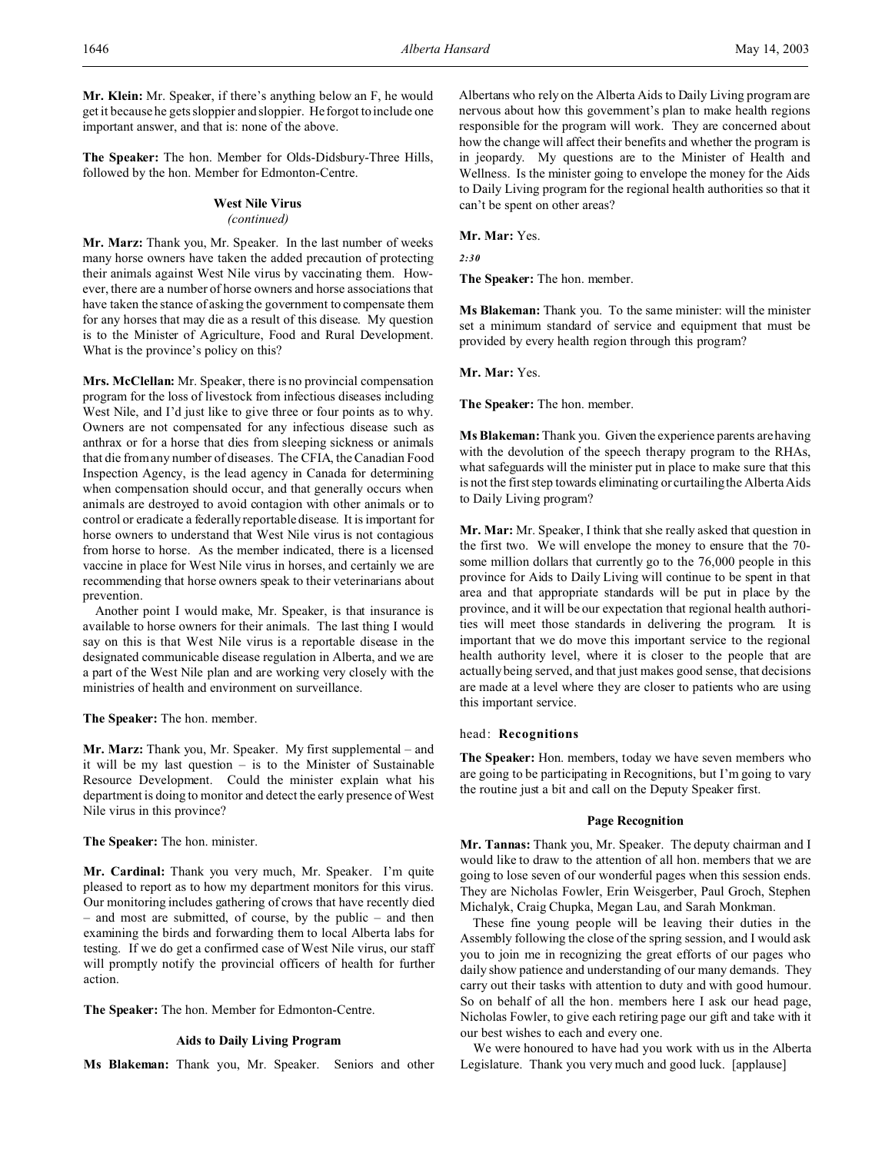**Mr. Klein:** Mr. Speaker, if there's anything below an F, he would get it because he gets sloppier and sloppier. He forgot to include one important answer, and that is: none of the above.

**The Speaker:** The hon. Member for Olds-Didsbury-Three Hills, followed by the hon. Member for Edmonton-Centre.

## **West Nile Virus**

## *(continued)*

**Mr. Marz:** Thank you, Mr. Speaker. In the last number of weeks many horse owners have taken the added precaution of protecting their animals against West Nile virus by vaccinating them. However, there are a number of horse owners and horse associations that have taken the stance of asking the government to compensate them for any horses that may die as a result of this disease. My question is to the Minister of Agriculture, Food and Rural Development. What is the province's policy on this?

**Mrs. McClellan:** Mr. Speaker, there is no provincial compensation program for the loss of livestock from infectious diseases including West Nile, and I'd just like to give three or four points as to why. Owners are not compensated for any infectious disease such as anthrax or for a horse that dies from sleeping sickness or animals that die from any number of diseases. The CFIA, the Canadian Food Inspection Agency, is the lead agency in Canada for determining when compensation should occur, and that generally occurs when animals are destroyed to avoid contagion with other animals or to control or eradicate a federally reportable disease. It is important for horse owners to understand that West Nile virus is not contagious from horse to horse. As the member indicated, there is a licensed vaccine in place for West Nile virus in horses, and certainly we are recommending that horse owners speak to their veterinarians about prevention.

Another point I would make, Mr. Speaker, is that insurance is available to horse owners for their animals. The last thing I would say on this is that West Nile virus is a reportable disease in the designated communicable disease regulation in Alberta, and we are a part of the West Nile plan and are working very closely with the ministries of health and environment on surveillance.

**The Speaker:** The hon. member.

**Mr. Marz:** Thank you, Mr. Speaker. My first supplemental – and it will be my last question – is to the Minister of Sustainable Resource Development. Could the minister explain what his department is doing to monitor and detect the early presence of West Nile virus in this province?

**The Speaker:** The hon. minister.

**Mr. Cardinal:** Thank you very much, Mr. Speaker. I'm quite pleased to report as to how my department monitors for this virus. Our monitoring includes gathering of crows that have recently died – and most are submitted, of course, by the public – and then examining the birds and forwarding them to local Alberta labs for testing. If we do get a confirmed case of West Nile virus, our staff will promptly notify the provincial officers of health for further action.

**The Speaker:** The hon. Member for Edmonton-Centre.

### **Aids to Daily Living Program**

**Ms Blakeman:** Thank you, Mr. Speaker. Seniors and other

Albertans who rely on the Alberta Aids to Daily Living program are nervous about how this government's plan to make health regions responsible for the program will work. They are concerned about how the change will affect their benefits and whether the program is in jeopardy. My questions are to the Minister of Health and Wellness. Is the minister going to envelope the money for the Aids to Daily Living program for the regional health authorities so that it can't be spent on other areas?

## **Mr. Mar:** Yes.

*2:30*

**The Speaker:** The hon. member.

**Ms Blakeman:** Thank you. To the same minister: will the minister set a minimum standard of service and equipment that must be provided by every health region through this program?

**Mr. Mar:** Yes.

**The Speaker:** The hon. member.

**Ms Blakeman:** Thank you. Given the experience parents are having with the devolution of the speech therapy program to the RHAs, what safeguards will the minister put in place to make sure that this is not the first step towards eliminating or curtailing the Alberta Aids to Daily Living program?

**Mr. Mar:** Mr. Speaker, I think that she really asked that question in the first two. We will envelope the money to ensure that the 70 some million dollars that currently go to the 76,000 people in this province for Aids to Daily Living will continue to be spent in that area and that appropriate standards will be put in place by the province, and it will be our expectation that regional health authorities will meet those standards in delivering the program. It is important that we do move this important service to the regional health authority level, where it is closer to the people that are actually being served, and that just makes good sense, that decisions are made at a level where they are closer to patients who are using this important service.

### head: **Recognitions**

**The Speaker:** Hon. members, today we have seven members who are going to be participating in Recognitions, but I'm going to vary the routine just a bit and call on the Deputy Speaker first.

#### **Page Recognition**

**Mr. Tannas:** Thank you, Mr. Speaker. The deputy chairman and I would like to draw to the attention of all hon. members that we are going to lose seven of our wonderful pages when this session ends. They are Nicholas Fowler, Erin Weisgerber, Paul Groch, Stephen Michalyk, Craig Chupka, Megan Lau, and Sarah Monkman.

These fine young people will be leaving their duties in the Assembly following the close of the spring session, and I would ask you to join me in recognizing the great efforts of our pages who daily show patience and understanding of our many demands. They carry out their tasks with attention to duty and with good humour. So on behalf of all the hon. members here I ask our head page, Nicholas Fowler, to give each retiring page our gift and take with it our best wishes to each and every one.

We were honoured to have had you work with us in the Alberta Legislature. Thank you very much and good luck. [applause]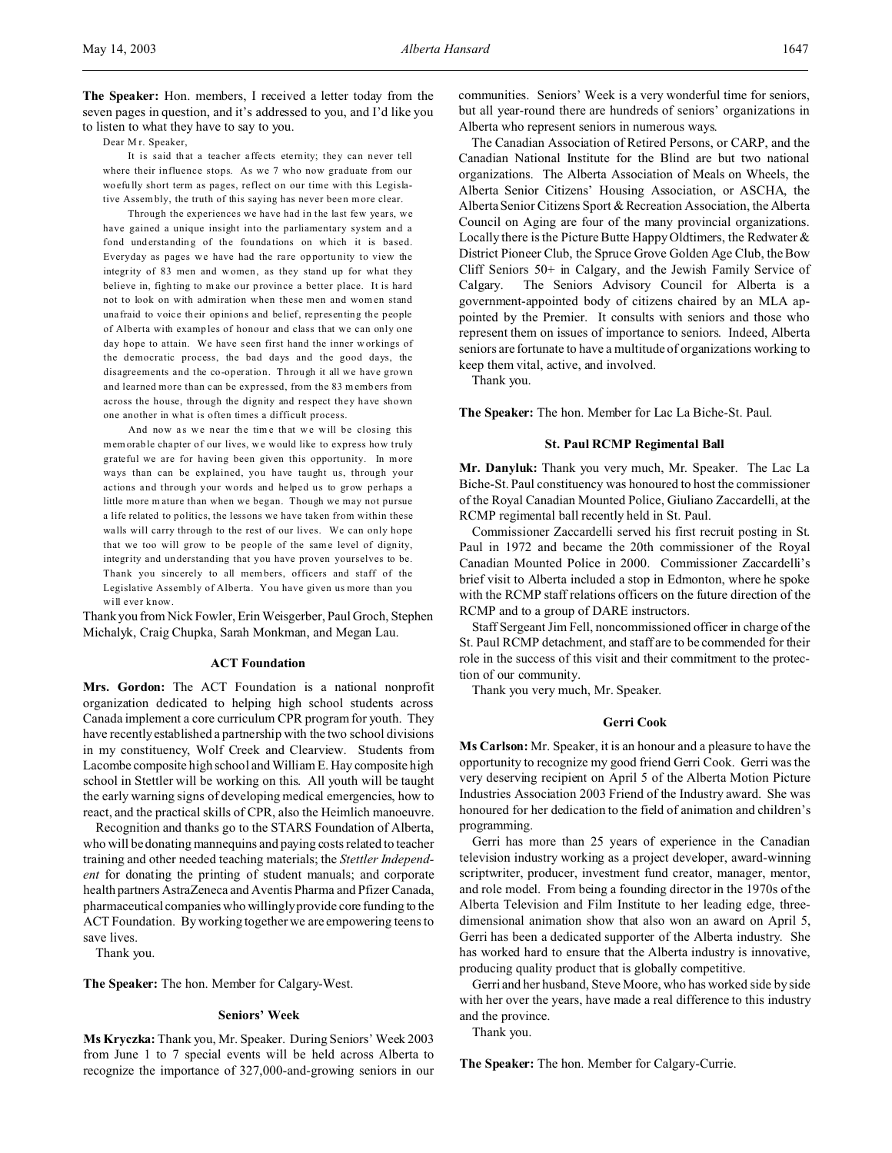**The Speaker:** Hon. members, I received a letter today from the seven pages in question, and it's addressed to you, and I'd like you to listen to what they have to say to you.

Dear Mr. Speaker,

It is said that a teacher affects eternity; they can never tell where their influence stops. As we 7 who now graduate from our woefu lly short term as pages, reflect on our time with this Legislative Assembly, the truth of this saying has never been more clear.

Through the experiences we have had in the last few years, we have gained a unique insight into the parliamentary system and a fond understanding of the foundations on which it is based. Everyday as pages we have had the rare opportunity to view the integrity of 83 men and w omen, as they stand up for what they believe in, figh ting to m ake our province a better place. It is hard not to look on with admiration when these men and women stand una fraid to voice their opinions and belief, representing the people of Alberta with examp les of honour and class that we can only one day hope to attain. We have seen first hand the inner workings of the democratic process, the bad days and the good days, the disagreements and the co-operation. Through it all we have grown and learned more than can be expressed, from the 83 memb ers from across the house, through the dignity and respect they have shown one another in what is often times a difficult process.

And now as we near the time that we will be closing this memorable chapter of our lives, we would like to express how truly grateful we are for having been given this opportunity. In more ways than can be explained, you have taught us, through your actions and through your words and helped us to grow perhaps a little more m ature than when we began. Though we may not pursue a life related to politics, the lessons we have taken from within these walls will carry through to the rest of our lives. We can only hope that we too will grow to be people of the same level of dignity, integrity and understanding that you have proven yourselves to be. Thank you sincerely to all members, officers and staff of the Legislative Assembly of Alberta. You have given us more than you will ever know.

Thank you from Nick Fowler, Erin Weisgerber, Paul Groch, Stephen Michalyk, Craig Chupka, Sarah Monkman, and Megan Lau.

#### **ACT Foundation**

**Mrs. Gordon:** The ACT Foundation is a national nonprofit organization dedicated to helping high school students across Canada implement a core curriculum CPR program for youth. They have recently established a partnership with the two school divisions in my constituency, Wolf Creek and Clearview. Students from Lacombe composite high school and William E. Hay composite high school in Stettler will be working on this. All youth will be taught the early warning signs of developing medical emergencies, how to react, and the practical skills of CPR, also the Heimlich manoeuvre.

Recognition and thanks go to the STARS Foundation of Alberta, who will be donating mannequins and paying costs related to teacher training and other needed teaching materials; the *Stettler Independent* for donating the printing of student manuals; and corporate health partners AstraZeneca and Aventis Pharma and Pfizer Canada, pharmaceutical companies who willingly provide core funding to the ACT Foundation. By working together we are empowering teens to save lives.

Thank you.

**The Speaker:** The hon. Member for Calgary-West.

#### **Seniors' Week**

**Ms Kryczka:** Thank you, Mr. Speaker. During Seniors' Week 2003 from June 1 to 7 special events will be held across Alberta to recognize the importance of 327,000-and-growing seniors in our communities. Seniors' Week is a very wonderful time for seniors, but all year-round there are hundreds of seniors' organizations in Alberta who represent seniors in numerous ways.

The Canadian Association of Retired Persons, or CARP, and the Canadian National Institute for the Blind are but two national organizations. The Alberta Association of Meals on Wheels, the Alberta Senior Citizens' Housing Association, or ASCHA, the Alberta Senior Citizens Sport & Recreation Association, the Alberta Council on Aging are four of the many provincial organizations. Locally there is the Picture Butte Happy Oldtimers, the Redwater & District Pioneer Club, the Spruce Grove Golden Age Club, the Bow Cliff Seniors 50+ in Calgary, and the Jewish Family Service of Calgary. The Seniors Advisory Council for Alberta is a government-appointed body of citizens chaired by an MLA appointed by the Premier. It consults with seniors and those who represent them on issues of importance to seniors. Indeed, Alberta seniors are fortunate to have a multitude of organizations working to keep them vital, active, and involved.

Thank you.

**The Speaker:** The hon. Member for Lac La Biche-St. Paul.

#### **St. Paul RCMP Regimental Ball**

**Mr. Danyluk:** Thank you very much, Mr. Speaker. The Lac La Biche-St. Paul constituency was honoured to host the commissioner of the Royal Canadian Mounted Police, Giuliano Zaccardelli, at the RCMP regimental ball recently held in St. Paul.

Commissioner Zaccardelli served his first recruit posting in St. Paul in 1972 and became the 20th commissioner of the Royal Canadian Mounted Police in 2000. Commissioner Zaccardelli's brief visit to Alberta included a stop in Edmonton, where he spoke with the RCMP staff relations officers on the future direction of the RCMP and to a group of DARE instructors.

Staff Sergeant Jim Fell, noncommissioned officer in charge of the St. Paul RCMP detachment, and staff are to be commended for their role in the success of this visit and their commitment to the protection of our community.

Thank you very much, Mr. Speaker.

### **Gerri Cook**

**Ms Carlson:** Mr. Speaker, it is an honour and a pleasure to have the opportunity to recognize my good friend Gerri Cook. Gerri was the very deserving recipient on April 5 of the Alberta Motion Picture Industries Association 2003 Friend of the Industry award. She was honoured for her dedication to the field of animation and children's programming.

Gerri has more than 25 years of experience in the Canadian television industry working as a project developer, award-winning scriptwriter, producer, investment fund creator, manager, mentor, and role model. From being a founding director in the 1970s of the Alberta Television and Film Institute to her leading edge, threedimensional animation show that also won an award on April 5, Gerri has been a dedicated supporter of the Alberta industry. She has worked hard to ensure that the Alberta industry is innovative, producing quality product that is globally competitive.

Gerri and her husband, Steve Moore, who has worked side by side with her over the years, have made a real difference to this industry and the province.

Thank you.

**The Speaker:** The hon. Member for Calgary-Currie.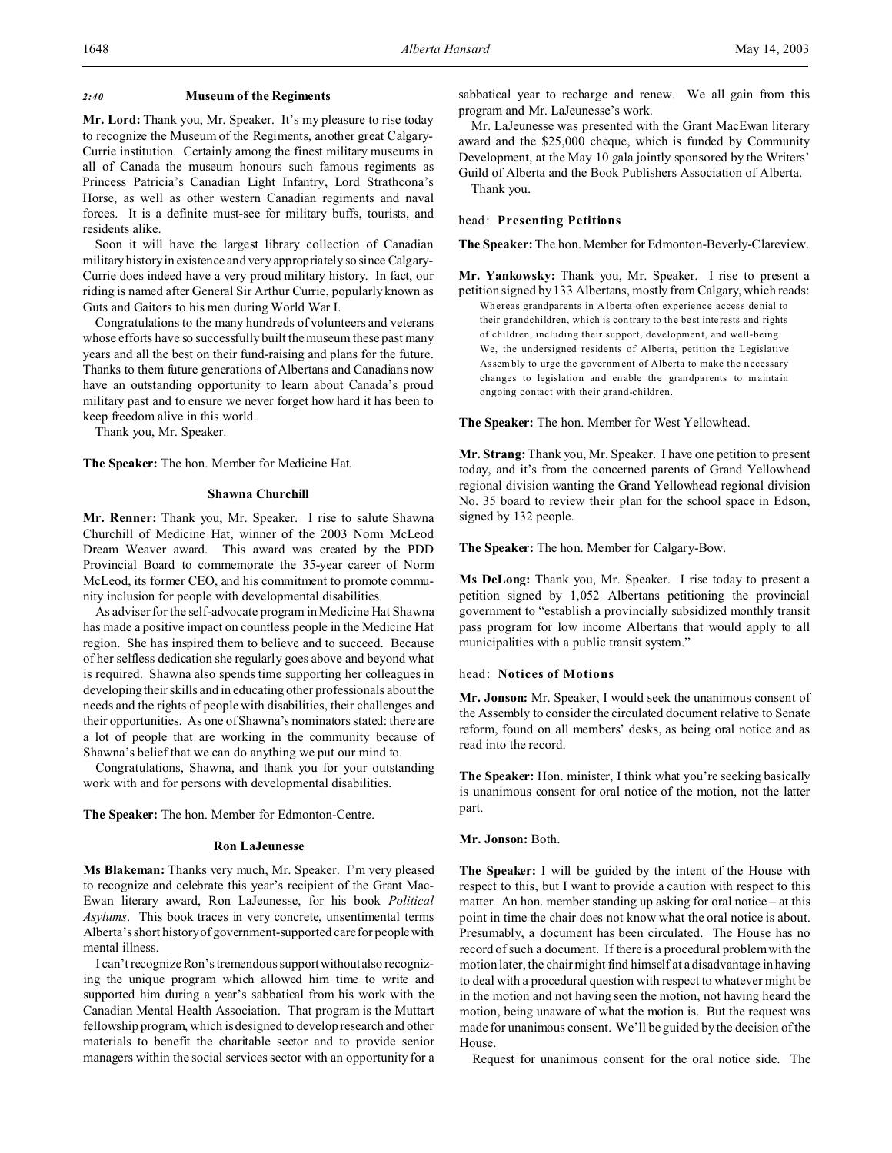#### *2:40* **Museum of the Regiments**

**Mr. Lord:** Thank you, Mr. Speaker. It's my pleasure to rise today to recognize the Museum of the Regiments, another great Calgary-Currie institution. Certainly among the finest military museums in all of Canada the museum honours such famous regiments as Princess Patricia's Canadian Light Infantry, Lord Strathcona's Horse, as well as other western Canadian regiments and naval forces. It is a definite must-see for military buffs, tourists, and residents alike.

Soon it will have the largest library collection of Canadian military history in existence and very appropriately so since Calgary-Currie does indeed have a very proud military history. In fact, our riding is named after General Sir Arthur Currie, popularly known as Guts and Gaitors to his men during World War I.

Congratulations to the many hundreds of volunteers and veterans whose efforts have so successfully built the museum these past many years and all the best on their fund-raising and plans for the future. Thanks to them future generations of Albertans and Canadians now have an outstanding opportunity to learn about Canada's proud military past and to ensure we never forget how hard it has been to keep freedom alive in this world.

Thank you, Mr. Speaker.

**The Speaker:** The hon. Member for Medicine Hat.

#### **Shawna Churchill**

**Mr. Renner:** Thank you, Mr. Speaker. I rise to salute Shawna Churchill of Medicine Hat, winner of the 2003 Norm McLeod Dream Weaver award. This award was created by the PDD Provincial Board to commemorate the 35-year career of Norm McLeod, its former CEO, and his commitment to promote community inclusion for people with developmental disabilities.

As adviser for the self-advocate program in Medicine Hat Shawna has made a positive impact on countless people in the Medicine Hat region. She has inspired them to believe and to succeed. Because of her selfless dedication she regularly goes above and beyond what is required. Shawna also spends time supporting her colleagues in developing their skills and in educating other professionals about the needs and the rights of people with disabilities, their challenges and their opportunities. As one of Shawna's nominators stated: there are a lot of people that are working in the community because of Shawna's belief that we can do anything we put our mind to.

Congratulations, Shawna, and thank you for your outstanding work with and for persons with developmental disabilities.

**The Speaker:** The hon. Member for Edmonton-Centre.

#### **Ron LaJeunesse**

**Ms Blakeman:** Thanks very much, Mr. Speaker. I'm very pleased to recognize and celebrate this year's recipient of the Grant Mac-Ewan literary award, Ron LaJeunesse, for his book *Political Asylums*. This book traces in very concrete, unsentimental terms Alberta's short history of government-supported care for peoplewith mental illness.

I can't recognize Ron's tremendous supportwithoutalso recognizing the unique program which allowed him time to write and supported him during a year's sabbatical from his work with the Canadian Mental Health Association. That program is the Muttart fellowship program, which is designed to develop research and other materials to benefit the charitable sector and to provide senior managers within the social services sector with an opportunity for a

sabbatical year to recharge and renew. We all gain from this program and Mr. LaJeunesse's work.

Mr. LaJeunesse was presented with the Grant MacEwan literary award and the \$25,000 cheque, which is funded by Community Development, at the May 10 gala jointly sponsored by the Writers' Guild of Alberta and the Book Publishers Association of Alberta. Thank you.

head: **Presenting Petitions**

**The Speaker:**The hon. Member for Edmonton-Beverly-Clareview.

**Mr. Yankowsky:** Thank you, Mr. Speaker. I rise to present a petition signed by 133 Albertans, mostly from Calgary, which reads: Wh ereas grandparents in A lberta often experience access denial to their grandchildren, which is contrary to the be st interests and rights of children, including their support, development, and well-being. We, the undersigned residents of Alberta, petition the Legislative Assem bly to urge the government of Alberta to make the necessary changes to legislation and enable the grandpa rents to maintain ongoing contact with their grand-children.

**The Speaker:** The hon. Member for West Yellowhead.

**Mr. Strang:**Thank you, Mr. Speaker. I have one petition to present today, and it's from the concerned parents of Grand Yellowhead regional division wanting the Grand Yellowhead regional division No. 35 board to review their plan for the school space in Edson, signed by 132 people.

**The Speaker:** The hon. Member for Calgary-Bow.

**Ms DeLong:** Thank you, Mr. Speaker. I rise today to present a petition signed by 1,052 Albertans petitioning the provincial government to "establish a provincially subsidized monthly transit pass program for low income Albertans that would apply to all municipalities with a public transit system."

## head: **Notices of Motions**

**Mr. Jonson:** Mr. Speaker, I would seek the unanimous consent of the Assembly to consider the circulated document relative to Senate reform, found on all members' desks, as being oral notice and as read into the record.

**The Speaker:** Hon. minister, I think what you're seeking basically is unanimous consent for oral notice of the motion, not the latter part.

**Mr. Jonson:** Both.

**The Speaker:** I will be guided by the intent of the House with respect to this, but I want to provide a caution with respect to this matter. An hon. member standing up asking for oral notice – at this point in time the chair does not know what the oral notice is about. Presumably, a document has been circulated. The House has no record of such a document. If there is a procedural problem with the motion later, the chair might find himself at a disadvantage in having to deal with a procedural question with respect to whatever might be in the motion and not having seen the motion, not having heard the motion, being unaware of what the motion is. But the request was made for unanimous consent. We'll be guided by the decision of the House.

Request for unanimous consent for the oral notice side. The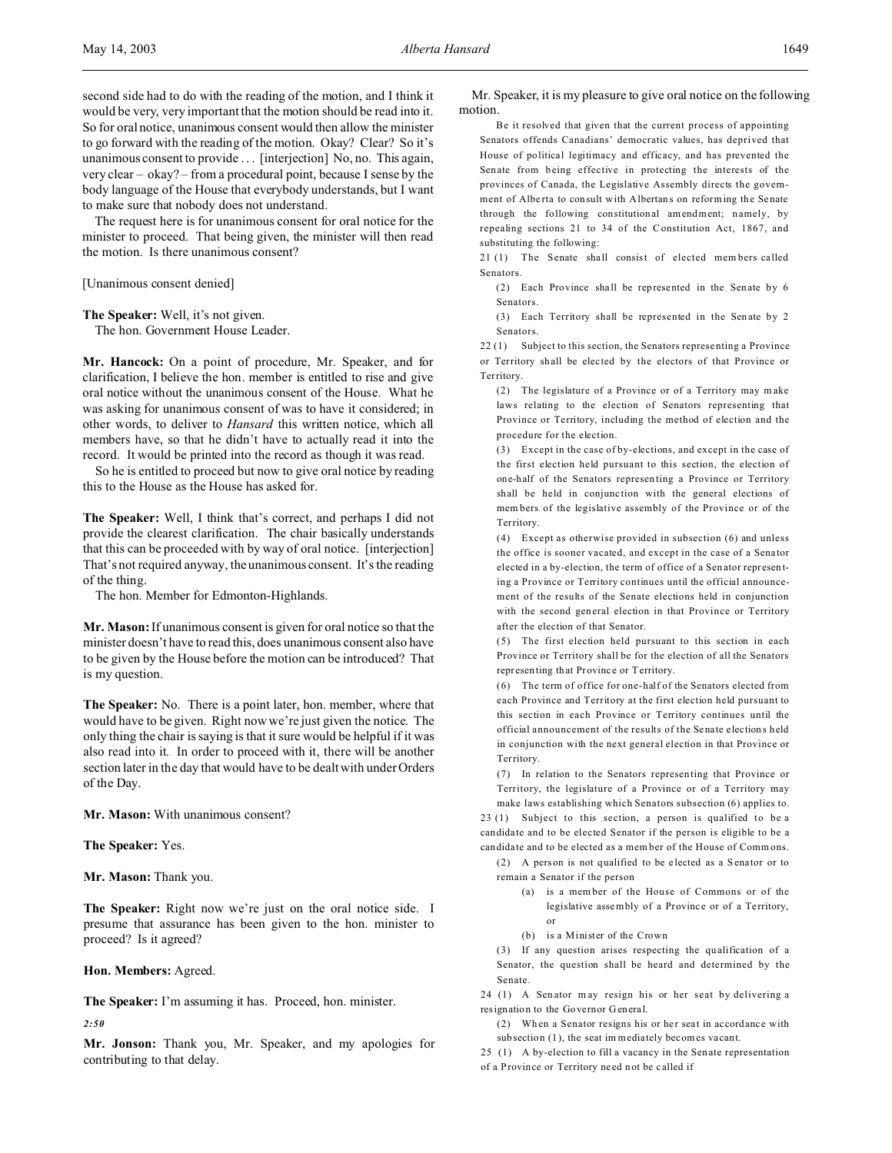The request here is for unanimous consent for oral notice for the minister to proceed. That being given, the minister will then read the motion. Is there unanimous consent?

[Unanimous consent denied]

**The Speaker:** Well, it's not given. The hon. Government House Leader.

**Mr. Hancock:** On a point of procedure, Mr. Speaker, and for clarification, I believe the hon. member is entitled to rise and give oral notice without the unanimous consent of the House. What he was asking for unanimous consent of was to have it considered; in other words, to deliver to *Hansard* this written notice, which all members have, so that he didn't have to actually read it into the record. It would be printed into the record as though it was read.

So he is entitled to proceed but now to give oral notice by reading this to the House as the House has asked for.

**The Speaker:** Well, I think that's correct, and perhaps I did not provide the clearest clarification. The chair basically understands that this can be proceeded with by way of oral notice. [interjection] That's not required anyway, the unanimous consent. It's the reading of the thing.

The hon. Member for Edmonton-Highlands.

**Mr. Mason:** If unanimous consent is given for oral notice so that the minister doesn't have to read this, does unanimous consent also have to be given by the House before the motion can be introduced? That is my question.

**The Speaker:** No. There is a point later, hon. member, where that would have to be given. Right now we're just given the notice. The only thing the chair is saying is that it sure would be helpful if it was also read into it. In order to proceed with it, there will be another section later in the day that would have to be dealt with under Orders of the Day.

**Mr. Mason:** With unanimous consent?

**The Speaker:** Yes.

**Mr. Mason:** Thank you.

**The Speaker:** Right now we're just on the oral notice side. I presume that assurance has been given to the hon. minister to proceed? Is it agreed?

#### **Hon. Members:** Agreed.

**The Speaker:** I'm assuming it has. Proceed, hon. minister.

*2:50*

**Mr. Jonson:** Thank you, Mr. Speaker, and my apologies for contributing to that delay.

Mr. Speaker, it is my pleasure to give oral notice on the following motion.

Be it resolved that given that the current process of appointing Senators offends Canadians' democratic values, has deprived that House of political legitimacy and efficacy, and has prevented the Sen ate from being effective in protecting the interests of the provinces of Canada, the Legislative Assembly directs the government of Alberta to consult with Albertans on reforming the Senate through the following constitutional amendment; namely, by repealing sections 21 to 34 of the Constitution Act, 1867, and substituting the following:

21 (1) The Senate shall consist of elected members called Senators.

(2) Each Province shall be represented in the Senate by 6 Senators.

(3) Each Territory shall be represented in the Sen ate by 2 Senators.

22 (1) Subject to this section, the Senators representing a Province or Territory shall be elected by the electors of that Province or **Territory** 

(2) The legislature of a Province or of a Territory may m ake laws relating to the election of Senators representing that Province or Territory, including the method of election and the procedure for the election.

(3) Except in the case of by-elections, and except in the case of the first election held pursuant to this section, the election of one-half of the Senators represen ting a Province or Territory shall be held in conjunction with the general elections of mem bers of the legislative assembly of the Province or of the Territory.

(4) Except as otherwise provided in subsection (6) and unless the office is sooner vacated, and except in the case of a Sena tor elected in a by-election, the term of office of a Senator representing a Province or Territory continues until the official announcement of the results of the Senate elections held in conjunction with the second general election in that Province or Territory after the election of that Senator.

(5) The first election held pursuant to this section in each Province or Territory shall be for the election of all the Senators representing that Province or Territory.

(6) The term of office for one-half of the Senators elected from each Province and Territory at the first election held pursuant to this section in each Province or Territory continues until the official announcement of the results of the Senate election s held in conjunction with the next general election in that Province or Territory.

(7) In relation to the Senators represen ting that Province or Territory, the legislature of a Province or of a Territory may

make laws establishing which Senators subsection (6) applies to. 23 (1) Subject to this section, a person is qualified to be a candida te and to be elected Senator if the person is eligible to be a candida te and to be elected as a mem ber of the House of Comm ons.

(2) A person is not qualified to be elected as a S enator or to remain a Senator if the person

- (a) is a mem ber of the House of Commons or of the legislative assembly of a Province or of a Territory, or
- (b) is a Minister of the Crown

(3) If any question arises respecting the qualification of a Senator, the question shall be heard and determined by the Senate.

24 (1) A Senator may resign his or her seat by delivering a resignation to the Governor G enera l.

(2) When a Senator resigns his or her seat in accordance with sub section (1), the seat im mediately becomes va cant.

25 (1) A by-election to fill a vacancy in the Senate representation of a Province or Territory ne ed not be c alled if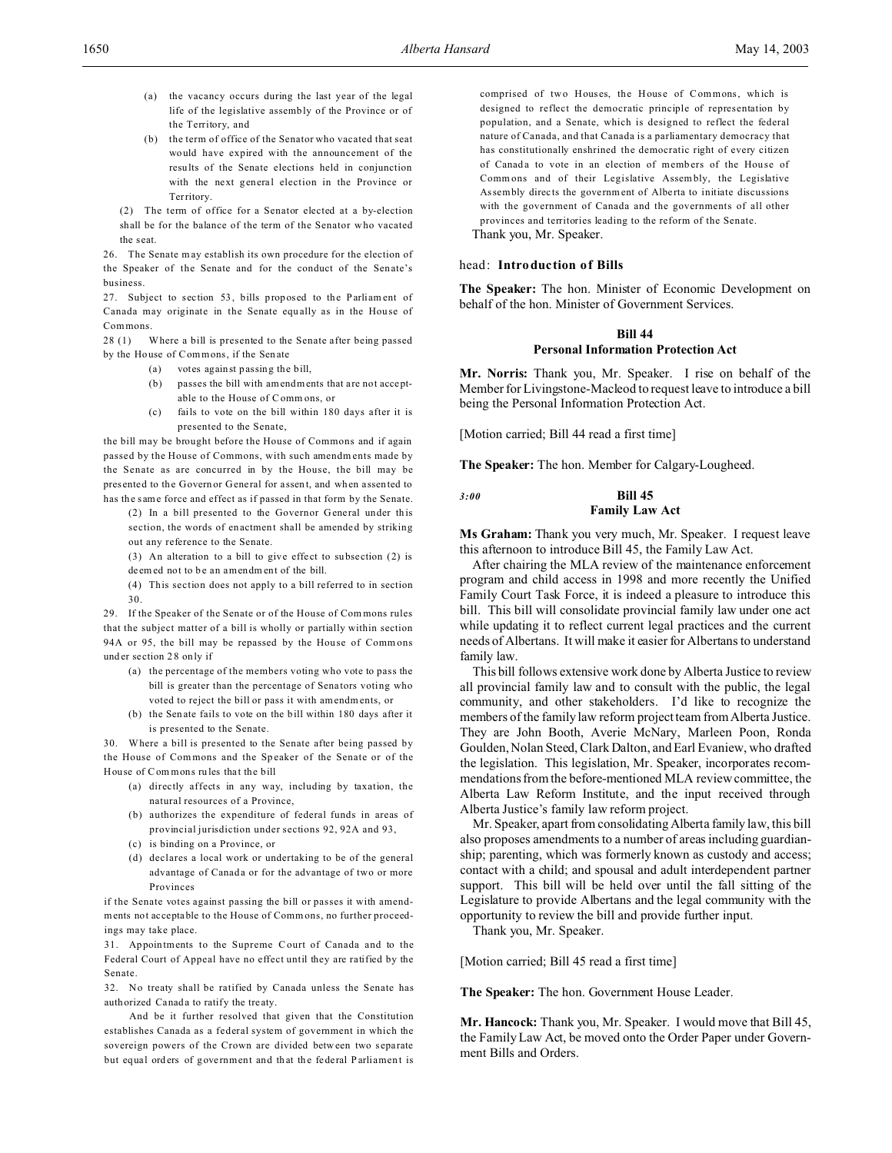- (a) the vacancy occurs during the last year of the legal life of the legislative assemb ly of the Province or of the Territory, and
- (b) the term of office of the Senator who vacated that seat would have expired with the announcement of the results of the Senate elections held in conjunction with the next general election in the Province or Territory.

(2) The term of office for a Senator elected at a by-election shall be for the balance of the term of the Senator who vacated the s eat.

26. The Senate m ay establish its own procedure for the election of the Speaker of the Senate and for the conduct of the Senate's business.

27. Subject to section 53, bills proposed to the Parliament of Canada may originate in the Senate equally as in the House of Commons.

28 (1) Where a bill is presented to the Senate after being passed by the House of Commons, if the Sen ate

- (a) votes against passing the bill,
- (b) passes the bill with amendments that are not acceptable to the House of Comm ons, or
- (c) fails to vote on the bill within 180 days after it is presented to the Senate,

the bill may be brought before the House of Commons and if again passed by the House of Commons, with such amendments made by the Senate as are concurred in by the House, the bill may be presented to the Governor General for assent, and when assented to has the same force and effect as if passed in that form by the Senate.

- (2) In a bill presented to the Governor General under this section, the words of enactment shall be amended by striking out any reference to the Senate.
- (3) An alteration to a bill to give effect to subsection  $(2)$  is deem ed not to be an amendm ent of the bill.
- (4) This section does not apply to a bill referred to in section 30.

29. If the Speaker of the Senate or of the House of Com mons rules that the subject matter of a bill is wholly or partially within section 94A or 95, the bill may be repassed by the House of Comm ons und er se ction 2 8 only if

- (a) the percentage of the members voting who vote to pass the bill is greater than the percentage of Sena tors voting who voted to reject the bill or pass it with amendm ents, or
- (b) the Sen ate fails to vote on the bill within 180 days after it is presented to the Senate.

30. Where a bill is presented to the Senate after being passed by the House of Commons and the Speaker of the Senate or of the House of Commons rules that the bill

- (a) directly affects in any way, including by taxation, the natural resources of a Province,
- (b) authorizes the expenditure of federal funds in areas of provincial jurisdiction under sections 92, 92A and 93,
- (c) is binding on a Province, or
- (d) declares a local work or undertaking to be of the general advantage of Canada or for the advantage of two or more Provinces

if the Senate votes against passing the bill or passes it with amendments not acceptable to the House of Comm ons, no further proceedings may take place.

31. Appointments to the Supreme Court of Canada and to the Federal Court of Appeal have no effect until they are ratified by the Senate.

32. No treaty shall be ratified by Canada unless the Senate has authorized Canada to ratify the tre aty.

And be it further resolved that given that the Constitution establishes Canada as a federal system of government in which the sovereign powers of the Crown are divided between two separate but equal orders of government and that the federal P arliament is comprised of two Houses, the House of Commons, which is designed to reflect the democratic principle of representation by population, and a Senate, which is designed to reflect the federal nature of Canada, and that Canada is a parliamentary democracy that has constitutionally enshrined the democratic right of every citizen of Canada to vote in an election of members of the House of Comm ons and of their Legislative Assembly, the Legislative Assembly directs the government of Alberta to initiate discussions with the government of Canada and the governments of all other provinces and territories leading to the reform of the Senate.

Thank you, Mr. Speaker.

### head: **Introduction of Bills**

**The Speaker:** The hon. Minister of Economic Development on behalf of the hon. Minister of Government Services.

## **Bill 44**

#### **Personal Information Protection Act**

**Mr. Norris:** Thank you, Mr. Speaker. I rise on behalf of the Member for Livingstone-Macleod to request leave to introduce a bill being the Personal Information Protection Act.

[Motion carried; Bill 44 read a first time]

**The Speaker:** The hon. Member for Calgary-Lougheed.

# *3:00* **Bill 45 Family Law Act**

**Ms Graham:** Thank you very much, Mr. Speaker. I request leave this afternoon to introduce Bill 45, the Family Law Act.

After chairing the MLA review of the maintenance enforcement program and child access in 1998 and more recently the Unified Family Court Task Force, it is indeed a pleasure to introduce this bill. This bill will consolidate provincial family law under one act while updating it to reflect current legal practices and the current needs of Albertans. It will make it easier for Albertans to understand family law.

This bill follows extensive work done by Alberta Justice to review all provincial family law and to consult with the public, the legal community, and other stakeholders. I'd like to recognize the members of the family law reform project team from Alberta Justice. They are John Booth, Averie McNary, Marleen Poon, Ronda Goulden, Nolan Steed, Clark Dalton, and Earl Evaniew, who drafted the legislation. This legislation, Mr. Speaker, incorporates recommendations from the before-mentioned MLA review committee, the Alberta Law Reform Institute, and the input received through Alberta Justice's family law reform project.

Mr. Speaker, apart from consolidating Alberta family law, this bill also proposes amendments to a number of areas including guardianship; parenting, which was formerly known as custody and access; contact with a child; and spousal and adult interdependent partner support. This bill will be held over until the fall sitting of the Legislature to provide Albertans and the legal community with the opportunity to review the bill and provide further input.

Thank you, Mr. Speaker.

[Motion carried; Bill 45 read a first time]

**The Speaker:** The hon. Government House Leader.

**Mr. Hancock:** Thank you, Mr. Speaker. I would move that Bill 45, the Family Law Act, be moved onto the Order Paper under Government Bills and Orders.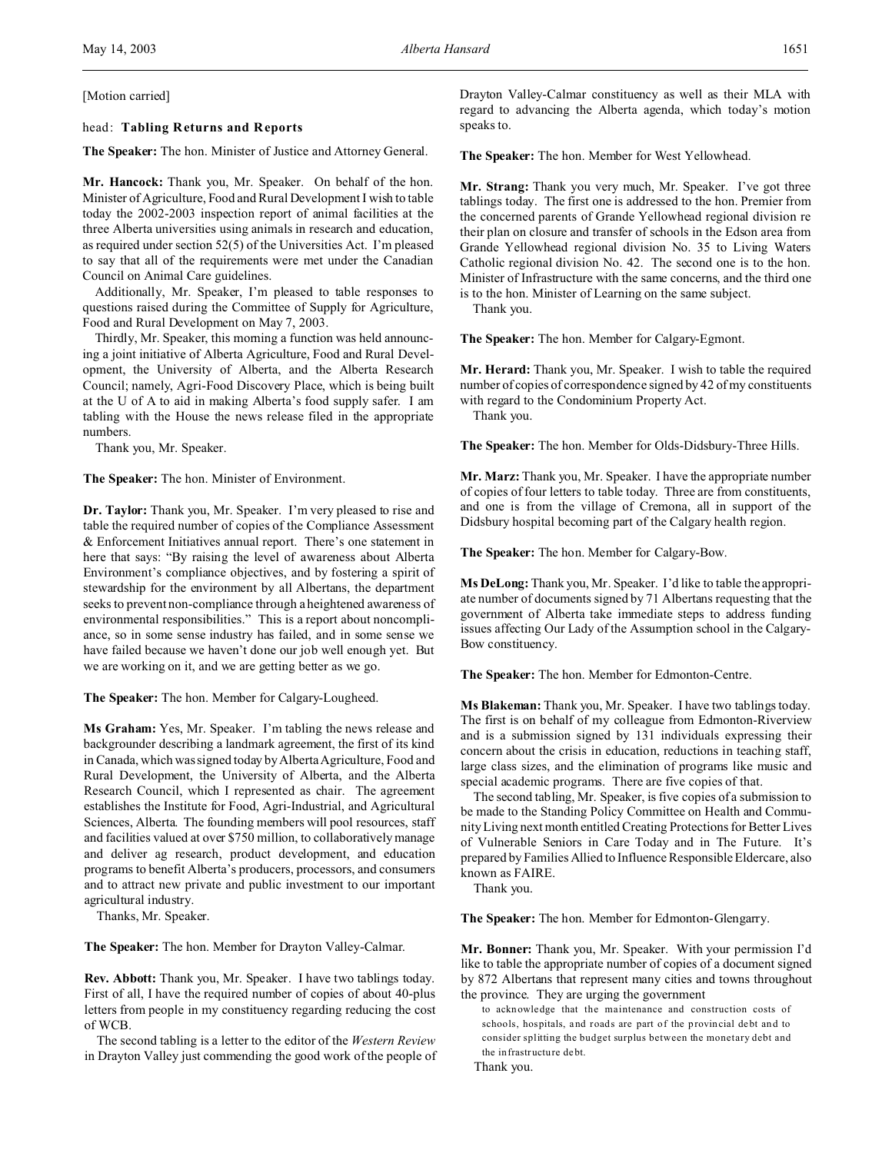## [Motion carried]

## head: **Tabling Returns and Reports**

**The Speaker:** The hon. Minister of Justice and Attorney General.

**Mr. Hancock:** Thank you, Mr. Speaker. On behalf of the hon. Minister of Agriculture, Food and Rural Development I wish to table today the 2002-2003 inspection report of animal facilities at the three Alberta universities using animals in research and education, as required under section 52(5) of the Universities Act. I'm pleased to say that all of the requirements were met under the Canadian Council on Animal Care guidelines.

Additionally, Mr. Speaker, I'm pleased to table responses to questions raised during the Committee of Supply for Agriculture, Food and Rural Development on May 7, 2003.

Thirdly, Mr. Speaker, this morning a function was held announcing a joint initiative of Alberta Agriculture, Food and Rural Development, the University of Alberta, and the Alberta Research Council; namely, Agri-Food Discovery Place, which is being built at the U of A to aid in making Alberta's food supply safer. I am tabling with the House the news release filed in the appropriate numbers.

Thank you, Mr. Speaker.

**The Speaker:** The hon. Minister of Environment.

**Dr. Taylor:** Thank you, Mr. Speaker. I'm very pleased to rise and table the required number of copies of the Compliance Assessment & Enforcement Initiatives annual report. There's one statement in here that says: "By raising the level of awareness about Alberta Environment's compliance objectives, and by fostering a spirit of stewardship for the environment by all Albertans, the department seeks to prevent non-compliance through a heightened awareness of environmental responsibilities." This is a report about noncompliance, so in some sense industry has failed, and in some sense we have failed because we haven't done our job well enough yet. But we are working on it, and we are getting better as we go.

**The Speaker:** The hon. Member for Calgary-Lougheed.

**Ms Graham:** Yes, Mr. Speaker. I'm tabling the news release and backgrounder describing a landmark agreement, the first of its kind in Canada, which was signed today by Alberta Agriculture, Food and Rural Development, the University of Alberta, and the Alberta Research Council, which I represented as chair. The agreement establishes the Institute for Food, Agri-Industrial, and Agricultural Sciences, Alberta. The founding members will pool resources, staff and facilities valued at over \$750 million, to collaboratively manage and deliver ag research, product development, and education programs to benefit Alberta's producers, processors, and consumers and to attract new private and public investment to our important agricultural industry.

Thanks, Mr. Speaker.

**The Speaker:** The hon. Member for Drayton Valley-Calmar.

**Rev. Abbott:** Thank you, Mr. Speaker. I have two tablings today. First of all, I have the required number of copies of about 40-plus letters from people in my constituency regarding reducing the cost of WCB.

The second tabling is a letter to the editor of the *Western Review* in Drayton Valley just commending the good work of the people of Drayton Valley-Calmar constituency as well as their MLA with regard to advancing the Alberta agenda, which today's motion speaks to.

**The Speaker:** The hon. Member for West Yellowhead.

**Mr. Strang:** Thank you very much, Mr. Speaker. I've got three tablings today. The first one is addressed to the hon. Premier from the concerned parents of Grande Yellowhead regional division re their plan on closure and transfer of schools in the Edson area from Grande Yellowhead regional division No. 35 to Living Waters Catholic regional division No. 42. The second one is to the hon. Minister of Infrastructure with the same concerns, and the third one is to the hon. Minister of Learning on the same subject.

Thank you.

**The Speaker:** The hon. Member for Calgary-Egmont.

**Mr. Herard:** Thank you, Mr. Speaker. I wish to table the required number of copies of correspondence signed by 42 of my constituents with regard to the Condominium Property Act. Thank you.

**The Speaker:** The hon. Member for Olds-Didsbury-Three Hills.

**Mr. Marz:** Thank you, Mr. Speaker. I have the appropriate number of copies of four letters to table today. Three are from constituents, and one is from the village of Cremona, all in support of the Didsbury hospital becoming part of the Calgary health region.

**The Speaker:** The hon. Member for Calgary-Bow.

**Ms DeLong:** Thank you, Mr. Speaker. I'd like to table the appropriate number of documents signed by 71 Albertans requesting that the government of Alberta take immediate steps to address funding issues affecting Our Lady of the Assumption school in the Calgary-Bow constituency.

**The Speaker:** The hon. Member for Edmonton-Centre.

**Ms Blakeman:** Thank you, Mr. Speaker. I have two tablings today. The first is on behalf of my colleague from Edmonton-Riverview and is a submission signed by 131 individuals expressing their concern about the crisis in education, reductions in teaching staff, large class sizes, and the elimination of programs like music and special academic programs. There are five copies of that.

The second tabling, Mr. Speaker, is five copies of a submission to be made to the Standing Policy Committee on Health and Community Living next month entitled Creating Protections for Better Lives of Vulnerable Seniors in Care Today and in The Future. It's prepared by Families Allied to Influence Responsible Eldercare, also known as FAIRE.

Thank you.

**The Speaker:** The hon. Member for Edmonton-Glengarry.

**Mr. Bonner:** Thank you, Mr. Speaker. With your permission I'd like to table the appropriate number of copies of a document signed by 872 Albertans that represent many cities and towns throughout the province. They are urging the government

to ackn owledge that the maintenance and construction costs of schools, hospitals, and roads are part of the provincial debt and to consider splitting the budget surplus between the monetary debt and the infrastructure debt.

Thank you.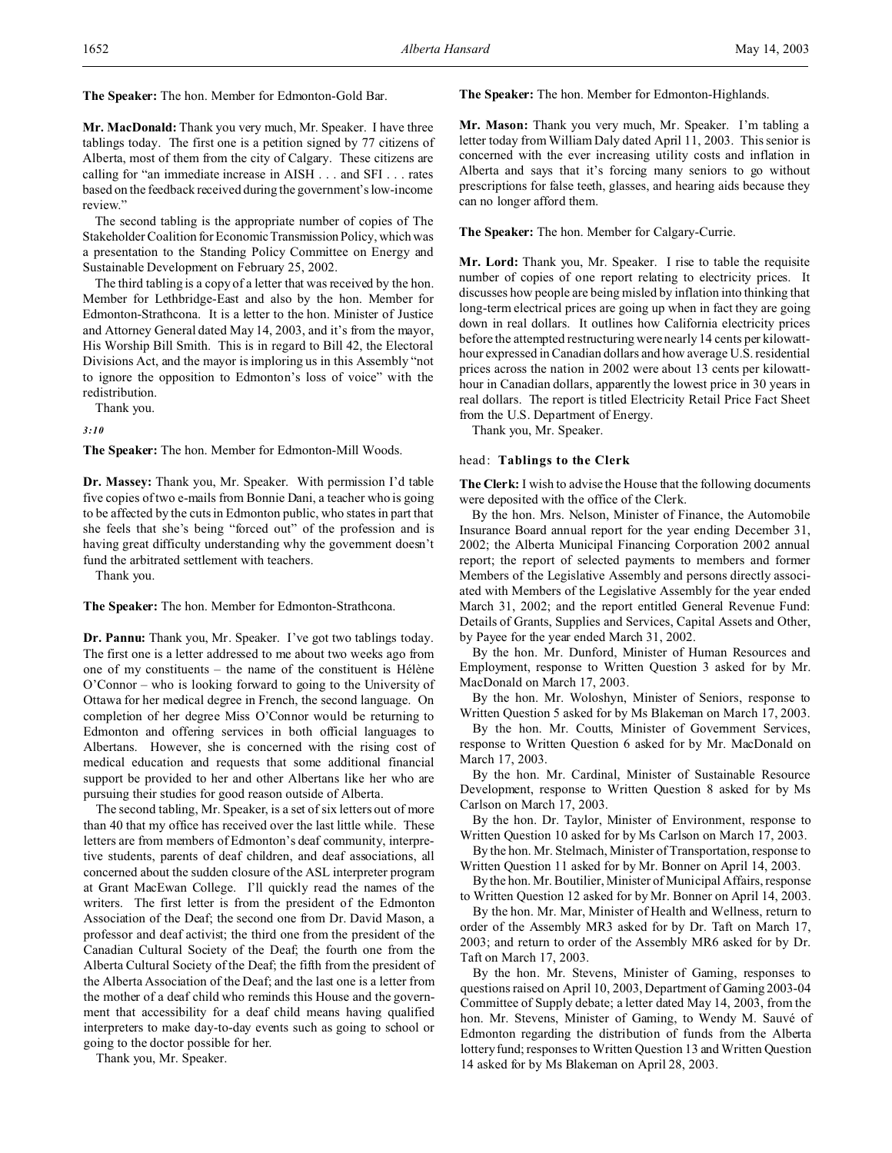**The Speaker:** The hon. Member for Edmonton-Gold Bar.

**Mr. MacDonald:** Thank you very much, Mr. Speaker. I have three tablings today. The first one is a petition signed by 77 citizens of Alberta, most of them from the city of Calgary. These citizens are calling for "an immediate increase in AISH . . . and SFI . . . rates based on the feedback received during the government's low-income review."

The second tabling is the appropriate number of copies of The Stakeholder Coalition for EconomicTransmission Policy, which was a presentation to the Standing Policy Committee on Energy and Sustainable Development on February 25, 2002.

The third tabling is a copy of a letter that was received by the hon. Member for Lethbridge-East and also by the hon. Member for Edmonton-Strathcona. It is a letter to the hon. Minister of Justice and Attorney General dated May 14, 2003, and it's from the mayor, His Worship Bill Smith. This is in regard to Bill 42, the Electoral Divisions Act, and the mayor is imploring us in this Assembly "not to ignore the opposition to Edmonton's loss of voice" with the redistribution.

Thank you.

*3:10*

**The Speaker:** The hon. Member for Edmonton-Mill Woods.

**Dr. Massey:** Thank you, Mr. Speaker. With permission I'd table five copies of two e-mails from Bonnie Dani, a teacher who is going to be affected by the cuts in Edmonton public, who states in part that she feels that she's being "forced out" of the profession and is having great difficulty understanding why the government doesn't fund the arbitrated settlement with teachers.

Thank you.

**The Speaker:** The hon. Member for Edmonton-Strathcona.

**Dr. Pannu:** Thank you, Mr. Speaker. I've got two tablings today. The first one is a letter addressed to me about two weeks ago from one of my constituents – the name of the constituent is Hélène O'Connor – who is looking forward to going to the University of Ottawa for her medical degree in French, the second language. On completion of her degree Miss O'Connor would be returning to Edmonton and offering services in both official languages to Albertans. However, she is concerned with the rising cost of medical education and requests that some additional financial support be provided to her and other Albertans like her who are pursuing their studies for good reason outside of Alberta.

The second tabling, Mr. Speaker, is a set of six letters out of more than 40 that my office has received over the last little while. These letters are from members of Edmonton's deaf community, interpretive students, parents of deaf children, and deaf associations, all concerned about the sudden closure of the ASL interpreter program at Grant MacEwan College. I'll quickly read the names of the writers. The first letter is from the president of the Edmonton Association of the Deaf; the second one from Dr. David Mason, a professor and deaf activist; the third one from the president of the Canadian Cultural Society of the Deaf; the fourth one from the Alberta Cultural Society of the Deaf; the fifth from the president of the Alberta Association of the Deaf; and the last one is a letter from the mother of a deaf child who reminds this House and the government that accessibility for a deaf child means having qualified interpreters to make day-to-day events such as going to school or going to the doctor possible for her.

Thank you, Mr. Speaker.

**The Speaker:** The hon. Member for Edmonton-Highlands.

**Mr. Mason:** Thank you very much, Mr. Speaker. I'm tabling a letter today from William Daly dated April 11, 2003. This senior is concerned with the ever increasing utility costs and inflation in Alberta and says that it's forcing many seniors to go without prescriptions for false teeth, glasses, and hearing aids because they can no longer afford them.

**The Speaker:** The hon. Member for Calgary-Currie.

**Mr. Lord:** Thank you, Mr. Speaker. I rise to table the requisite number of copies of one report relating to electricity prices. It discusses how people are being misled by inflation into thinking that long-term electrical prices are going up when in fact they are going down in real dollars. It outlines how California electricity prices before the attempted restructuring were nearly 14 cents per kilowatthour expressed in Canadian dollars and how average U.S. residential prices across the nation in 2002 were about 13 cents per kilowatthour in Canadian dollars, apparently the lowest price in 30 years in real dollars. The report is titled Electricity Retail Price Fact Sheet from the U.S. Department of Energy.

Thank you, Mr. Speaker.

#### head: **Tablings to the Clerk**

**The Clerk:** I wish to advise the House that the following documents were deposited with the office of the Clerk.

By the hon. Mrs. Nelson, Minister of Finance, the Automobile Insurance Board annual report for the year ending December 31, 2002; the Alberta Municipal Financing Corporation 2002 annual report; the report of selected payments to members and former Members of the Legislative Assembly and persons directly associated with Members of the Legislative Assembly for the year ended March 31, 2002; and the report entitled General Revenue Fund: Details of Grants, Supplies and Services, Capital Assets and Other, by Payee for the year ended March 31, 2002.

By the hon. Mr. Dunford, Minister of Human Resources and Employment, response to Written Question 3 asked for by Mr. MacDonald on March 17, 2003.

By the hon. Mr. Woloshyn, Minister of Seniors, response to Written Question 5 asked for by Ms Blakeman on March 17, 2003.

By the hon. Mr. Coutts, Minister of Government Services, response to Written Question 6 asked for by Mr. MacDonald on March 17, 2003.

By the hon. Mr. Cardinal, Minister of Sustainable Resource Development, response to Written Question 8 asked for by Ms Carlson on March 17, 2003.

By the hon. Dr. Taylor, Minister of Environment, response to Written Question 10 asked for by Ms Carlson on March 17, 2003.

By the hon. Mr. Stelmach, Minister of Transportation, response to Written Question 11 asked for by Mr. Bonner on April 14, 2003.

By the hon. Mr. Boutilier, Minister of Municipal Affairs, response to Written Question 12 asked for by Mr. Bonner on April 14, 2003.

By the hon. Mr. Mar, Minister of Health and Wellness, return to order of the Assembly MR3 asked for by Dr. Taft on March 17, 2003; and return to order of the Assembly MR6 asked for by Dr. Taft on March 17, 2003.

By the hon. Mr. Stevens, Minister of Gaming, responses to questions raised on April 10, 2003, Department of Gaming 2003-04 Committee of Supply debate; a letter dated May 14, 2003, from the hon. Mr. Stevens, Minister of Gaming, to Wendy M. Sauvé of Edmonton regarding the distribution of funds from the Alberta lottery fund; responses to Written Question 13 and Written Question 14 asked for by Ms Blakeman on April 28, 2003.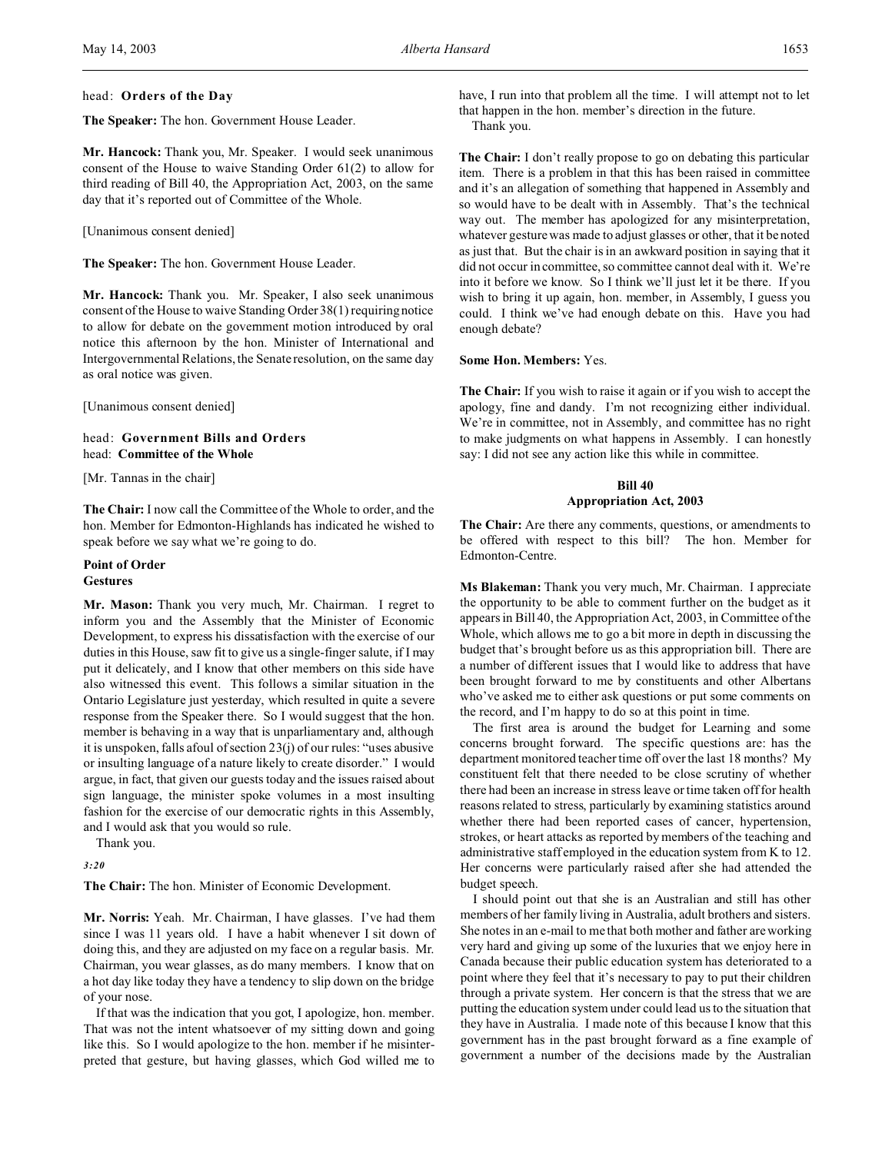## head: **Orders of the Day**

**The Speaker:** The hon. Government House Leader.

**Mr. Hancock:** Thank you, Mr. Speaker. I would seek unanimous consent of the House to waive Standing Order 61(2) to allow for third reading of Bill 40, the Appropriation Act, 2003, on the same day that it's reported out of Committee of the Whole.

[Unanimous consent denied]

**The Speaker:** The hon. Government House Leader.

**Mr. Hancock:** Thank you. Mr. Speaker, I also seek unanimous consent of the House to waive Standing Order 38(1) requiring notice to allow for debate on the government motion introduced by oral notice this afternoon by the hon. Minister of International and Intergovernmental Relations, the Senate resolution, on the same day as oral notice was given.

[Unanimous consent denied]

## head: **Government Bills and Orders** head: **Committee of the Whole**

[Mr. Tannas in the chair]

**The Chair:** I now call the Committee of the Whole to order, and the hon. Member for Edmonton-Highlands has indicated he wished to speak before we say what we're going to do.

#### **Point of Order Gestures**

**Mr. Mason:** Thank you very much, Mr. Chairman. I regret to inform you and the Assembly that the Minister of Economic Development, to express his dissatisfaction with the exercise of our duties in this House, saw fit to give us a single-finger salute, if I may put it delicately, and I know that other members on this side have also witnessed this event. This follows a similar situation in the Ontario Legislature just yesterday, which resulted in quite a severe response from the Speaker there. So I would suggest that the hon. member is behaving in a way that is unparliamentary and, although it is unspoken, falls afoul of section 23(j) of our rules: "uses abusive or insulting language of a nature likely to create disorder." I would argue, in fact, that given our guests today and the issues raised about sign language, the minister spoke volumes in a most insulting fashion for the exercise of our democratic rights in this Assembly, and I would ask that you would so rule.

Thank you.

*3:20*

**The Chair:** The hon. Minister of Economic Development.

**Mr. Norris:** Yeah. Mr. Chairman, I have glasses. I've had them since I was 11 years old. I have a habit whenever I sit down of doing this, and they are adjusted on my face on a regular basis. Mr. Chairman, you wear glasses, as do many members. I know that on a hot day like today they have a tendency to slip down on the bridge of your nose.

If that was the indication that you got, I apologize, hon. member. That was not the intent whatsoever of my sitting down and going like this. So I would apologize to the hon. member if he misinterpreted that gesture, but having glasses, which God willed me to have, I run into that problem all the time. I will attempt not to let that happen in the hon. member's direction in the future. Thank you.

**The Chair:** I don't really propose to go on debating this particular item. There is a problem in that this has been raised in committee and it's an allegation of something that happened in Assembly and so would have to be dealt with in Assembly. That's the technical way out. The member has apologized for any misinterpretation, whatever gesture was made to adjust glasses or other, that it be noted as just that. But the chair is in an awkward position in saying that it did not occur in committee, so committee cannot deal with it. We're into it before we know. So I think we'll just let it be there. If you wish to bring it up again, hon. member, in Assembly, I guess you could. I think we've had enough debate on this. Have you had enough debate?

#### **Some Hon. Members:** Yes.

**The Chair:** If you wish to raise it again or if you wish to accept the apology, fine and dandy. I'm not recognizing either individual. We're in committee, not in Assembly, and committee has no right to make judgments on what happens in Assembly. I can honestly say: I did not see any action like this while in committee.

# **Bill 40 Appropriation Act, 2003**

**The Chair:** Are there any comments, questions, or amendments to be offered with respect to this bill? The hon. Member for Edmonton-Centre.

**Ms Blakeman:** Thank you very much, Mr. Chairman. I appreciate the opportunity to be able to comment further on the budget as it appears in Bill 40, the Appropriation Act, 2003, in Committee of the Whole, which allows me to go a bit more in depth in discussing the budget that's brought before us as this appropriation bill. There are a number of different issues that I would like to address that have been brought forward to me by constituents and other Albertans who've asked me to either ask questions or put some comments on the record, and I'm happy to do so at this point in time.

The first area is around the budget for Learning and some concerns brought forward. The specific questions are: has the department monitored teacher time off over the last 18 months? My constituent felt that there needed to be close scrutiny of whether there had been an increase in stress leave or time taken off for health reasons related to stress, particularly by examining statistics around whether there had been reported cases of cancer, hypertension, strokes, or heart attacks as reported by members of the teaching and administrative staff employed in the education system from K to 12. Her concerns were particularly raised after she had attended the budget speech.

I should point out that she is an Australian and still has other members of her family living in Australia, adult brothers and sisters. She notes in an e-mail to me that both mother and father are working very hard and giving up some of the luxuries that we enjoy here in Canada because their public education system has deteriorated to a point where they feel that it's necessary to pay to put their children through a private system. Her concern is that the stress that we are putting the education system under could lead us to the situation that they have in Australia. I made note of this because I know that this government has in the past brought forward as a fine example of government a number of the decisions made by the Australian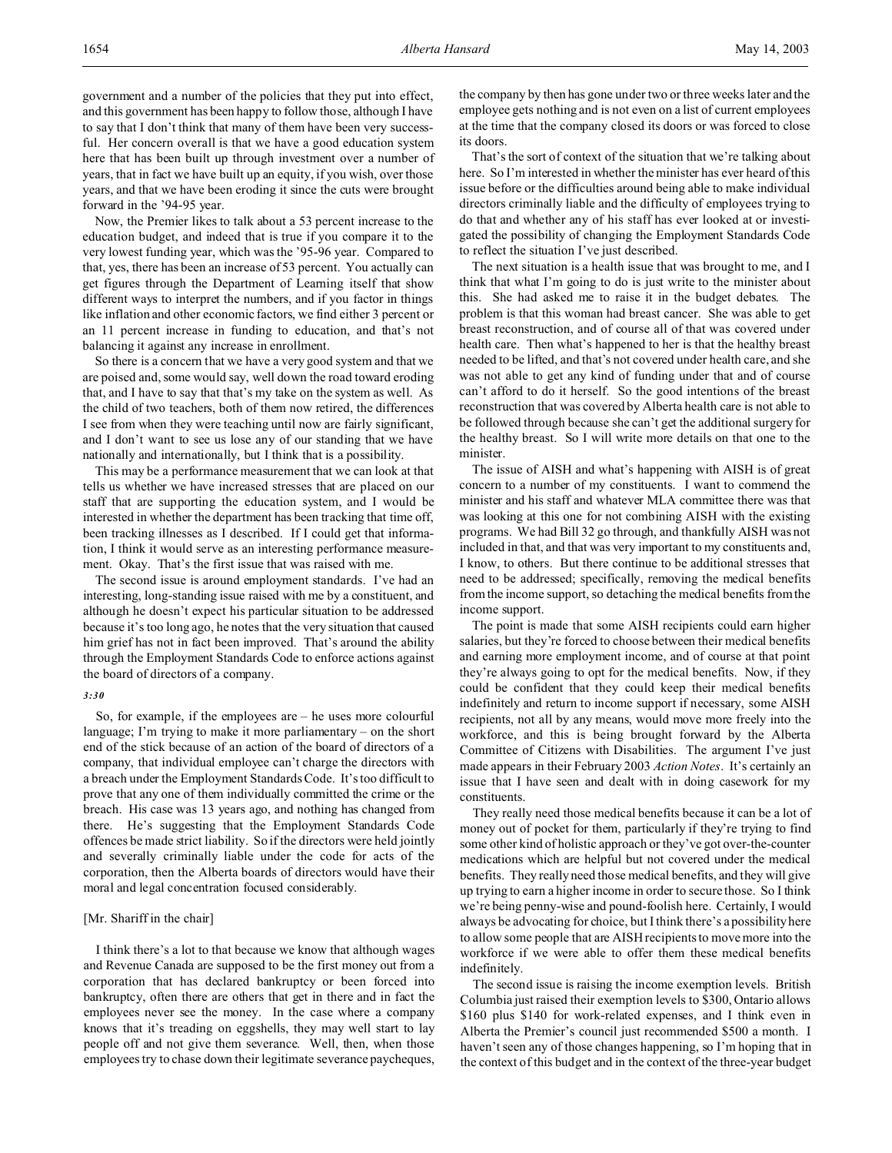government and a number of the policies that they put into effect, and this government has been happy to follow those, although I have to say that I don't think that many of them have been very successful. Her concern overall is that we have a good education system here that has been built up through investment over a number of years, that in fact we have built up an equity, if you wish, over those years, and that we have been eroding it since the cuts were brought forward in the '94-95 year.

Now, the Premier likes to talk about a 53 percent increase to the education budget, and indeed that is true if you compare it to the very lowest funding year, which was the '95-96 year. Compared to that, yes, there has been an increase of 53 percent. You actually can get figures through the Department of Learning itself that show different ways to interpret the numbers, and if you factor in things like inflation and other economic factors, we find either 3 percent or an 11 percent increase in funding to education, and that's not balancing it against any increase in enrollment.

So there is a concern that we have a very good system and that we are poised and, some would say, well down the road toward eroding that, and I have to say that that's my take on the system as well. As the child of two teachers, both of them now retired, the differences I see from when they were teaching until now are fairly significant, and I don't want to see us lose any of our standing that we have nationally and internationally, but I think that is a possibility.

This may be a performance measurement that we can look at that tells us whether we have increased stresses that are placed on our staff that are supporting the education system, and I would be interested in whether the department has been tracking that time off, been tracking illnesses as I described. If I could get that information, I think it would serve as an interesting performance measurement. Okay. That's the first issue that was raised with me.

The second issue is around employment standards. I've had an interesting, long-standing issue raised with me by a constituent, and although he doesn't expect his particular situation to be addressed because it's too long ago, he notes that the very situation that caused him grief has not in fact been improved. That's around the ability through the Employment Standards Code to enforce actions against the board of directors of a company.

#### *3:30*

So, for example, if the employees are – he uses more colourful language; I'm trying to make it more parliamentary – on the short end of the stick because of an action of the board of directors of a company, that individual employee can't charge the directors with a breach under the Employment Standards Code. It's too difficult to prove that any one of them individually committed the crime or the breach. His case was 13 years ago, and nothing has changed from there. He's suggesting that the Employment Standards Code offences be made strict liability. So if the directors were held jointly and severally criminally liable under the code for acts of the corporation, then the Alberta boards of directors would have their moral and legal concentration focused considerably.

### [Mr. Shariff in the chair]

I think there's a lot to that because we know that although wages and Revenue Canada are supposed to be the first money out from a corporation that has declared bankruptcy or been forced into bankruptcy, often there are others that get in there and in fact the employees never see the money. In the case where a company knows that it's treading on eggshells, they may well start to lay people off and not give them severance. Well, then, when those employees try to chase down their legitimate severance paycheques,

the company by then has gone under two or three weeks later and the employee gets nothing and is not even on a list of current employees at the time that the company closed its doors or was forced to close its doors.

That's the sort of context of the situation that we're talking about here. So I'm interested in whether the minister has ever heard of this issue before or the difficulties around being able to make individual directors criminally liable and the difficulty of employees trying to do that and whether any of his staff has ever looked at or investigated the possibility of changing the Employment Standards Code to reflect the situation I've just described.

The next situation is a health issue that was brought to me, and I think that what I'm going to do is just write to the minister about this. She had asked me to raise it in the budget debates. The problem is that this woman had breast cancer. She was able to get breast reconstruction, and of course all of that was covered under health care. Then what's happened to her is that the healthy breast needed to be lifted, and that's not covered under health care, and she was not able to get any kind of funding under that and of course can't afford to do it herself. So the good intentions of the breast reconstruction that was covered by Alberta health care is not able to be followed through because she can't get the additional surgery for the healthy breast. So I will write more details on that one to the minister.

The issue of AISH and what's happening with AISH is of great concern to a number of my constituents. I want to commend the minister and his staff and whatever MLA committee there was that was looking at this one for not combining AISH with the existing programs. We had Bill 32 go through, and thankfully AISH was not included in that, and that was very important to my constituents and, I know, to others. But there continue to be additional stresses that need to be addressed; specifically, removing the medical benefits from the income support, so detaching the medical benefits from the income support.

The point is made that some AISH recipients could earn higher salaries, but they're forced to choose between their medical benefits and earning more employment income, and of course at that point they're always going to opt for the medical benefits. Now, if they could be confident that they could keep their medical benefits indefinitely and return to income support if necessary, some AISH recipients, not all by any means, would move more freely into the workforce, and this is being brought forward by the Alberta Committee of Citizens with Disabilities. The argument I've just made appears in their February 2003 *Action Notes*. It's certainly an issue that I have seen and dealt with in doing casework for my constituents.

They really need those medical benefits because it can be a lot of money out of pocket for them, particularly if they're trying to find some other kind of holistic approach or they've got over-the-counter medications which are helpful but not covered under the medical benefits. They really need those medical benefits, and they will give up trying to earn a higher income in order to secure those. So I think we're being penny-wise and pound-foolish here. Certainly, I would always be advocating for choice, but I think there's a possibility here to allow some people that are AISH recipients to move more into the workforce if we were able to offer them these medical benefits indefinitely.

The second issue is raising the income exemption levels. British Columbia just raised their exemption levels to \$300, Ontario allows \$160 plus \$140 for work-related expenses, and I think even in Alberta the Premier's council just recommended \$500 a month. I haven't seen any of those changes happening, so I'm hoping that in the context of this budget and in the context of the three-year budget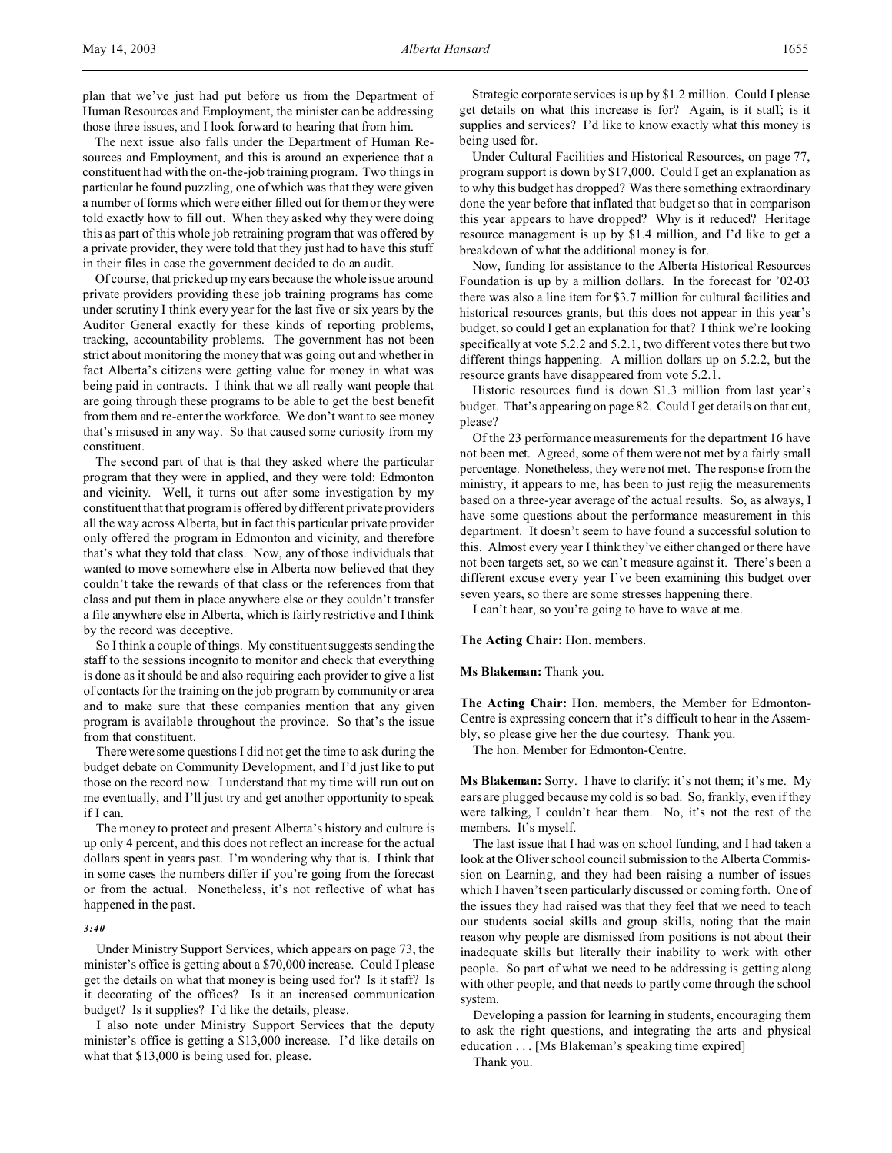plan that we've just had put before us from the Department of Human Resources and Employment, the minister can be addressing those three issues, and I look forward to hearing that from him.

The next issue also falls under the Department of Human Resources and Employment, and this is around an experience that a constituent had with the on-the-job training program. Two things in particular he found puzzling, one of which was that they were given a number of forms which were either filled out for them or they were told exactly how to fill out. When they asked why they were doing this as part of this whole job retraining program that was offered by a private provider, they were told that they just had to have this stuff in their files in case the government decided to do an audit.

Of course, that pricked up my ears because the whole issue around private providers providing these job training programs has come under scrutiny I think every year for the last five or six years by the Auditor General exactly for these kinds of reporting problems, tracking, accountability problems. The government has not been strict about monitoring the money that was going out and whether in fact Alberta's citizens were getting value for money in what was being paid in contracts. I think that we all really want people that are going through these programs to be able to get the best benefit from them and re-enter the workforce. We don't want to see money that's misused in any way. So that caused some curiosity from my constituent.

The second part of that is that they asked where the particular program that they were in applied, and they were told: Edmonton and vicinity. Well, it turns out after some investigation by my constituent that that program is offered by different private providers all the way across Alberta, but in fact this particular private provider only offered the program in Edmonton and vicinity, and therefore that's what they told that class. Now, any of those individuals that wanted to move somewhere else in Alberta now believed that they couldn't take the rewards of that class or the references from that class and put them in place anywhere else or they couldn't transfer a file anywhere else in Alberta, which is fairly restrictive and I think by the record was deceptive.

So I think a couple of things. My constituent suggests sending the staff to the sessions incognito to monitor and check that everything is done as it should be and also requiring each provider to give a list of contacts for the training on the job program by community or area and to make sure that these companies mention that any given program is available throughout the province. So that's the issue from that constituent.

There were some questions I did not get the time to ask during the budget debate on Community Development, and I'd just like to put those on the record now. I understand that my time will run out on me eventually, and I'll just try and get another opportunity to speak if I can.

The money to protect and present Alberta's history and culture is up only 4 percent, and this does not reflect an increase for the actual dollars spent in years past. I'm wondering why that is. I think that in some cases the numbers differ if you're going from the forecast or from the actual. Nonetheless, it's not reflective of what has happened in the past.

#### *3:40*

Under Ministry Support Services, which appears on page 73, the minister's office is getting about a \$70,000 increase. Could I please get the details on what that money is being used for? Is it staff? Is it decorating of the offices? Is it an increased communication budget? Is it supplies? I'd like the details, please.

I also note under Ministry Support Services that the deputy minister's office is getting a \$13,000 increase. I'd like details on what that \$13,000 is being used for, please.

Strategic corporate services is up by \$1.2 million. Could I please get details on what this increase is for? Again, is it staff; is it supplies and services? I'd like to know exactly what this money is being used for.

Under Cultural Facilities and Historical Resources, on page 77, program support is down by \$17,000. Could I get an explanation as to why this budget has dropped? Was there something extraordinary done the year before that inflated that budget so that in comparison this year appears to have dropped? Why is it reduced? Heritage resource management is up by \$1.4 million, and I'd like to get a breakdown of what the additional money is for.

Now, funding for assistance to the Alberta Historical Resources Foundation is up by a million dollars. In the forecast for '02-03 there was also a line item for \$3.7 million for cultural facilities and historical resources grants, but this does not appear in this year's budget, so could I get an explanation for that? I think we're looking specifically at vote 5.2.2 and 5.2.1, two different votes there but two different things happening. A million dollars up on 5.2.2, but the resource grants have disappeared from vote 5.2.1.

Historic resources fund is down \$1.3 million from last year's budget. That's appearing on page 82. Could I get details on that cut, please?

Of the 23 performance measurements for the department 16 have not been met. Agreed, some of them were not met by a fairly small percentage. Nonetheless, they were not met. The response from the ministry, it appears to me, has been to just rejig the measurements based on a three-year average of the actual results. So, as always, I have some questions about the performance measurement in this department. It doesn't seem to have found a successful solution to this. Almost every year I think they've either changed or there have not been targets set, so we can't measure against it. There's been a different excuse every year I've been examining this budget over seven years, so there are some stresses happening there.

I can't hear, so you're going to have to wave at me.

## **The Acting Chair:** Hon. members.

#### **Ms Blakeman:** Thank you.

**The Acting Chair:** Hon. members, the Member for Edmonton-Centre is expressing concern that it's difficult to hear in the Assembly, so please give her the due courtesy. Thank you.

The hon. Member for Edmonton-Centre.

**Ms Blakeman:** Sorry. I have to clarify: it's not them; it's me. My ears are plugged because my cold is so bad. So, frankly, even if they were talking, I couldn't hear them. No, it's not the rest of the members. It's myself.

The last issue that I had was on school funding, and I had taken a look at the Oliver school council submission to the Alberta Commission on Learning, and they had been raising a number of issues which I haven't seen particularly discussed or coming forth. One of the issues they had raised was that they feel that we need to teach our students social skills and group skills, noting that the main reason why people are dismissed from positions is not about their inadequate skills but literally their inability to work with other people. So part of what we need to be addressing is getting along with other people, and that needs to partly come through the school system.

Developing a passion for learning in students, encouraging them to ask the right questions, and integrating the arts and physical education . . . [Ms Blakeman's speaking time expired]

Thank you.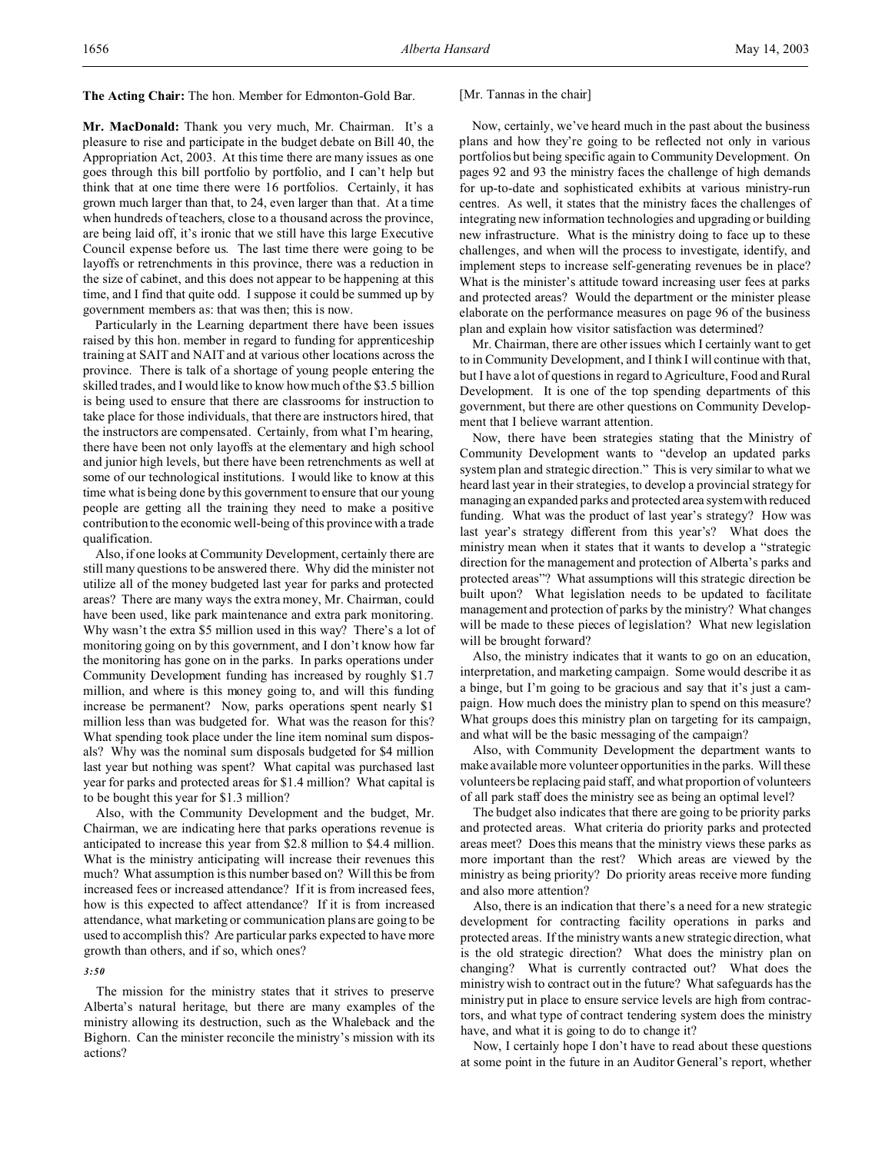#### **The Acting Chair:** The hon. Member for Edmonton-Gold Bar.

**Mr. MacDonald:** Thank you very much, Mr. Chairman. It's a pleasure to rise and participate in the budget debate on Bill 40, the Appropriation Act, 2003. At this time there are many issues as one goes through this bill portfolio by portfolio, and I can't help but think that at one time there were 16 portfolios. Certainly, it has grown much larger than that, to 24, even larger than that. At a time when hundreds of teachers, close to a thousand across the province, are being laid off, it's ironic that we still have this large Executive Council expense before us. The last time there were going to be layoffs or retrenchments in this province, there was a reduction in the size of cabinet, and this does not appear to be happening at this time, and I find that quite odd. I suppose it could be summed up by government members as: that was then; this is now.

Particularly in the Learning department there have been issues raised by this hon. member in regard to funding for apprenticeship training at SAIT and NAIT and at various other locations across the province. There is talk of a shortage of young people entering the skilled trades, and I would like to know how much of the \$3.5 billion is being used to ensure that there are classrooms for instruction to take place for those individuals, that there are instructors hired, that the instructors are compensated. Certainly, from what I'm hearing, there have been not only layoffs at the elementary and high school and junior high levels, but there have been retrenchments as well at some of our technological institutions. I would like to know at this time what is being done by this government to ensure that our young people are getting all the training they need to make a positive contribution to the economic well-being of this province with a trade qualification.

Also, if one looks at Community Development, certainly there are still many questions to be answered there. Why did the minister not utilize all of the money budgeted last year for parks and protected areas? There are many ways the extra money, Mr. Chairman, could have been used, like park maintenance and extra park monitoring. Why wasn't the extra \$5 million used in this way? There's a lot of monitoring going on by this government, and I don't know how far the monitoring has gone on in the parks. In parks operations under Community Development funding has increased by roughly \$1.7 million, and where is this money going to, and will this funding increase be permanent? Now, parks operations spent nearly \$1 million less than was budgeted for. What was the reason for this? What spending took place under the line item nominal sum disposals? Why was the nominal sum disposals budgeted for \$4 million last year but nothing was spent? What capital was purchased last year for parks and protected areas for \$1.4 million? What capital is to be bought this year for \$1.3 million?

Also, with the Community Development and the budget, Mr. Chairman, we are indicating here that parks operations revenue is anticipated to increase this year from \$2.8 million to \$4.4 million. What is the ministry anticipating will increase their revenues this much? What assumption is this number based on? Will this be from increased fees or increased attendance? If it is from increased fees, how is this expected to affect attendance? If it is from increased attendance, what marketing or communication plans are going to be used to accomplish this? Are particular parks expected to have more growth than others, and if so, which ones?

#### *3:50*

The mission for the ministry states that it strives to preserve Alberta's natural heritage, but there are many examples of the ministry allowing its destruction, such as the Whaleback and the Bighorn. Can the minister reconcile the ministry's mission with its actions?

## [Mr. Tannas in the chair]

Now, certainly, we've heard much in the past about the business plans and how they're going to be reflected not only in various portfolios but being specific again to Community Development. On pages 92 and 93 the ministry faces the challenge of high demands for up-to-date and sophisticated exhibits at various ministry-run centres. As well, it states that the ministry faces the challenges of integrating new information technologies and upgrading or building new infrastructure. What is the ministry doing to face up to these challenges, and when will the process to investigate, identify, and implement steps to increase self-generating revenues be in place? What is the minister's attitude toward increasing user fees at parks and protected areas? Would the department or the minister please elaborate on the performance measures on page 96 of the business plan and explain how visitor satisfaction was determined?

Mr. Chairman, there are other issues which I certainly want to get to in Community Development, and I think I will continue with that, but I have a lot of questions in regard to Agriculture, Food and Rural Development. It is one of the top spending departments of this government, but there are other questions on Community Development that I believe warrant attention.

Now, there have been strategies stating that the Ministry of Community Development wants to "develop an updated parks system plan and strategic direction." This is very similar to what we heard last year in their strategies, to develop a provincial strategy for managing an expanded parks and protected area system with reduced funding. What was the product of last year's strategy? How was last year's strategy different from this year's? What does the ministry mean when it states that it wants to develop a "strategic direction for the management and protection of Alberta's parks and protected areas"? What assumptions will this strategic direction be built upon? What legislation needs to be updated to facilitate management and protection of parks by the ministry? What changes will be made to these pieces of legislation? What new legislation will be brought forward?

Also, the ministry indicates that it wants to go on an education, interpretation, and marketing campaign. Some would describe it as a binge, but I'm going to be gracious and say that it's just a campaign. How much does the ministry plan to spend on this measure? What groups does this ministry plan on targeting for its campaign, and what will be the basic messaging of the campaign?

Also, with Community Development the department wants to make available more volunteer opportunities in the parks. Will these volunteers be replacing paid staff, and what proportion of volunteers of all park staff does the ministry see as being an optimal level?

The budget also indicates that there are going to be priority parks and protected areas. What criteria do priority parks and protected areas meet? Does this means that the ministry views these parks as more important than the rest? Which areas are viewed by the ministry as being priority? Do priority areas receive more funding and also more attention?

Also, there is an indication that there's a need for a new strategic development for contracting facility operations in parks and protected areas. If the ministry wants a new strategic direction, what is the old strategic direction? What does the ministry plan on changing? What is currently contracted out? What does the ministry wish to contract out in the future? What safeguards has the ministry put in place to ensure service levels are high from contractors, and what type of contract tendering system does the ministry have, and what it is going to do to change it?

Now, I certainly hope I don't have to read about these questions at some point in the future in an Auditor General's report, whether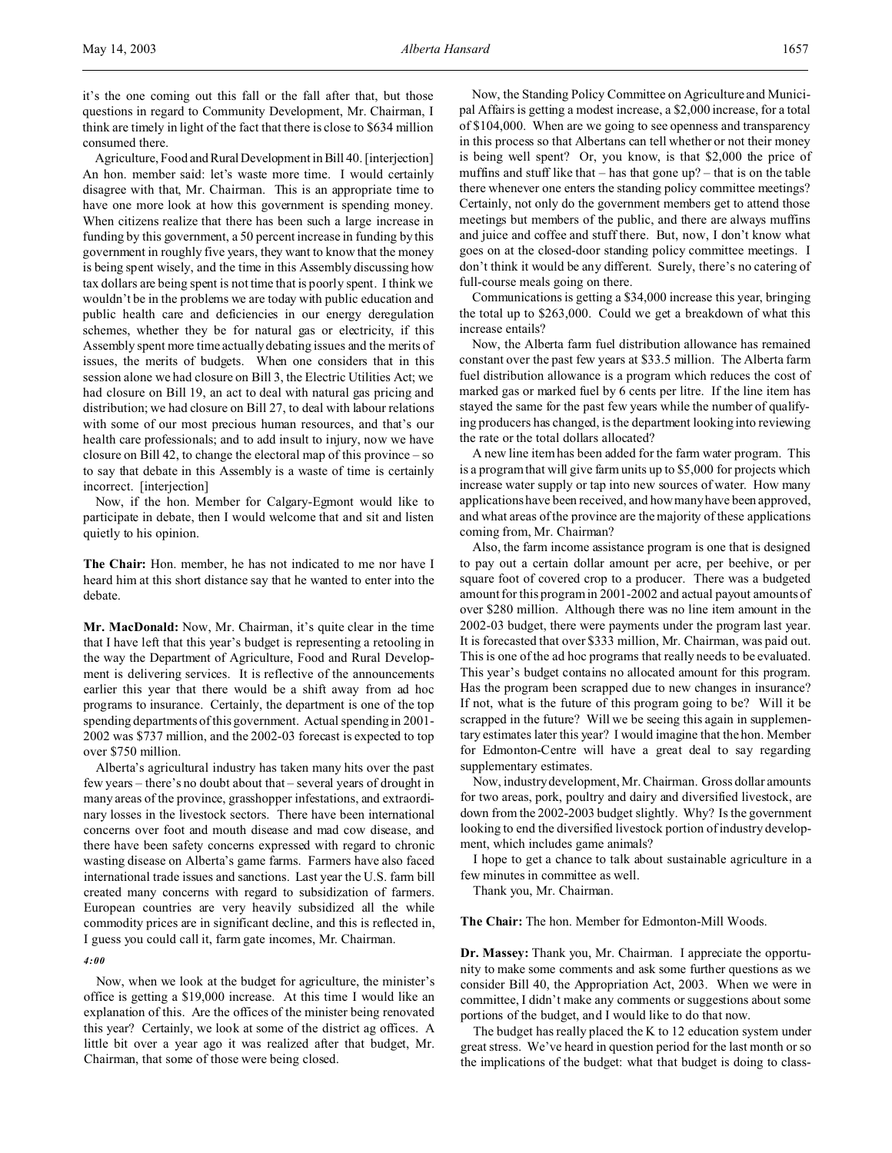it's the one coming out this fall or the fall after that, but those questions in regard to Community Development, Mr. Chairman, I think are timely in light of the fact that there is close to \$634 million consumed there.

Agriculture, Food and Rural Development in Bill 40. [interjection] An hon. member said: let's waste more time. I would certainly disagree with that, Mr. Chairman. This is an appropriate time to have one more look at how this government is spending money. When citizens realize that there has been such a large increase in funding by this government, a 50 percent increase in funding by this government in roughly five years, they want to know that the money is being spent wisely, and the time in this Assembly discussing how tax dollars are being spent is not time that is poorly spent. I think we wouldn't be in the problems we are today with public education and public health care and deficiencies in our energy deregulation schemes, whether they be for natural gas or electricity, if this Assembly spent more time actually debating issues and the merits of issues, the merits of budgets. When one considers that in this session alone we had closure on Bill 3, the Electric Utilities Act; we had closure on Bill 19, an act to deal with natural gas pricing and distribution; we had closure on Bill 27, to deal with labour relations with some of our most precious human resources, and that's our health care professionals; and to add insult to injury, now we have closure on Bill 42, to change the electoral map of this province – so to say that debate in this Assembly is a waste of time is certainly incorrect. [interjection]

Now, if the hon. Member for Calgary-Egmont would like to participate in debate, then I would welcome that and sit and listen quietly to his opinion.

**The Chair:** Hon. member, he has not indicated to me nor have I heard him at this short distance say that he wanted to enter into the debate.

**Mr. MacDonald:** Now, Mr. Chairman, it's quite clear in the time that I have left that this year's budget is representing a retooling in the way the Department of Agriculture, Food and Rural Development is delivering services. It is reflective of the announcements earlier this year that there would be a shift away from ad hoc programs to insurance. Certainly, the department is one of the top spending departments of this government. Actual spending in 2001- 2002 was \$737 million, and the 2002-03 forecast is expected to top over \$750 million.

Alberta's agricultural industry has taken many hits over the past few years – there's no doubt about that – several years of drought in many areas of the province, grasshopper infestations, and extraordinary losses in the livestock sectors. There have been international concerns over foot and mouth disease and mad cow disease, and there have been safety concerns expressed with regard to chronic wasting disease on Alberta's game farms. Farmers have also faced international trade issues and sanctions. Last year the U.S. farm bill created many concerns with regard to subsidization of farmers. European countries are very heavily subsidized all the while commodity prices are in significant decline, and this is reflected in, I guess you could call it, farm gate incomes, Mr. Chairman.

#### *4:00*

Now, when we look at the budget for agriculture, the minister's office is getting a \$19,000 increase. At this time I would like an explanation of this. Are the offices of the minister being renovated this year? Certainly, we look at some of the district ag offices. A little bit over a year ago it was realized after that budget, Mr. Chairman, that some of those were being closed.

Now, the Standing Policy Committee on Agriculture and Municipal Affairs is getting a modest increase, a \$2,000 increase, for a total of \$104,000. When are we going to see openness and transparency in this process so that Albertans can tell whether or not their money is being well spent? Or, you know, is that \$2,000 the price of muffins and stuff like that  $-$  has that gone up?  $-$  that is on the table there whenever one enters the standing policy committee meetings? Certainly, not only do the government members get to attend those meetings but members of the public, and there are always muffins and juice and coffee and stuff there. But, now, I don't know what goes on at the closed-door standing policy committee meetings. I don't think it would be any different. Surely, there's no catering of full-course meals going on there.

Communications is getting a \$34,000 increase this year, bringing the total up to \$263,000. Could we get a breakdown of what this increase entails?

Now, the Alberta farm fuel distribution allowance has remained constant over the past few years at \$33.5 million. The Alberta farm fuel distribution allowance is a program which reduces the cost of marked gas or marked fuel by 6 cents per litre. If the line item has stayed the same for the past few years while the number of qualifying producers has changed, is the department looking into reviewing the rate or the total dollars allocated?

A new line item has been added for the farm water program. This is a program that will give farm units up to \$5,000 for projects which increase water supply or tap into new sources of water. How many applications have been received, and how many have been approved, and what areas of the province are the majority of these applications coming from, Mr. Chairman?

Also, the farm income assistance program is one that is designed to pay out a certain dollar amount per acre, per beehive, or per square foot of covered crop to a producer. There was a budgeted amount for this program in 2001-2002 and actual payout amounts of over \$280 million. Although there was no line item amount in the 2002-03 budget, there were payments under the program last year. It is forecasted that over \$333 million, Mr. Chairman, was paid out. This is one of the ad hoc programs that really needs to be evaluated. This year's budget contains no allocated amount for this program. Has the program been scrapped due to new changes in insurance? If not, what is the future of this program going to be? Will it be scrapped in the future? Will we be seeing this again in supplementary estimates later this year? I would imagine that the hon. Member for Edmonton-Centre will have a great deal to say regarding supplementary estimates.

Now, industry development, Mr. Chairman. Gross dollar amounts for two areas, pork, poultry and dairy and diversified livestock, are down from the 2002-2003 budget slightly. Why? Is the government looking to end the diversified livestock portion of industry development, which includes game animals?

I hope to get a chance to talk about sustainable agriculture in a few minutes in committee as well.

Thank you, Mr. Chairman.

**The Chair:** The hon. Member for Edmonton-Mill Woods.

**Dr. Massey:** Thank you, Mr. Chairman. I appreciate the opportunity to make some comments and ask some further questions as we consider Bill 40, the Appropriation Act, 2003. When we were in committee, I didn't make any comments or suggestions about some portions of the budget, and I would like to do that now.

The budget has really placed the K to 12 education system under great stress. We've heard in question period for the last month or so the implications of the budget: what that budget is doing to class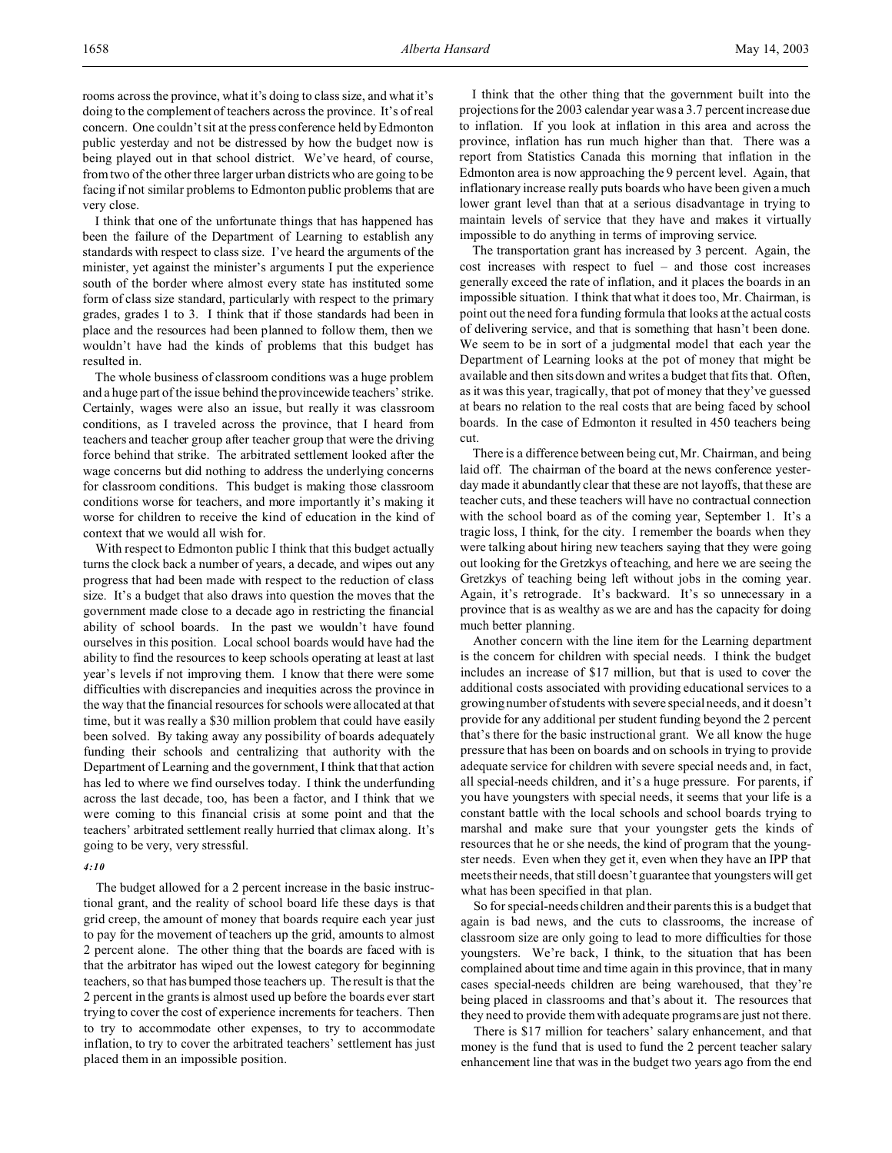rooms across the province, what it's doing to class size, and what it's doing to the complement of teachers across the province. It's of real concern. One couldn't sit at the press conference held by Edmonton public yesterday and not be distressed by how the budget now is being played out in that school district. We've heard, of course, from two of the other three larger urban districts who are going to be facing if not similar problems to Edmonton public problems that are very close.

I think that one of the unfortunate things that has happened has been the failure of the Department of Learning to establish any standards with respect to class size. I've heard the arguments of the minister, yet against the minister's arguments I put the experience south of the border where almost every state has instituted some form of class size standard, particularly with respect to the primary grades, grades 1 to 3. I think that if those standards had been in place and the resources had been planned to follow them, then we wouldn't have had the kinds of problems that this budget has resulted in.

The whole business of classroom conditions was a huge problem and a huge part of the issue behind the provincewide teachers' strike. Certainly, wages were also an issue, but really it was classroom conditions, as I traveled across the province, that I heard from teachers and teacher group after teacher group that were the driving force behind that strike. The arbitrated settlement looked after the wage concerns but did nothing to address the underlying concerns for classroom conditions. This budget is making those classroom conditions worse for teachers, and more importantly it's making it worse for children to receive the kind of education in the kind of context that we would all wish for.

With respect to Edmonton public I think that this budget actually turns the clock back a number of years, a decade, and wipes out any progress that had been made with respect to the reduction of class size. It's a budget that also draws into question the moves that the government made close to a decade ago in restricting the financial ability of school boards. In the past we wouldn't have found ourselves in this position. Local school boards would have had the ability to find the resources to keep schools operating at least at last year's levels if not improving them. I know that there were some difficulties with discrepancies and inequities across the province in the way that the financial resources for schools were allocated at that time, but it was really a \$30 million problem that could have easily been solved. By taking away any possibility of boards adequately funding their schools and centralizing that authority with the Department of Learning and the government, I think that that action has led to where we find ourselves today. I think the underfunding across the last decade, too, has been a factor, and I think that we were coming to this financial crisis at some point and that the teachers' arbitrated settlement really hurried that climax along. It's going to be very, very stressful.

### *4:10*

The budget allowed for a 2 percent increase in the basic instructional grant, and the reality of school board life these days is that grid creep, the amount of money that boards require each year just to pay for the movement of teachers up the grid, amounts to almost 2 percent alone. The other thing that the boards are faced with is that the arbitrator has wiped out the lowest category for beginning teachers, so that has bumped those teachers up. The result is that the 2 percent in the grants is almost used up before the boards ever start trying to cover the cost of experience increments for teachers. Then to try to accommodate other expenses, to try to accommodate inflation, to try to cover the arbitrated teachers' settlement has just placed them in an impossible position.

I think that the other thing that the government built into the projections for the 2003 calendar year was a 3.7 percent increase due to inflation. If you look at inflation in this area and across the province, inflation has run much higher than that. There was a report from Statistics Canada this morning that inflation in the Edmonton area is now approaching the 9 percent level. Again, that inflationary increase really puts boards who have been given a much lower grant level than that at a serious disadvantage in trying to maintain levels of service that they have and makes it virtually impossible to do anything in terms of improving service.

The transportation grant has increased by 3 percent. Again, the cost increases with respect to fuel – and those cost increases generally exceed the rate of inflation, and it places the boards in an impossible situation. I think that what it does too, Mr. Chairman, is point out the need for a funding formula that looks at the actual costs of delivering service, and that is something that hasn't been done. We seem to be in sort of a judgmental model that each year the Department of Learning looks at the pot of money that might be available and then sits down and writes a budget that fits that. Often, as it was this year, tragically, that pot of money that they've guessed at bears no relation to the real costs that are being faced by school boards. In the case of Edmonton it resulted in 450 teachers being cut.

There is a difference between being cut, Mr. Chairman, and being laid off. The chairman of the board at the news conference yesterday made it abundantly clear that these are not layoffs, that these are teacher cuts, and these teachers will have no contractual connection with the school board as of the coming year, September 1. It's a tragic loss, I think, for the city. I remember the boards when they were talking about hiring new teachers saying that they were going out looking for the Gretzkys of teaching, and here we are seeing the Gretzkys of teaching being left without jobs in the coming year. Again, it's retrograde. It's backward. It's so unnecessary in a province that is as wealthy as we are and has the capacity for doing much better planning.

Another concern with the line item for the Learning department is the concern for children with special needs. I think the budget includes an increase of \$17 million, but that is used to cover the additional costs associated with providing educational services to a growing number of students with severe special needs, and it doesn't provide for any additional per student funding beyond the 2 percent that's there for the basic instructional grant. We all know the huge pressure that has been on boards and on schools in trying to provide adequate service for children with severe special needs and, in fact, all special-needs children, and it's a huge pressure. For parents, if you have youngsters with special needs, it seems that your life is a constant battle with the local schools and school boards trying to marshal and make sure that your youngster gets the kinds of resources that he or she needs, the kind of program that the youngster needs. Even when they get it, even when they have an IPP that meets their needs, that still doesn't guarantee that youngsters will get what has been specified in that plan.

So for special-needs children and their parents this is a budget that again is bad news, and the cuts to classrooms, the increase of classroom size are only going to lead to more difficulties for those youngsters. We're back, I think, to the situation that has been complained about time and time again in this province, that in many cases special-needs children are being warehoused, that they're being placed in classrooms and that's about it. The resources that they need to provide them with adequate programs are just not there.

There is \$17 million for teachers' salary enhancement, and that money is the fund that is used to fund the 2 percent teacher salary enhancement line that was in the budget two years ago from the end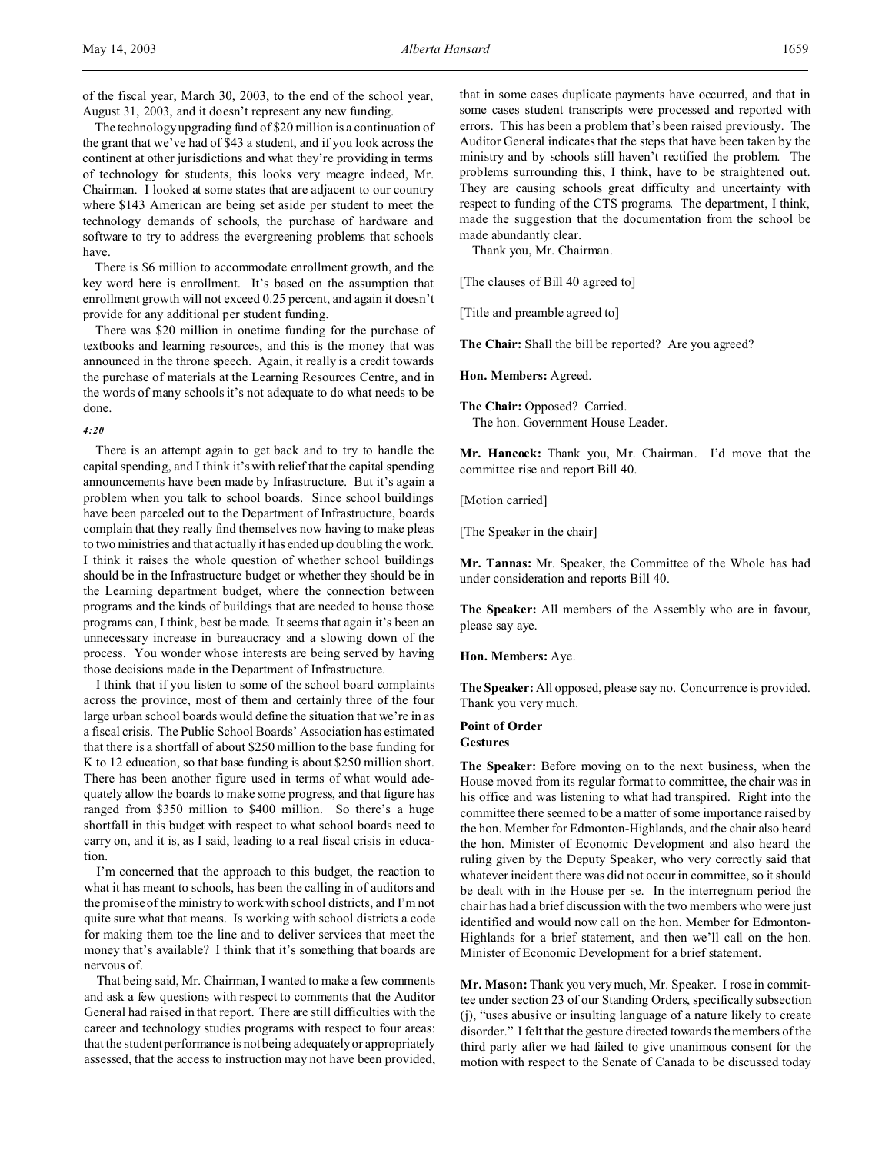The technology upgrading fund of \$20 million is a continuation of the grant that we've had of \$43 a student, and if you look across the continent at other jurisdictions and what they're providing in terms of technology for students, this looks very meagre indeed, Mr. Chairman. I looked at some states that are adjacent to our country where \$143 American are being set aside per student to meet the technology demands of schools, the purchase of hardware and software to try to address the evergreening problems that schools have.

There is \$6 million to accommodate enrollment growth, and the key word here is enrollment. It's based on the assumption that enrollment growth will not exceed 0.25 percent, and again it doesn't provide for any additional per student funding.

There was \$20 million in onetime funding for the purchase of textbooks and learning resources, and this is the money that was announced in the throne speech. Again, it really is a credit towards the purchase of materials at the Learning Resources Centre, and in the words of many schools it's not adequate to do what needs to be done.

## *4:20*

There is an attempt again to get back and to try to handle the capital spending, and I think it's with relief that the capital spending announcements have been made by Infrastructure. But it's again a problem when you talk to school boards. Since school buildings have been parceled out to the Department of Infrastructure, boards complain that they really find themselves now having to make pleas to two ministries and that actually it has ended up doubling the work. I think it raises the whole question of whether school buildings should be in the Infrastructure budget or whether they should be in the Learning department budget, where the connection between programs and the kinds of buildings that are needed to house those programs can, I think, best be made. It seems that again it's been an unnecessary increase in bureaucracy and a slowing down of the process. You wonder whose interests are being served by having those decisions made in the Department of Infrastructure.

I think that if you listen to some of the school board complaints across the province, most of them and certainly three of the four large urban school boards would define the situation that we're in as a fiscal crisis. The Public School Boards' Association has estimated that there is a shortfall of about \$250 million to the base funding for K to 12 education, so that base funding is about \$250 million short. There has been another figure used in terms of what would adequately allow the boards to make some progress, and that figure has ranged from \$350 million to \$400 million. So there's a huge shortfall in this budget with respect to what school boards need to carry on, and it is, as I said, leading to a real fiscal crisis in education.

I'm concerned that the approach to this budget, the reaction to what it has meant to schools, has been the calling in of auditors and the promise of the ministry to work with school districts, and I'm not quite sure what that means. Is working with school districts a code for making them toe the line and to deliver services that meet the money that's available? I think that it's something that boards are nervous of.

That being said, Mr. Chairman, I wanted to make a few comments and ask a few questions with respect to comments that the Auditor General had raised in that report. There are still difficulties with the career and technology studies programs with respect to four areas: that the student performance is not being adequately or appropriately assessed, that the access to instruction may not have been provided,

that in some cases duplicate payments have occurred, and that in some cases student transcripts were processed and reported with errors. This has been a problem that's been raised previously. The Auditor General indicates that the steps that have been taken by the ministry and by schools still haven't rectified the problem. The problems surrounding this, I think, have to be straightened out. They are causing schools great difficulty and uncertainty with respect to funding of the CTS programs. The department, I think, made the suggestion that the documentation from the school be made abundantly clear.

Thank you, Mr. Chairman.

[The clauses of Bill 40 agreed to]

[Title and preamble agreed to]

**The Chair:** Shall the bill be reported? Are you agreed?

**Hon. Members:** Agreed.

**The Chair:** Opposed? Carried. The hon. Government House Leader.

**Mr. Hancock:** Thank you, Mr. Chairman. I'd move that the committee rise and report Bill 40.

[Motion carried]

[The Speaker in the chair]

**Mr. Tannas:** Mr. Speaker, the Committee of the Whole has had under consideration and reports Bill 40.

**The Speaker:** All members of the Assembly who are in favour, please say aye.

**Hon. Members:** Aye.

**The Speaker:** All opposed, please say no. Concurrence is provided. Thank you very much.

## **Point of Order**

# **Gestures**

**The Speaker:** Before moving on to the next business, when the House moved from its regular format to committee, the chair was in his office and was listening to what had transpired. Right into the committee there seemed to be a matter of some importance raised by the hon. Member for Edmonton-Highlands, and the chair also heard the hon. Minister of Economic Development and also heard the ruling given by the Deputy Speaker, who very correctly said that whatever incident there was did not occur in committee, so it should be dealt with in the House per se. In the interregnum period the chair has had a brief discussion with the two members who were just identified and would now call on the hon. Member for Edmonton-Highlands for a brief statement, and then we'll call on the hon. Minister of Economic Development for a brief statement.

**Mr. Mason:** Thank you very much, Mr. Speaker. I rose in committee under section 23 of our Standing Orders, specifically subsection (j), "uses abusive or insulting language of a nature likely to create disorder." I felt that the gesture directed towards the members of the third party after we had failed to give unanimous consent for the motion with respect to the Senate of Canada to be discussed today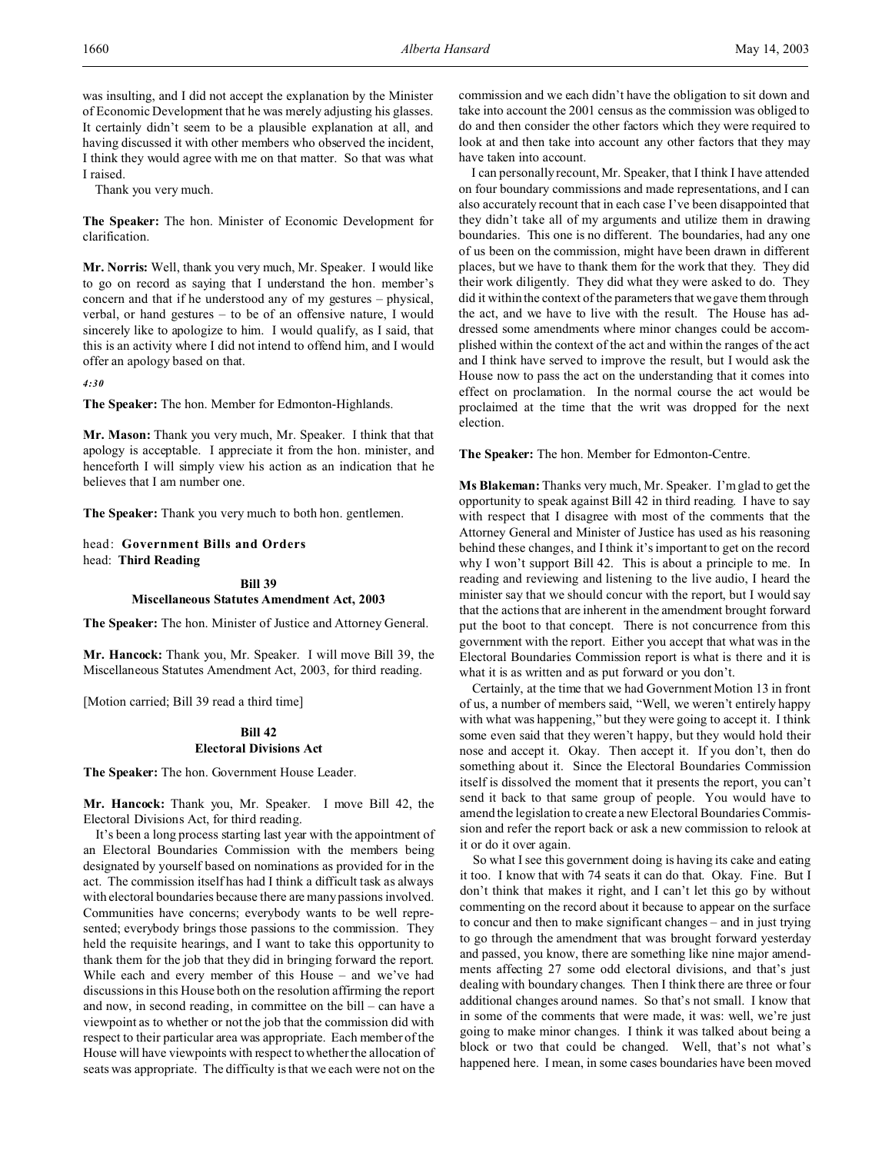was insulting, and I did not accept the explanation by the Minister of Economic Development that he was merely adjusting his glasses. It certainly didn't seem to be a plausible explanation at all, and having discussed it with other members who observed the incident, I think they would agree with me on that matter. So that was what I raised.

Thank you very much.

**The Speaker:** The hon. Minister of Economic Development for clarification.

**Mr. Norris:** Well, thank you very much, Mr. Speaker. I would like to go on record as saying that I understand the hon. member's concern and that if he understood any of my gestures – physical, verbal, or hand gestures – to be of an offensive nature, I would sincerely like to apologize to him. I would qualify, as I said, that this is an activity where I did not intend to offend him, and I would offer an apology based on that.

*4:30*

**The Speaker:** The hon. Member for Edmonton-Highlands.

**Mr. Mason:** Thank you very much, Mr. Speaker. I think that that apology is acceptable. I appreciate it from the hon. minister, and henceforth I will simply view his action as an indication that he believes that I am number one.

**The Speaker:** Thank you very much to both hon. gentlemen.

head: **Government Bills and Orders** head: **Third Reading**

#### **Bill 39**

## **Miscellaneous Statutes Amendment Act, 2003**

**The Speaker:** The hon. Minister of Justice and Attorney General.

**Mr. Hancock:** Thank you, Mr. Speaker. I will move Bill 39, the Miscellaneous Statutes Amendment Act, 2003, for third reading.

[Motion carried; Bill 39 read a third time]

## **Bill 42 Electoral Divisions Act**

**The Speaker:** The hon. Government House Leader.

**Mr. Hancock:** Thank you, Mr. Speaker. I move Bill 42, the Electoral Divisions Act, for third reading.

It's been a long process starting last year with the appointment of an Electoral Boundaries Commission with the members being designated by yourself based on nominations as provided for in the act. The commission itself has had I think a difficult task as always with electoral boundaries because there are many passions involved. Communities have concerns; everybody wants to be well represented; everybody brings those passions to the commission. They held the requisite hearings, and I want to take this opportunity to thank them for the job that they did in bringing forward the report. While each and every member of this House – and we've had discussions in this House both on the resolution affirming the report and now, in second reading, in committee on the bill – can have a viewpoint as to whether or not the job that the commission did with respect to their particular area was appropriate. Each member of the House will have viewpoints with respect to whether the allocation of seats was appropriate. The difficulty is that we each were not on the

commission and we each didn't have the obligation to sit down and take into account the 2001 census as the commission was obliged to do and then consider the other factors which they were required to look at and then take into account any other factors that they may have taken into account.

I can personally recount, Mr. Speaker, that I think I have attended on four boundary commissions and made representations, and I can also accurately recount that in each case I've been disappointed that they didn't take all of my arguments and utilize them in drawing boundaries. This one is no different. The boundaries, had any one of us been on the commission, might have been drawn in different places, but we have to thank them for the work that they. They did their work diligently. They did what they were asked to do. They did it within the context of the parameters that we gave them through the act, and we have to live with the result. The House has addressed some amendments where minor changes could be accomplished within the context of the act and within the ranges of the act and I think have served to improve the result, but I would ask the House now to pass the act on the understanding that it comes into effect on proclamation. In the normal course the act would be proclaimed at the time that the writ was dropped for the next election.

**The Speaker:** The hon. Member for Edmonton-Centre.

**Ms Blakeman:** Thanks very much, Mr. Speaker. I'm glad to get the opportunity to speak against Bill 42 in third reading. I have to say with respect that I disagree with most of the comments that the Attorney General and Minister of Justice has used as his reasoning behind these changes, and I think it's important to get on the record why I won't support Bill 42. This is about a principle to me. In reading and reviewing and listening to the live audio, I heard the minister say that we should concur with the report, but I would say that the actions that are inherent in the amendment brought forward put the boot to that concept. There is not concurrence from this government with the report. Either you accept that what was in the Electoral Boundaries Commission report is what is there and it is what it is as written and as put forward or you don't.

Certainly, at the time that we had Government Motion 13 in front of us, a number of members said, "Well, we weren't entirely happy with what was happening," but they were going to accept it. I think some even said that they weren't happy, but they would hold their nose and accept it. Okay. Then accept it. If you don't, then do something about it. Since the Electoral Boundaries Commission itself is dissolved the moment that it presents the report, you can't send it back to that same group of people. You would have to amend the legislation to create a new Electoral Boundaries Commission and refer the report back or ask a new commission to relook at it or do it over again.

So what I see this government doing is having its cake and eating it too. I know that with 74 seats it can do that. Okay. Fine. But I don't think that makes it right, and I can't let this go by without commenting on the record about it because to appear on the surface to concur and then to make significant changes – and in just trying to go through the amendment that was brought forward yesterday and passed, you know, there are something like nine major amendments affecting 27 some odd electoral divisions, and that's just dealing with boundary changes. Then I think there are three or four additional changes around names. So that's not small. I know that in some of the comments that were made, it was: well, we're just going to make minor changes. I think it was talked about being a block or two that could be changed. Well, that's not what's happened here. I mean, in some cases boundaries have been moved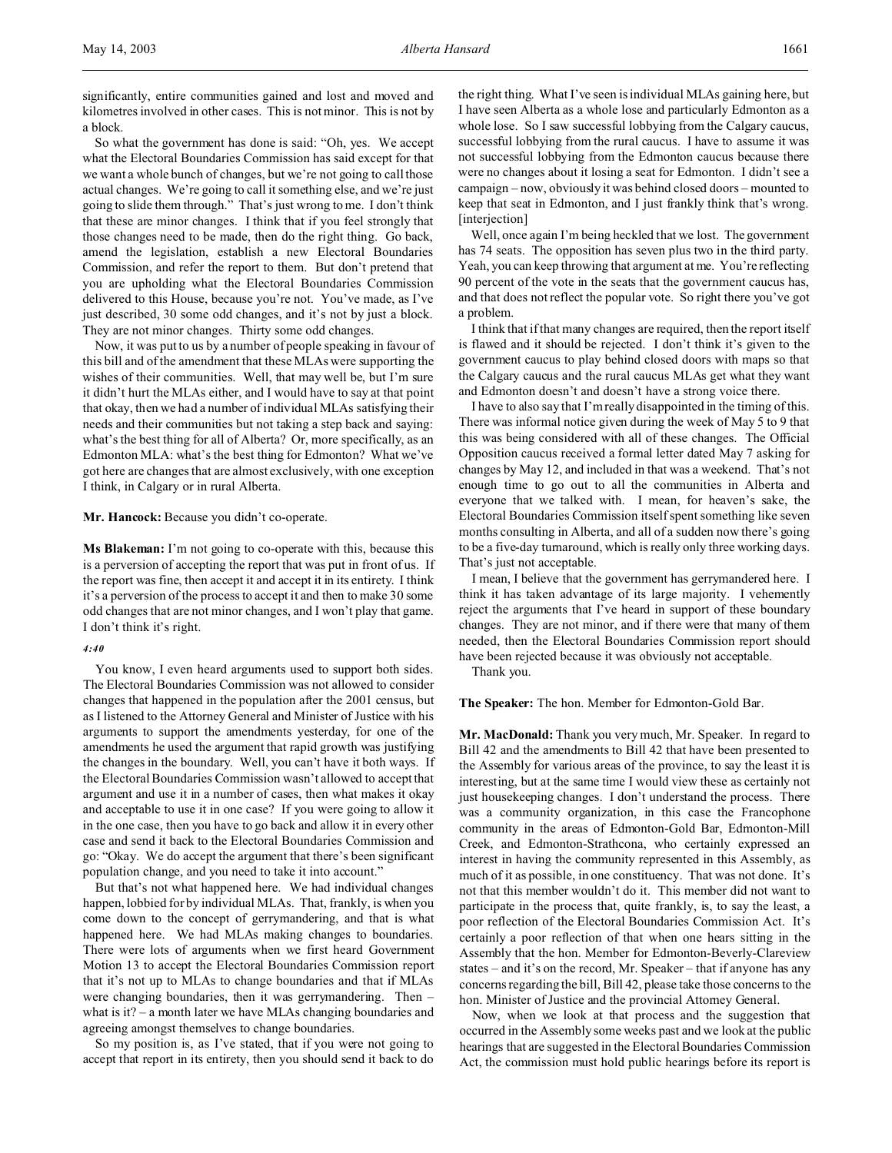significantly, entire communities gained and lost and moved and kilometres involved in other cases. This is not minor. This is not by a block.

So what the government has done is said: "Oh, yes. We accept what the Electoral Boundaries Commission has said except for that we want a whole bunch of changes, but we're not going to call those actual changes. We're going to call it something else, and we're just going to slide them through." That's just wrong to me. I don't think that these are minor changes. I think that if you feel strongly that those changes need to be made, then do the right thing. Go back, amend the legislation, establish a new Electoral Boundaries Commission, and refer the report to them. But don't pretend that you are upholding what the Electoral Boundaries Commission delivered to this House, because you're not. You've made, as I've just described, 30 some odd changes, and it's not by just a block. They are not minor changes. Thirty some odd changes.

Now, it was put to us by a number of people speaking in favour of this bill and of the amendment that these MLAs were supporting the wishes of their communities. Well, that may well be, but I'm sure it didn't hurt the MLAs either, and I would have to say at that point that okay, then we had a number of individual MLAs satisfying their needs and their communities but not taking a step back and saying: what's the best thing for all of Alberta? Or, more specifically, as an Edmonton MLA: what's the best thing for Edmonton? What we've got here are changes that are almost exclusively, with one exception I think, in Calgary or in rural Alberta.

## **Mr. Hancock:** Because you didn't co-operate.

**Ms Blakeman:** I'm not going to co-operate with this, because this is a perversion of accepting the report that was put in front of us. If the report was fine, then accept it and accept it in its entirety. I think it's a perversion of the process to accept it and then to make 30 some odd changes that are not minor changes, and I won't play that game. I don't think it's right.

#### *4:40*

You know, I even heard arguments used to support both sides. The Electoral Boundaries Commission was not allowed to consider changes that happened in the population after the 2001 census, but as I listened to the Attorney General and Minister of Justice with his arguments to support the amendments yesterday, for one of the amendments he used the argument that rapid growth was justifying the changes in the boundary. Well, you can't have it both ways. If the Electoral Boundaries Commission wasn't allowed to accept that argument and use it in a number of cases, then what makes it okay and acceptable to use it in one case? If you were going to allow it in the one case, then you have to go back and allow it in every other case and send it back to the Electoral Boundaries Commission and go: "Okay. We do accept the argument that there's been significant population change, and you need to take it into account."

But that's not what happened here. We had individual changes happen, lobbied for by individual MLAs. That, frankly, is when you come down to the concept of gerrymandering, and that is what happened here. We had MLAs making changes to boundaries. There were lots of arguments when we first heard Government Motion 13 to accept the Electoral Boundaries Commission report that it's not up to MLAs to change boundaries and that if MLAs were changing boundaries, then it was gerrymandering. Then – what is it? – a month later we have MLAs changing boundaries and agreeing amongst themselves to change boundaries.

So my position is, as I've stated, that if you were not going to accept that report in its entirety, then you should send it back to do the right thing. What I've seen is individual MLAs gaining here, but I have seen Alberta as a whole lose and particularly Edmonton as a whole lose. So I saw successful lobbying from the Calgary caucus, successful lobbying from the rural caucus. I have to assume it was not successful lobbying from the Edmonton caucus because there were no changes about it losing a seat for Edmonton. I didn't see a campaign – now, obviously it was behind closed doors – mounted to keep that seat in Edmonton, and I just frankly think that's wrong. [interjection]

Well, once again I'm being heckled that we lost. The government has 74 seats. The opposition has seven plus two in the third party. Yeah, you can keep throwing that argument at me. You're reflecting 90 percent of the vote in the seats that the government caucus has, and that does not reflect the popular vote. So right there you've got a problem.

I think that if that many changes are required, then the report itself is flawed and it should be rejected. I don't think it's given to the government caucus to play behind closed doors with maps so that the Calgary caucus and the rural caucus MLAs get what they want and Edmonton doesn't and doesn't have a strong voice there.

I have to also say that I'm really disappointed in the timing of this. There was informal notice given during the week of May 5 to 9 that this was being considered with all of these changes. The Official Opposition caucus received a formal letter dated May 7 asking for changes by May 12, and included in that was a weekend. That's not enough time to go out to all the communities in Alberta and everyone that we talked with. I mean, for heaven's sake, the Electoral Boundaries Commission itself spent something like seven months consulting in Alberta, and all of a sudden now there's going to be a five-day turnaround, which is really only three working days. That's just not acceptable.

I mean, I believe that the government has gerrymandered here. I think it has taken advantage of its large majority. I vehemently reject the arguments that I've heard in support of these boundary changes. They are not minor, and if there were that many of them needed, then the Electoral Boundaries Commission report should have been rejected because it was obviously not acceptable.

Thank you.

**The Speaker:** The hon. Member for Edmonton-Gold Bar.

**Mr. MacDonald:** Thank you very much, Mr. Speaker. In regard to Bill 42 and the amendments to Bill 42 that have been presented to the Assembly for various areas of the province, to say the least it is interesting, but at the same time I would view these as certainly not just housekeeping changes. I don't understand the process. There was a community organization, in this case the Francophone community in the areas of Edmonton-Gold Bar, Edmonton-Mill Creek, and Edmonton-Strathcona, who certainly expressed an interest in having the community represented in this Assembly, as much of it as possible, in one constituency. That was not done. It's not that this member wouldn't do it. This member did not want to participate in the process that, quite frankly, is, to say the least, a poor reflection of the Electoral Boundaries Commission Act. It's certainly a poor reflection of that when one hears sitting in the Assembly that the hon. Member for Edmonton-Beverly-Clareview states – and it's on the record, Mr. Speaker – that if anyone has any concerns regarding the bill, Bill 42, please take those concerns to the hon. Minister of Justice and the provincial Attorney General.

Now, when we look at that process and the suggestion that occurred in the Assembly some weeks past and we look at the public hearings that are suggested in the Electoral Boundaries Commission Act, the commission must hold public hearings before its report is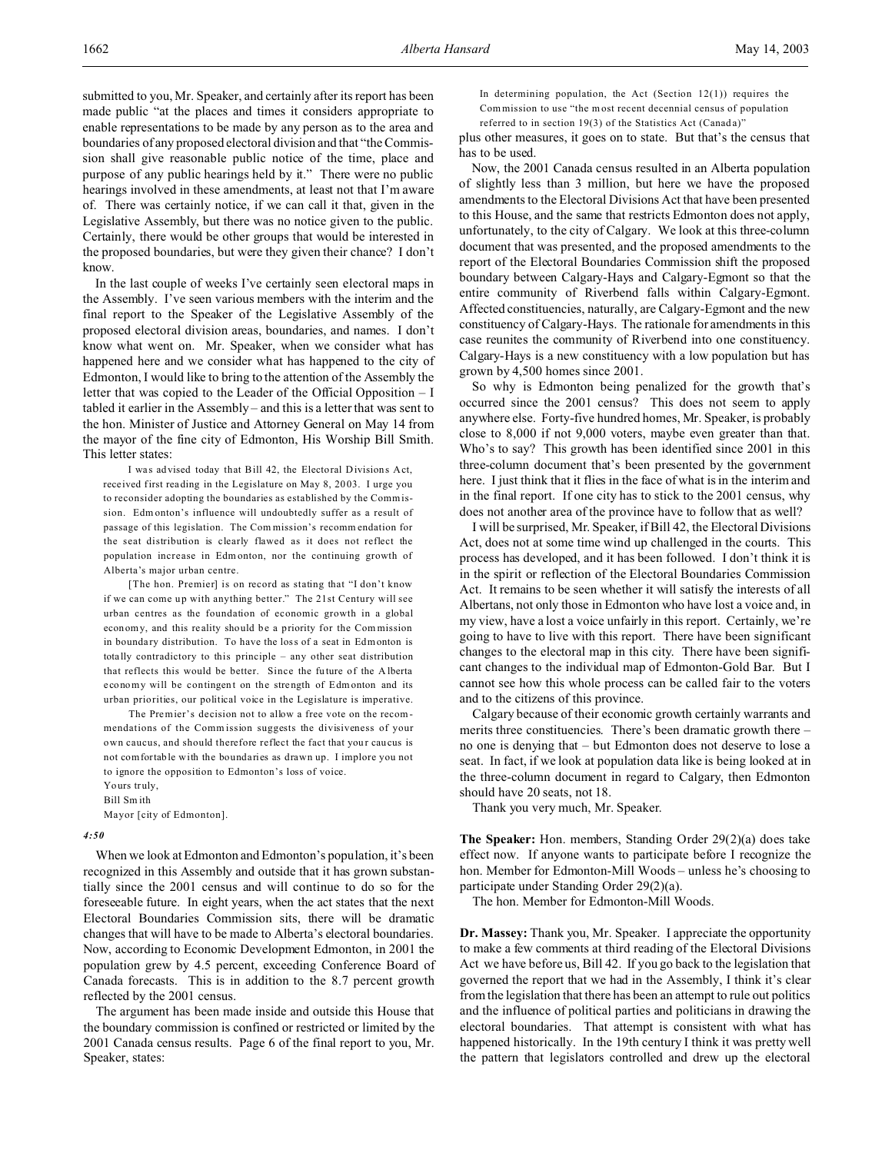submitted to you, Mr. Speaker, and certainly after its report has been made public "at the places and times it considers appropriate to enable representations to be made by any person as to the area and boundaries of any proposed electoral division and that "the Commission shall give reasonable public notice of the time, place and purpose of any public hearings held by it." There were no public hearings involved in these amendments, at least not that I'm aware of. There was certainly notice, if we can call it that, given in the Legislative Assembly, but there was no notice given to the public. Certainly, there would be other groups that would be interested in the proposed boundaries, but were they given their chance? I don't know.

In the last couple of weeks I've certainly seen electoral maps in the Assembly. I've seen various members with the interim and the final report to the Speaker of the Legislative Assembly of the proposed electoral division areas, boundaries, and names. I don't know what went on. Mr. Speaker, when we consider what has happened here and we consider what has happened to the city of Edmonton, I would like to bring to the attention of the Assembly the letter that was copied to the Leader of the Official Opposition – I tabled it earlier in the Assembly – and this is a letter that was sent to the hon. Minister of Justice and Attorney General on May 14 from the mayor of the fine city of Edmonton, His Worship Bill Smith. This letter states:

I was advised today that Bill 42, the Electoral Divisions Act, received first reading in the Legislature on May 8, 20 03. I urge you to reconsider adopting the boundaries as established by the Commission. Edm onton's influence will undoubtedly suffer as a result of passage of this legislation. The Com mission's recomm endation for the seat distribution is clearly flawed as it does not reflect the population increase in Edm onton, nor the continuing growth of Alberta's major urban centre.

[The hon. Premier] is on record as stating that "I don't know if we can come up with anything better." The 21st Century will see urban centres as the foundation of economic growth in a global econ omy, and this re ality should be a priority for the Com mission in boundary distribution. To have the loss of a seat in Edmonton is tota lly contradictory to this principle – any other seat distribution that reflects this would be better. Since the future of the Alberta economy will be contingent on the strength of Edmonton and its urban priorities, our political voice in the Legislature is imperative.

The Premier's decision not to allow a free vote on the recom mendations of the Comm ission suggests the divisiveness of your own caucus, and should therefore reflect the fact that you r caucus is not comfortable with the boundaries as drawn up. I implore you not to ignore the opposition to Edmonton's loss of voice. Yours truly,

Bill Sm ith

Mayor [city of Edmonton].

#### *4:50*

When we look at Edmonton and Edmonton's population, it's been recognized in this Assembly and outside that it has grown substantially since the 2001 census and will continue to do so for the foreseeable future. In eight years, when the act states that the next Electoral Boundaries Commission sits, there will be dramatic changes that will have to be made to Alberta's electoral boundaries. Now, according to Economic Development Edmonton, in 2001 the population grew by 4.5 percent, exceeding Conference Board of Canada forecasts. This is in addition to the 8.7 percent growth reflected by the 2001 census.

The argument has been made inside and outside this House that the boundary commission is confined or restricted or limited by the 2001 Canada census results. Page 6 of the final report to you, Mr. Speaker, states:

In determining population, the Act (Section  $12(1)$ ) requires the Com mission to use "the most recent decennial census of population referred to in section 19(3) of the Statistics Act (Canada)"

plus other measures, it goes on to state. But that's the census that has to be used.

Now, the 2001 Canada census resulted in an Alberta population of slightly less than 3 million, but here we have the proposed amendments to the Electoral Divisions Act that have been presented to this House, and the same that restricts Edmonton does not apply, unfortunately, to the city of Calgary. We look at this three-column document that was presented, and the proposed amendments to the report of the Electoral Boundaries Commission shift the proposed boundary between Calgary-Hays and Calgary-Egmont so that the entire community of Riverbend falls within Calgary-Egmont. Affected constituencies, naturally, are Calgary-Egmont and the new constituency of Calgary-Hays. The rationale for amendments in this case reunites the community of Riverbend into one constituency. Calgary-Hays is a new constituency with a low population but has grown by 4,500 homes since 2001.

So why is Edmonton being penalized for the growth that's occurred since the 2001 census? This does not seem to apply anywhere else. Forty-five hundred homes, Mr. Speaker, is probably close to 8,000 if not 9,000 voters, maybe even greater than that. Who's to say? This growth has been identified since 2001 in this three-column document that's been presented by the government here. I just think that it flies in the face of what is in the interim and in the final report. If one city has to stick to the 2001 census, why does not another area of the province have to follow that as well?

I will be surprised, Mr. Speaker, if Bill 42, the Electoral Divisions Act, does not at some time wind up challenged in the courts. This process has developed, and it has been followed. I don't think it is in the spirit or reflection of the Electoral Boundaries Commission Act. It remains to be seen whether it will satisfy the interests of all Albertans, not only those in Edmonton who have lost a voice and, in my view, have a lost a voice unfairly in this report. Certainly, we're going to have to live with this report. There have been significant changes to the electoral map in this city. There have been significant changes to the individual map of Edmonton-Gold Bar. But I cannot see how this whole process can be called fair to the voters and to the citizens of this province.

Calgary because of their economic growth certainly warrants and merits three constituencies. There's been dramatic growth there – no one is denying that – but Edmonton does not deserve to lose a seat. In fact, if we look at population data like is being looked at in the three-column document in regard to Calgary, then Edmonton should have 20 seats, not 18.

Thank you very much, Mr. Speaker.

**The Speaker:** Hon. members, Standing Order 29(2)(a) does take effect now. If anyone wants to participate before I recognize the hon. Member for Edmonton-Mill Woods – unless he's choosing to participate under Standing Order 29(2)(a).

The hon. Member for Edmonton-Mill Woods.

**Dr. Massey:** Thank you, Mr. Speaker. I appreciate the opportunity to make a few comments at third reading of the Electoral Divisions Act we have before us, Bill 42. If you go back to the legislation that governed the report that we had in the Assembly, I think it's clear from the legislation that there has been an attempt to rule out politics and the influence of political parties and politicians in drawing the electoral boundaries. That attempt is consistent with what has happened historically. In the 19th century I think it was pretty well the pattern that legislators controlled and drew up the electoral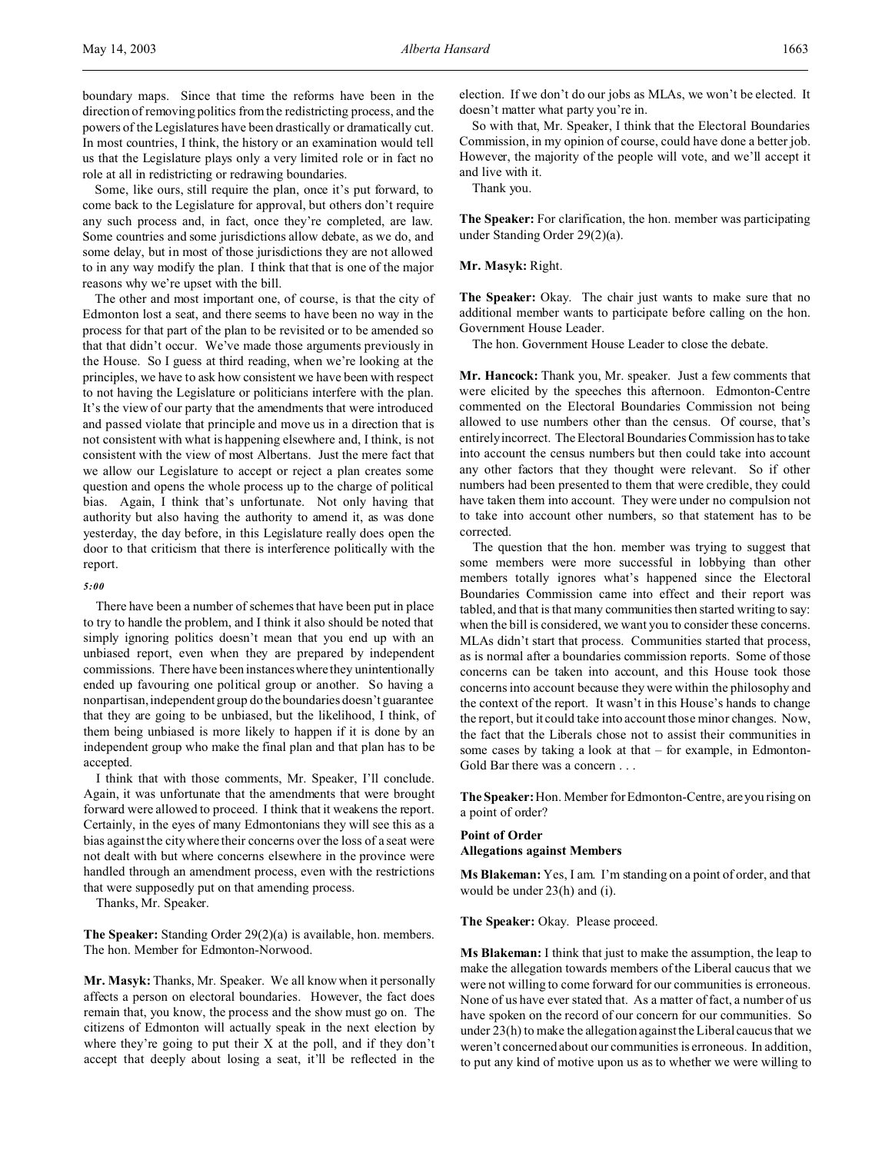boundary maps. Since that time the reforms have been in the direction of removing politics from the redistricting process, and the powers of the Legislatures have been drastically or dramatically cut. In most countries, I think, the history or an examination would tell us that the Legislature plays only a very limited role or in fact no role at all in redistricting or redrawing boundaries.

Some, like ours, still require the plan, once it's put forward, to come back to the Legislature for approval, but others don't require any such process and, in fact, once they're completed, are law. Some countries and some jurisdictions allow debate, as we do, and some delay, but in most of those jurisdictions they are not allowed to in any way modify the plan. I think that that is one of the major reasons why we're upset with the bill.

The other and most important one, of course, is that the city of Edmonton lost a seat, and there seems to have been no way in the process for that part of the plan to be revisited or to be amended so that that didn't occur. We've made those arguments previously in the House. So I guess at third reading, when we're looking at the principles, we have to ask how consistent we have been with respect to not having the Legislature or politicians interfere with the plan. It's the view of our party that the amendments that were introduced and passed violate that principle and move us in a direction that is not consistent with what is happening elsewhere and, I think, is not consistent with the view of most Albertans. Just the mere fact that we allow our Legislature to accept or reject a plan creates some question and opens the whole process up to the charge of political bias. Again, I think that's unfortunate. Not only having that authority but also having the authority to amend it, as was done yesterday, the day before, in this Legislature really does open the door to that criticism that there is interference politically with the report.

#### *5:00*

There have been a number of schemes that have been put in place to try to handle the problem, and I think it also should be noted that simply ignoring politics doesn't mean that you end up with an unbiased report, even when they are prepared by independent commissions. There have been instances where they unintentionally ended up favouring one political group or another. So having a nonpartisan, independent group do the boundaries doesn't guarantee that they are going to be unbiased, but the likelihood, I think, of them being unbiased is more likely to happen if it is done by an independent group who make the final plan and that plan has to be accepted.

I think that with those comments, Mr. Speaker, I'll conclude. Again, it was unfortunate that the amendments that were brought forward were allowed to proceed. I think that it weakens the report. Certainly, in the eyes of many Edmontonians they will see this as a bias against the city where their concerns over the loss of a seat were not dealt with but where concerns elsewhere in the province were handled through an amendment process, even with the restrictions that were supposedly put on that amending process.

Thanks, Mr. Speaker.

**The Speaker:** Standing Order 29(2)(a) is available, hon. members. The hon. Member for Edmonton-Norwood.

**Mr. Masyk:** Thanks, Mr. Speaker. We all know when it personally affects a person on electoral boundaries. However, the fact does remain that, you know, the process and the show must go on. The citizens of Edmonton will actually speak in the next election by where they're going to put their  $X$  at the poll, and if they don't accept that deeply about losing a seat, it'll be reflected in the

election. If we don't do our jobs as MLAs, we won't be elected. It doesn't matter what party you're in.

So with that, Mr. Speaker, I think that the Electoral Boundaries Commission, in my opinion of course, could have done a better job. However, the majority of the people will vote, and we'll accept it and live with it.

Thank you.

**The Speaker:** For clarification, the hon. member was participating under Standing Order 29(2)(a).

#### **Mr. Masyk:** Right.

The Speaker: Okay. The chair just wants to make sure that no additional member wants to participate before calling on the hon. Government House Leader.

The hon. Government House Leader to close the debate.

**Mr. Hancock:** Thank you, Mr. speaker. Just a few comments that were elicited by the speeches this afternoon. Edmonton-Centre commented on the Electoral Boundaries Commission not being allowed to use numbers other than the census. Of course, that's entirely incorrect. The Electoral Boundaries Commission has to take into account the census numbers but then could take into account any other factors that they thought were relevant. So if other numbers had been presented to them that were credible, they could have taken them into account. They were under no compulsion not to take into account other numbers, so that statement has to be corrected.

The question that the hon. member was trying to suggest that some members were more successful in lobbying than other members totally ignores what's happened since the Electoral Boundaries Commission came into effect and their report was tabled, and that is that many communities then started writing to say: when the bill is considered, we want you to consider these concerns. MLAs didn't start that process. Communities started that process, as is normal after a boundaries commission reports. Some of those concerns can be taken into account, and this House took those concerns into account because they were within the philosophy and the context of the report. It wasn't in this House's hands to change the report, but it could take into account those minor changes. Now, the fact that the Liberals chose not to assist their communities in some cases by taking a look at that – for example, in Edmonton-Gold Bar there was a concern . . .

**The Speaker:** Hon. Member for Edmonton-Centre, are you rising on a point of order?

## **Point of Order Allegations against Members**

**Ms Blakeman:** Yes, I am. I'm standing on a point of order, and that would be under 23(h) and (i).

### The Speaker: Okay. Please proceed.

**Ms Blakeman:** I think that just to make the assumption, the leap to make the allegation towards members of the Liberal caucus that we were not willing to come forward for our communities is erroneous. None of us have ever stated that. As a matter of fact, a number of us have spoken on the record of our concern for our communities. So under 23(h) to make the allegation against the Liberal caucus that we weren't concerned about our communities is erroneous. In addition, to put any kind of motive upon us as to whether we were willing to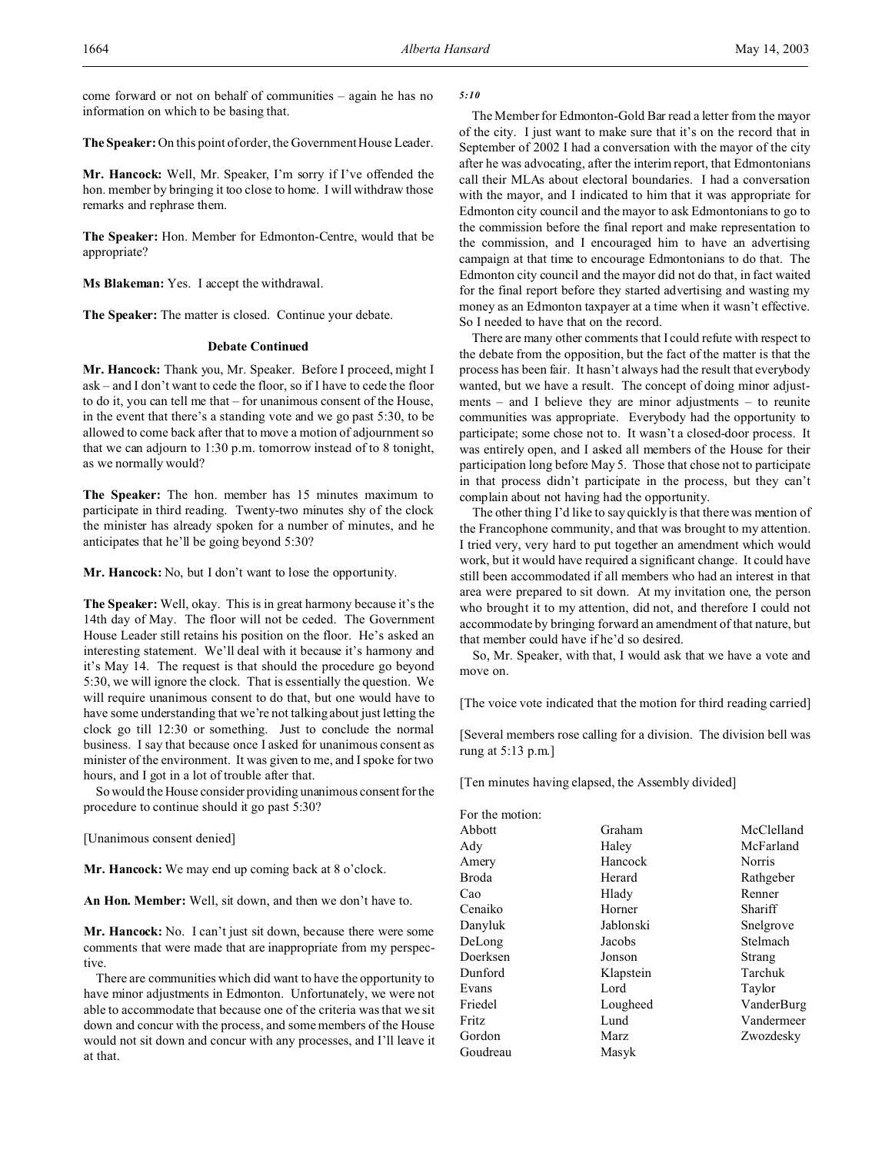come forward or not on behalf of communities – again he has no information on which to be basing that.

**The Speaker:** On this point of order, the Government House Leader.

**Mr. Hancock:** Well, Mr. Speaker, I'm sorry if I've offended the hon. member by bringing it too close to home. I will withdraw those remarks and rephrase them.

**The Speaker:** Hon. Member for Edmonton-Centre, would that be appropriate?

**Ms Blakeman:** Yes. I accept the withdrawal.

**The Speaker:** The matter is closed. Continue your debate.

## **Debate Continued**

**Mr. Hancock:** Thank you, Mr. Speaker. Before I proceed, might I ask – and I don't want to cede the floor, so if I have to cede the floor to do it, you can tell me that – for unanimous consent of the House, in the event that there's a standing vote and we go past 5:30, to be allowed to come back after that to move a motion of adjournment so that we can adjourn to 1:30 p.m. tomorrow instead of to 8 tonight, as we normally would?

**The Speaker:** The hon. member has 15 minutes maximum to participate in third reading. Twenty-two minutes shy of the clock the minister has already spoken for a number of minutes, and he anticipates that he'll be going beyond 5:30?

**Mr. Hancock:** No, but I don't want to lose the opportunity.

**The Speaker:** Well, okay. This is in great harmony because it's the 14th day of May. The floor will not be ceded. The Government House Leader still retains his position on the floor. He's asked an interesting statement. We'll deal with it because it's harmony and it's May 14. The request is that should the procedure go beyond 5:30, we will ignore the clock. That is essentially the question. We will require unanimous consent to do that, but one would have to have some understanding that we're not talking about just letting the clock go till 12:30 or something. Just to conclude the normal business. I say that because once I asked for unanimous consent as minister of the environment. It was given to me, and I spoke for two hours, and I got in a lot of trouble after that.

So would the House consider providing unanimous consent for the procedure to continue should it go past 5:30?

[Unanimous consent denied]

**Mr. Hancock:** We may end up coming back at 8 o'clock.

**An Hon. Member:** Well, sit down, and then we don't have to.

**Mr. Hancock:** No. I can't just sit down, because there were some comments that were made that are inappropriate from my perspective.

There are communities which did want to have the opportunity to have minor adjustments in Edmonton. Unfortunately, we were not able to accommodate that because one of the criteria was that we sit down and concur with the process, and some members of the House would not sit down and concur with any processes, and I'll leave it at that.

## *5:10*

The Member for Edmonton-Gold Bar read a letter from the mayor of the city. I just want to make sure that it's on the record that in September of 2002 I had a conversation with the mayor of the city after he was advocating, after the interim report, that Edmontonians call their MLAs about electoral boundaries. I had a conversation with the mayor, and I indicated to him that it was appropriate for Edmonton city council and the mayor to ask Edmontonians to go to the commission before the final report and make representation to the commission, and I encouraged him to have an advertising campaign at that time to encourage Edmontonians to do that. The Edmonton city council and the mayor did not do that, in fact waited for the final report before they started advertising and wasting my money as an Edmonton taxpayer at a time when it wasn't effective. So I needed to have that on the record.

There are many other comments that I could refute with respect to the debate from the opposition, but the fact of the matter is that the process has been fair. It hasn't always had the result that everybody wanted, but we have a result. The concept of doing minor adjustments – and I believe they are minor adjustments – to reunite communities was appropriate. Everybody had the opportunity to participate; some chose not to. It wasn't a closed-door process. It was entirely open, and I asked all members of the House for their participation long before May 5. Those that chose not to participate in that process didn't participate in the process, but they can't complain about not having had the opportunity.

The other thing I'd like to say quickly is that there was mention of the Francophone community, and that was brought to my attention. I tried very, very hard to put together an amendment which would work, but it would have required a significant change. It could have still been accommodated if all members who had an interest in that area were prepared to sit down. At my invitation one, the person who brought it to my attention, did not, and therefore I could not accommodate by bringing forward an amendment of that nature, but that member could have if he'd so desired.

So, Mr. Speaker, with that, I would ask that we have a vote and move on.

[The voice vote indicated that the motion for third reading carried]

[Several members rose calling for a division. The division bell was rung at 5:13 p.m.]

[Ten minutes having elapsed, the Assembly divided]

| Graham    | McClelland |  |
|-----------|------------|--|
| Haley     | McFarland  |  |
| Hancock   | Norris     |  |
| Herard    | Rathgeber  |  |
| Hlady     | Renner     |  |
| Horner    | Shariff    |  |
| Jablonski | Snelgrove  |  |
| Jacobs    | Stelmach   |  |
| Jonson    | Strang     |  |
| Klapstein | Tarchuk    |  |
| Lord      | Taylor     |  |
| Lougheed  | VanderBurg |  |
| Lund      | Vandermeer |  |
| Marz      | Zwozdesky  |  |
| Masyk     |            |  |
|           |            |  |